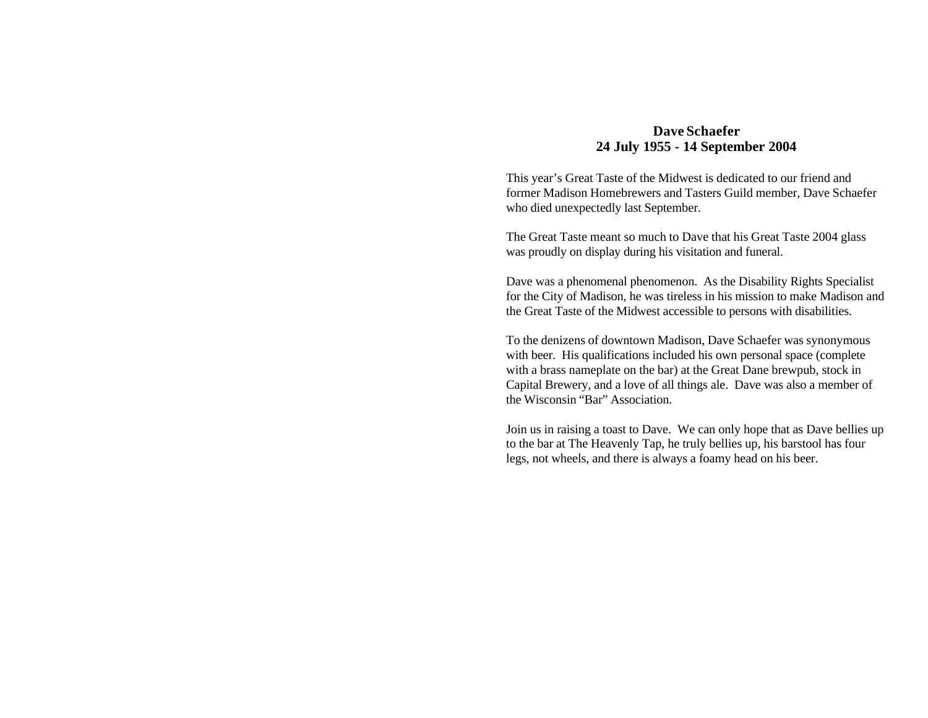## **Dave Schaefer 24 July 1955 - 14 September 2004**

This year's Great Taste of the Midwest is dedicated to our friend and former Madison Homebrewers and Tasters Guild member, Dave Schaefer who died unexpectedly last September.

The Great Taste meant so much to Dave that his Great Taste 2004 glass was proudly on display during his visitation and funeral.

Dave was a phenomenal phenomenon. As the Disability Rights Specialist for the City of Madison, he was tireless in his mission to make Madison and the Great Taste of the Midwest accessible to persons with disabilities.

To the denizens of downtown Madison, Dave Schaefer was synonymous with beer. His qualifications included his own personal space (complete) with a brass nameplate on the bar) at the Great Dane brewpub, stock in Capital Brewery, and a love of all things ale. Dave was also a member of the Wisconsin "Bar" Association.

Join us in raising a toast to Dave. We can only hope that as Dave bellies up to the bar at The Heavenly Tap, he truly bellies up, his barstool has four legs, not wheels, and there is always a foamy head on his beer.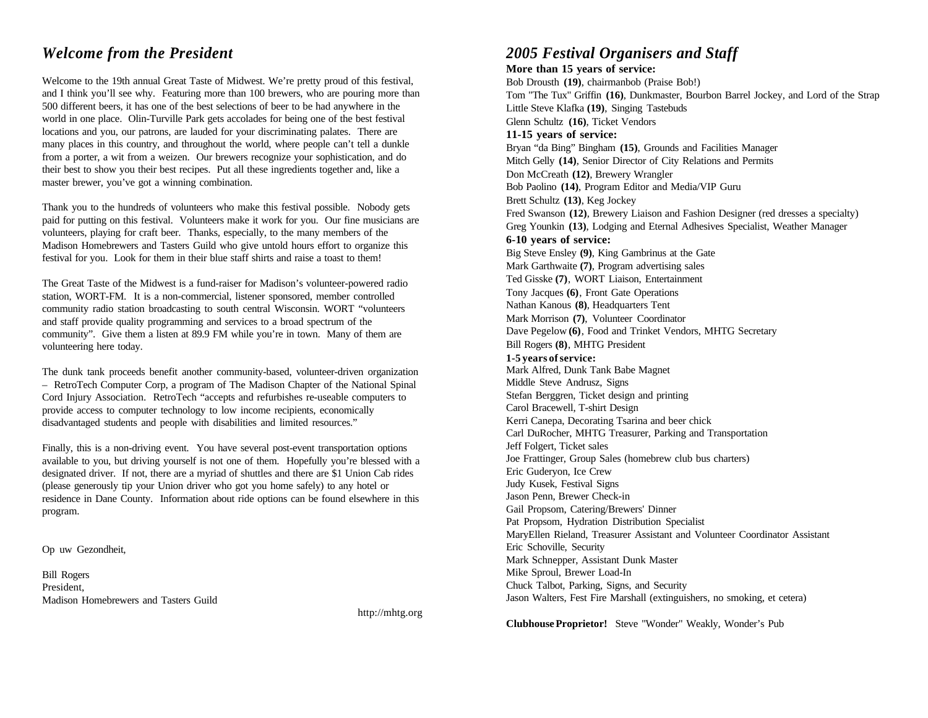Welcome to the 19th annual Great Taste of Midwest. We're pretty proud of this festival, and I think you'll see why. Featuring more than 100 brewers, who are pouring more than 500 different beers, it has one of the best selections of beer to be had anywhere in the world in one place. Olin-Turville Park gets accolades for being one of the best festival locations and you, our patrons, are lauded for your discriminating palates. There are many places in this country, and throughout the world, where people can't tell a dunkle from a porter, a wit from a weizen. Our brewers recognize your sophistication, and do their best to show you their best recipes. Put all these ingredients together and, like a master brewer, you've got a winning combination.

Thank you to the hundreds of volunteers who make this festival possible. Nobody gets paid for putting on this festival. Volunteers make it work for you. Our fine musicians are volunteers, playing for craft beer. Thanks, especially, to the many members of the Madison Homebrewers and Tasters Guild who give untold hours effort to organize this festival for you. Look for them in their blue staff shirts and raise a toast to them!

The Great Taste of the Midwest is a fund-raiser for Madison's volunteer-powered radio station, WORT-FM. It is a non-commercial, listener sponsored, member controlled community radio station broadcasting to south central Wisconsin. WORT "volunteers and staff provide quality programming and services to a broad spectrum of the community". Give them a listen at 89.9 FM while you're in town. Many of them are volunteering here today.

The dunk tank proceeds benefit another community-based, volunteer-driven organization – RetroTech Computer Corp, a program of The Madison Chapter of the National Spinal Cord Injury Association. RetroTech "accepts and refurbishes re-useable computers to provide access to computer technology to low income recipients, economically disadvantaged students and people with disabilities and limited resources."

Finally, this is a non-driving event. You have several post-event transportation options available to you, but driving yourself is not one of them. Hopefully you're blessed with a designated driver. If not, there are a myriad of shuttles and there are \$1 Union Cab rides (please generously tip your Union driver who got you home safely) to any hotel or residence in Dane County. Information about ride options can be found elsewhere in this program.

Op uw Gezondheit,

Bill Rogers President, Madison Homebrewers and Tasters Guild

http://mhtg.org

## *Welcome from the President 2005 Festival Organisers and Staff*

**More than 15 years of service:** Bob Drousth **(19)**, chairmanbob (Praise Bob!) Tom "The Tux" Griffin **(16)**, Dunkmaster, Bourbon Barrel Jockey, and Lord of the Strap Little Steve Klafka **(19)**, Singing Tastebuds Glenn Schultz **(16)**, Ticket Vendors **11-15 years of service:** Bryan "da Bing" Bingham **(15)**, Grounds and Facilities Manager Mitch Gelly **(14)**, Senior Director of City Relations and Permits Don McCreath **(12)**, Brewery Wrangler Bob Paolino **(14)**, Program Editor and Media/VIP Guru Brett Schultz **(13)**, Keg Jockey Fred Swanson **(12)**, Brewery Liaison and Fashion Designer (red dresses a specialty) Greg Younkin **(13)**, Lodging and Eternal Adhesives Specialist, Weather Manager **6-10 years of service:** Big Steve Ensley **(9)**, King Gambrinus at the Gate Mark Garthwaite **(7)**, Program advertising sales Ted Gisske **(7)**, WORT Liaison, Entertainment Tony Jacques **(6)**, Front Gate Operations Nathan Kanous **(8)**, Headquarters Tent Mark Morrison **(7)**, Volunteer Coordinator Dave Pegelow **(6)**, Food and Trinket Vendors, MHTG Secretary Bill Rogers **(8)**, MHTG President **1-5 years of service:** Mark Alfred, Dunk Tank Babe Magnet Middle Steve Andrusz, Signs Stefan Berggren, Ticket design and printing Carol Bracewell, T-shirt Design Kerri Canepa, Decorating Tsarina and beer chick Carl DuRocher, MHTG Treasurer, Parking and Transportation Jeff Folgert, Ticket sales Joe Frattinger, Group Sales (homebrew club bus charters) Eric Guderyon, Ice Crew Judy Kusek, Festival Signs Jason Penn, Brewer Check-in Gail Propsom, Catering/Brewers' Dinner Pat Propsom, Hydration Distribution Specialist MaryEllen Rieland, Treasurer Assistant and Volunteer Coordinator Assistant Eric Schoville, Security Mark Schnepper, Assistant Dunk Master Mike Sproul, Brewer Load-In Chuck Talbot, Parking, Signs, and Security Jason Walters, Fest Fire Marshall (extinguishers, no smoking, et cetera)

**Clubhouse Proprietor!** Steve "Wonder" Weakly, Wonder's Pub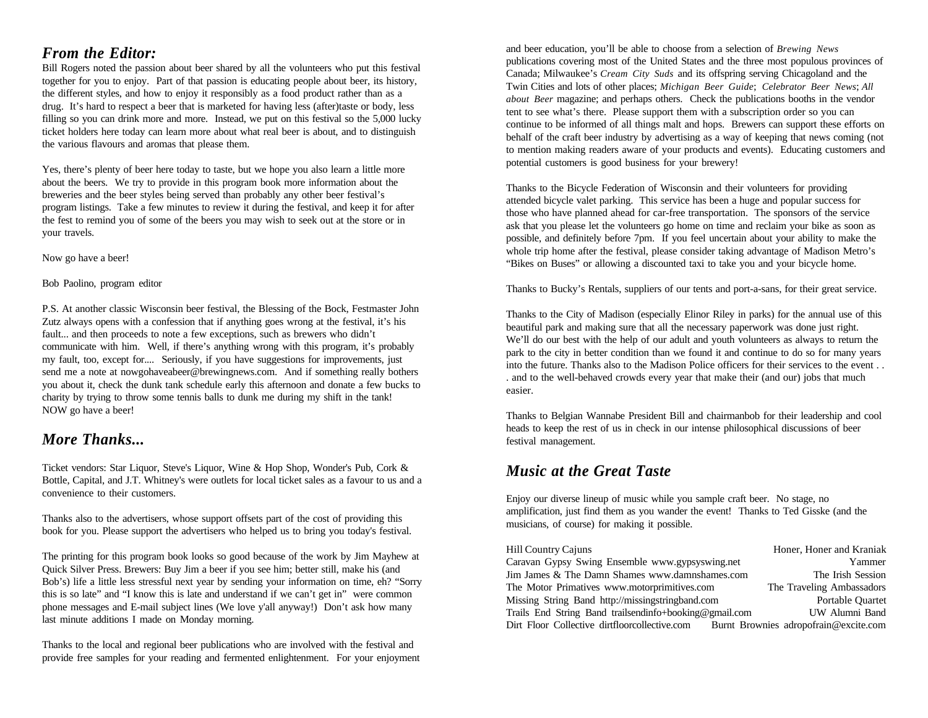## *From the Editor:*

Bill Rogers noted the passion about beer shared by all the volunteers who put this festival together for you to enjoy. Part of that passion is educating people about beer, its history, the different styles, and how to enjoy it responsibly as a food product rather than as a drug. It's hard to respect a beer that is marketed for having less (after)taste or body, less filling so you can drink more and more. Instead, we put on this festival so the 5,000 lucky ticket holders here today can learn more about what real beer is about, and to distinguish the various flavours and aromas that please them.

Yes, there's plenty of beer here today to taste, but we hope you also learn a little more about the beers. We try to provide in this program book more information about the breweries and the beer styles being served than probably any other beer festival's program listings. Take a few minutes to review it during the festival, and keep it for after the fest to remind you of some of the beers you may wish to seek out at the store or in your travels.

Now go have a beer!

Bob Paolino, program editor

P.S. At another classic Wisconsin beer festival, the Blessing of the Bock, Festmaster John Zutz always opens with a confession that if anything goes wrong at the festival, it's his fault... and then proceeds to note a few exceptions, such as brewers who didn't communicate with him. Well, if there's anything wrong with this program, it's probably my fault, too, except for.... Seriously, if you have suggestions for improvements, just send me a note at nowgohaveabeer@brewingnews.com. And if something really bothers you about it, check the dunk tank schedule early this afternoon and donate a few bucks to charity by trying to throw some tennis balls to dunk me during my shift in the tank! NOW go have a beer!

## *More Thanks... More Thanks... here n***<sub>c</sub> <b>***here nhs nhsn***<sub><b>***n***</sub>***hn***<sub>***s***</sub>***hn***<sub>***s***</sub>***h<i>h<i>h<i>n***<sub>***s***</sub>***h<i>h<i>n***<sub>***n***</sub>***<b><i>h<i>n***<sub>***n***</sub>***<b><i>h<i>n*</sub>

Ticket vendors: Star Liquor, Steve's Liquor, Wine & Hop Shop, Wonder's Pub, Cork & Bottle, Capital, and J.T. Whitney's were outlets for local ticket sales as a favour to us and a convenience to their customers.

Thanks also to the advertisers, whose support offsets part of the cost of providing this book for you. Please support the advertisers who helped us to bring you today's festival.

The printing for this program book looks so good because of the work by Jim Mayhew at Quick Silver Press. Brewers: Buy Jim a beer if you see him; better still, make his (and Bob's) life a little less stressful next year by sending your information on time, eh? "Sorry this is so late" and "I know this is late and understand if we can't get in" were common phone messages and E-mail subject lines (We love y'all anyway!) Don't ask how many last minute additions I made on Monday morning.

Thanks to the local and regional beer publications who are involved with the festival and provide free samples for your reading and fermented enlightenment. For your enjoyment

and beer education, you'll be able to choose from a selection of *Brewing News* publications covering most of the United States and the three most populous provinces of Canada; Milwaukee's *Cream City Suds* and its offspring serving Chicagoland and the Twin Cities and lots of other places; *Michigan Beer Guide*; *Celebrator Beer News*; *All about Beer* magazine; and perhaps others. Check the publications booths in the vendor tent to see what's there. Please support them with a subscription order so you can continue to be informed of all things malt and hops. Brewers can support these efforts on behalf of the craft beer industry by advertising as a way of keeping that news coming (not to mention making readers aware of your products and events). Educating customers and potential customers is good business for your brewery!

Thanks to the Bicycle Federation of Wisconsin and their volunteers for providing attended bicycle valet parking. This service has been a huge and popular success for those who have planned ahead for car-free transportation. The sponsors of the service ask that you please let the volunteers go home on time and reclaim your bike as soon as possible, and definitely before 7pm. If you feel uncertain about your ability to make the whole trip home after the festival, please consider taking advantage of Madison Metro's "Bikes on Buses" or allowing a discounted taxi to take you and your bicycle home.

Thanks to Bucky's Rentals, suppliers of our tents and port-a-sans, for their great service.

Thanks to the City of Madison (especially Elinor Riley in parks) for the annual use of this beautiful park and making sure that all the necessary paperwork was done just right. We'll do our best with the help of our adult and youth volunteers as always to return the park to the city in better condition than we found it and continue to do so for many years into the future. Thanks also to the Madison Police officers for their services to the event . . . and to the well-behaved crowds every year that make their (and our) jobs that much easier.

Thanks to Belgian Wannabe President Bill and chairmanbob for their leadership and cool heads to keep the rest of us in check in our intense philosophical discussions of beer

## *Music at the Great Taste*

Enjoy our diverse lineup of music while you sample craft beer. No stage, no amplification, just find them as you wander the event! Thanks to Ted Gisske (and the musicians, of course) for making it possible.

| <b>Hill Country Cajuns</b>                             | Honer, Honer and Kraniak              |
|--------------------------------------------------------|---------------------------------------|
| Caravan Gypsy Swing Ensemble www.gypsyswing.net        | Yammer                                |
| Jim James & The Damn Shames www.damnshames.com         | The Irish Session                     |
| The Motor Primatives www.motorprimitives.com           | The Traveling Ambassadors             |
| Missing String Band http://missingstringband.com       | Portable Quartet                      |
| Trails End String Band trailsendinfo+booking@gmail.com | UW Alumni Band                        |
| Dirt Floor Collective dirtfloorcollective.com          | Burnt Brownies adropofrain@excite.com |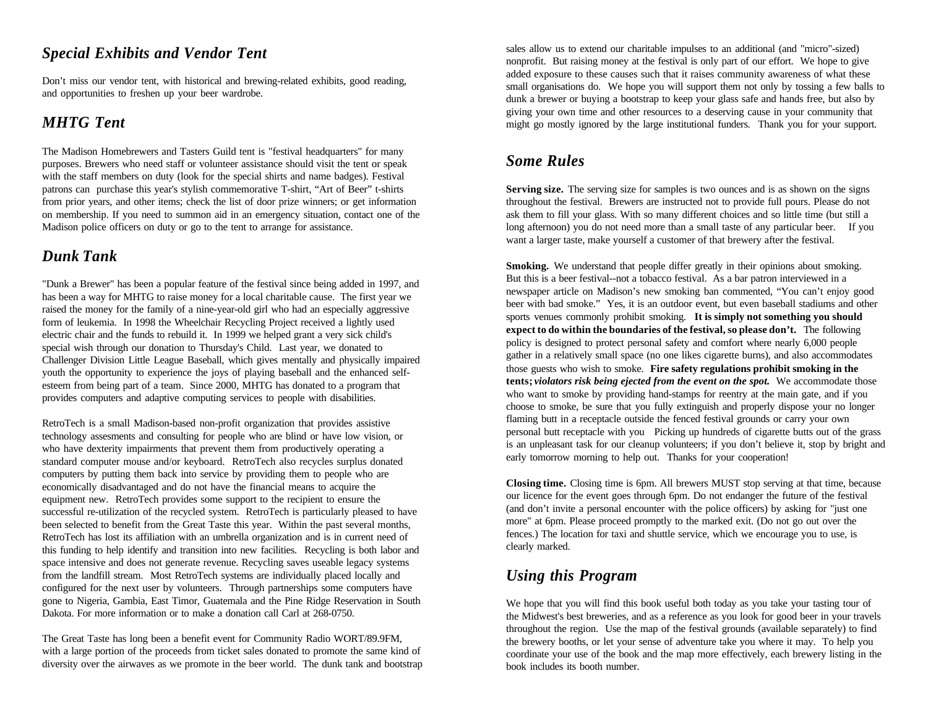## *Special Exhibits and Vendor Tent*

Don't miss our vendor tent, with historical and brewing-related exhibits, good reading, and opportunities to freshen up your beer wardrobe.

The Madison Homebrewers and Tasters Guild tent is "festival headquarters" for many purposes. Brewers who need staff or volunteer assistance should visit the tent or speak with the staff members on duty (look for the special shirts and name badges). Festival patrons can purchase this year's stylish commemorative T-shirt, "Art of Beer" t-shirts from prior years, and other items; check the list of door prize winners; or get information on membership. If you need to summon aid in an emergency situation, contact one of the Madison police officers on duty or go to the tent to arrange for assistance.

## *Dunk Tank*

"Dunk a Brewer" has been a popular feature of the festival since being added in 1997, and has been a way for MHTG to raise money for a local charitable cause. The first year we raised the money for the family of a nine-year-old girl who had an especially aggressive form of leukemia. In 1998 the Wheelchair Recycling Project received a lightly used electric chair and the funds to rebuild it. In 1999 we helped grant a very sick child's special wish through our donation to Thursday's Child. Last year, we donated to Challenger Division Little League Baseball, which gives mentally and physically impaired youth the opportunity to experience the joys of playing baseball and the enhanced selfesteem from being part of a team. Since 2000, MHTG has donated to a program that provides computers and adaptive computing services to people with disabilities.

RetroTech is a small Madison-based non-profit organization that provides assistive technology assesments and consulting for people who are blind or have low vision, or who have dexterity impairments that prevent them from productively operating a standard computer mouse and/or keyboard. RetroTech also recycles surplus donated computers by putting them back into service by providing them to people who are economically disadvantaged and do not have the financial means to acquire the equipment new. RetroTech provides some support to the recipient to ensure the successful re-utilization of the recycled system. RetroTech is particularly pleased to have been selected to benefit from the Great Taste this year. Within the past several months, RetroTech has lost its affiliation with an umbrella organization and is in current need of this funding to help identify and transition into new facilities. Recycling is both labor and space intensive and does not generate revenue. Recycling saves useable legacy systems from the landfill stream. Most RetroTech systems are individually placed locally and configured for the next user by volunteers. Through partnerships some computers have gone to Nigeria, Gambia, East Timor, Guatemala and the Pine Ridge Reservation in South Dakota. For more information or to make a donation call Carl at 268-0750.

The Great Taste has long been a benefit event for Community Radio WORT/89.9FM, with a large portion of the proceeds from ticket sales donated to promote the same kind of diversity over the airwaves as we promote in the beer world. The dunk tank and bootstrap

**MHTG Tent** might go mostly ignored by the large institutional funders. Thank you for your support. sales allow us to extend our charitable impulses to an additional (and "micro"-sized) nonprofit. But raising money at the festival is only part of our effort. We hope to give added exposure to these causes such that it raises community awareness of what these small organisations do. We hope you will support them not only by tossing a few balls to dunk a brewer or buying a bootstrap to keep your glass safe and hands free, but also by giving your own time and other resources to a deserving cause in your community that

## *Some Rules*

Serving size. The serving size for samples is two ounces and is as shown on the signs throughout the festival. Brewers are instructed not to provide full pours. Please do not ask them to fill your glass. With so many different choices and so little time (but still a long afternoon) you do not need more than a small taste of any particular beer. If you want a larger taste, make yourself a customer of that brewery after the festival.

**Smoking.** We understand that people differ greatly in their opinions about smoking. But this is a beer festival--not a tobacco festival. As a bar patron interviewed in a newspaper article on Madison's new smoking ban commented, "You can't enjoy good beer with bad smoke." Yes, it is an outdoor event, but even baseball stadiums and other sports venues commonly prohibit smoking. **It is simply not something you should expect to do within the boundaries of the festival, so please don't.** The following policy is designed to protect personal safety and comfort where nearly 6,000 people gather in a relatively small space (no one likes cigarette burns), and also accommodates those guests who wish to smoke. **Fire safety regulations prohibit smoking in the tents;** *violators risk being ejected from the event on the spot.* We accommodate those who want to smoke by providing hand-stamps for reentry at the main gate, and if you choose to smoke, be sure that you fully extinguish and properly dispose your no longer flaming butt in a receptacle outside the fenced festival grounds or carry your own personal butt receptacle with you Picking up hundreds of cigarette butts out of the grass is an unpleasant task for our cleanup volunteers; if you don't believe it, stop by bright and early tomorrow morning to help out. Thanks for your cooperation!

**Closing time.** Closing time is 6pm. All brewers MUST stop serving at that time, because our licence for the event goes through 6pm. Do not endanger the future of the festival (and don't invite a personal encounter with the police officers) by asking for "just one more" at 6pm. Please proceed promptly to the marked exit. (Do not go out over the fences.) The location for taxi and shuttle service, which we encourage you to use, is clearly marked.

## *Using this Program*

We hope that you will find this book useful both today as you take your tasting tour of the Midwest's best breweries, and as a reference as you look for good beer in your travels throughout the region. Use the map of the festival grounds (available separately) to find the brewery booths, or let your sense of adventure take you where it may. To help you coordinate your use of the book and the map more effectively, each brewery listing in the book includes its booth number.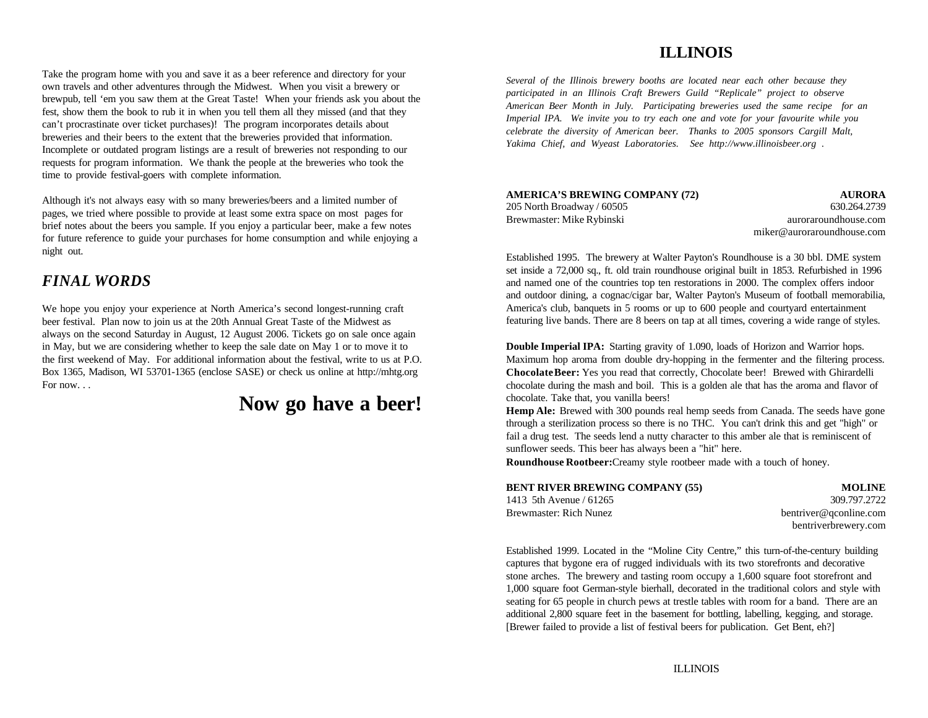## **ILLINOIS**

Take the program home with you and save it as a beer reference and directory for your own travels and other adventures through the Midwest. When you visit a brewery or brewpub, tell 'em you saw them at the Great Taste! When your friends ask you about the fest, show them the book to rub it in when you tell them all they missed (and that they can't procrastinate over ticket purchases)! The program incorporates details about breweries and their beers to the extent that the breweries provided that information. Incomplete or outdated program listings are a result of breweries not responding to our requests for program information. We thank the people at the breweries who took the time to provide festival-goers with complete information.

Although it's not always easy with so many breweries/beers and a limited number of pages, we tried where possible to provide at least some extra space on most pages for brief notes about the beers you sample. If you enjoy a particular beer, make a few notes for future reference to guide your purchases for home consumption and while enjoying a night out.

## *FINAL WORDS*

We hope you enjoy your experience at North America's second longest-running craft beer festival. Plan now to join us at the 20th Annual Great Taste of the Midwest as always on the second Saturday in August, 12 August 2006. Tickets go on sale once again in May, but we are considering whether to keep the sale date on May 1 or to move it to **Double Imperial IPA:** Starting gravity of 1.090, loads of Horizon and Warrior hops. the first weekend of May. For additional information about the festival, write to us at P.O. Maximum hop aroma from double dry-hopping in the fermenter and the filtering process. Box 1365, Madison, WI 53701-1365 (enclose SASE) or check us online at http://mhtg.org For now. . .

## **Now go have a beer!**

*Several of the Illinois brewery booths are located near each other because they participated in an Illinois Craft Brewers Guild "Replicale" project to observe American Beer Month in July. Participating breweries used the same recipe for an Imperial IPA. We invite you to try each one and vote for your favourite while you celebrate the diversity of American beer. Thanks to 2005 sponsors Cargill Malt, Yakima Chief, and Wyeast Laboratories. See http://www.illinoisbeer.org .*

**AMERICA'S BREWING COMPANY (72) AURORA** 205 North Broadway / 60505 630.264.2739 Brewmaster: Mike Rybinski auroraroundhouse.com

miker@auroraroundhouse.com

Established 1995. The brewery at Walter Payton's Roundhouse is a 30 bbl. DME system set inside a 72,000 sq., ft. old train roundhouse original built in 1853. Refurbished in 1996 and named one of the countries top ten restorations in 2000. The complex offers indoor and outdoor dining, a cognac/cigar bar, Walter Payton's Museum of football memorabilia, America's club, banquets in 5 rooms or up to 600 people and courtyard entertainment featuring live bands. There are 8 beers on tap at all times, covering a wide range of styles.

**Chocolate Beer:** Yes you read that correctly, Chocolate beer! Brewed with Ghirardelli chocolate during the mash and boil. This is a golden ale that has the aroma and flavor of chocolate. Take that, you vanilla beers!

**Hemp Ale:** Brewed with 300 pounds real hemp seeds from Canada. The seeds have gone through a sterilization process so there is no THC. You can't drink this and get "high" or fail a drug test. The seeds lend a nutty character to this amber ale that is reminiscent of sunflower seeds. This beer has always been a "hit" here.

**Roundhouse Rootbeer:** Creamy style rootbeer made with a touch of honey.

| <b>BENT RIVER BREWING COMPANY (55)</b> | <b>MOLINE</b>          |
|----------------------------------------|------------------------|
| 1413 5th Avenue / 61265                | 309.797.2722           |
| Brewmaster: Rich Nunez                 | bentriver@gconline.com |
|                                        | bentriverbrewery.com   |

Established 1999. Located in the "Moline City Centre," this turn-of-the-century building captures that bygone era of rugged individuals with its two storefronts and decorative stone arches. The brewery and tasting room occupy a 1,600 square foot storefront and 1,000 square foot German-style bierhall, decorated in the traditional colors and style with seating for 65 people in church pews at trestle tables with room for a band. There are an additional 2,800 square feet in the basement for bottling, labelling, kegging, and storage. [Brewer failed to provide a list of festival beers for publication. Get Bent, eh?]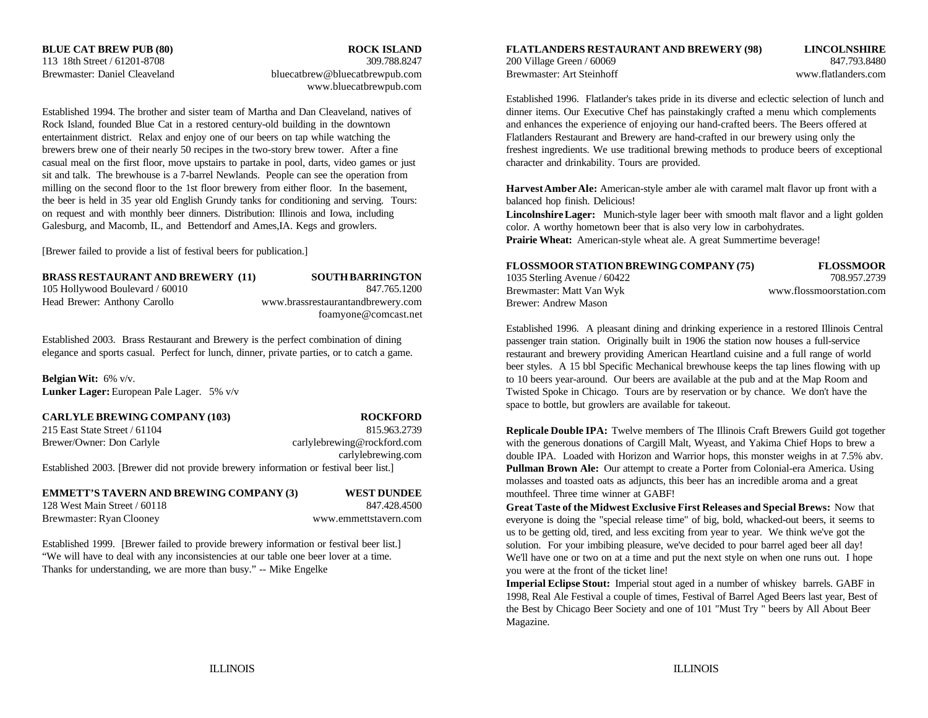www.bluecatbrewpub.com

Rock Island, founded Blue Cat in a restored century-old building in the downtown and enhances the experience of enjoying our hand-crafted beers. The Beers offered at entertainment district. Relax and enjoy one of our beers on tap while watching the Flatlanders Restaurant and Brewery are hand-crafted in our brewery using only the brewers brew one of their nearly 50 recipes in the two-story brew tower. After a fine freshest ingredients. We use traditional brewing methods to produce beers of exceptional casual meal on the first floor, move upstairs to partake in pool, darts, video games or just character and drinkability. Tours are provided. sit and talk. The brewhouse is a 7-barrel Newlands. People can see the operation from milling on the second floor to the 1st floor brewery from either floor. In the basement, the beer is held in 35 year old English Grundy tanks for conditioning and serving. Tours: on request and with monthly beer dinners. Distribution: Illinois and Iowa, including Galesburg, and Macomb, IL, and Bettendorf and Ames,IA. Kegs and growlers.

[Brewer failed to provide a list of festival beers for publication.]

## **BRASS RESTAURANT AND BREWERY (11) SOUTH BARRINGTON**

## 105 Hollywood Boulevard / 60010 847.765.1200 Head Brewer: Anthony Carollo www.brassrestaurantandbrewery.com foamyone@comcast.net

Established 2003. Brass Restaurant and Brewery is the perfect combination of dining elegance and sports casual. Perfect for lunch, dinner, private parties, or to catch a game.

**Belgian Wit:** 6% v/v. **Lunker Lager:** European Pale Lager. 5% v/v

**CARLYLE BREWING COMPANY (103) ROCKFORD**

215 East State Street / 61104 815.963.2739 Brewer/Owner: Don Carlyle carlylebrewing@rockford.com

carlylebrewing.com

Established 2003. [Brewer did not provide brewery information or festival beer list.]

**EMMETT'S TAVERN AND BREWING COMPANY (3) WEST DUNDEE** 128 West Main Street / 60118 847.428.4500

Brewmaster: Ryan Clooney www.emmettstavern.com

Established 1999. [Brewer failed to provide brewery information or festival beer list.] "We will have to deal with any inconsistencies at our table one beer lover at a time. Thanks for understanding, we are more than busy." -- Mike Engelke

**BLUE CAT BREW PUB (80) ROCK ISLAND FLATLANDERS RESTAURANT AND BREWERY (98) LINCOLNSHIRE** 113 18th Street / 61201-8708 309.788.8247 200 Village Green / 60069 847.793.8480 Brewmaster: Daniel Cleaveland bluecatbrew@bluecatbrewpub.com Brewmaster: Art Steinhoff www.flatlanders.com www.flatlanders.com

Established 1994. The brother and sister team of Martha and Dan Cleaveland, natives of dinner items. Our Executive Chef has painstakingly crafted a menu which complements Established 1996. Flatlander's takes pride in its diverse and eclectic selection of lunch and

> **Harvest Amber Ale:** American-style amber ale with caramel malt flavor up front with a balanced hop finish. Delicious!

**Lincolnshire Lager:** Munich-style lager beer with smooth malt flavor and a light golden color. A worthy hometown beer that is also very low in carbohydrates.

**Prairie Wheat:** American-style wheat ale. A great Summertime beverage!

| FLOSSMOOR STATION BREWING COMPANY (75) | <b>FLOSSMOOR</b>         |
|----------------------------------------|--------------------------|
| 1035 Sterling Avenue / 60422           | 708.957.2739             |
| Brewmaster: Matt Van Wyk               | www.flossmoorstation.com |
| Brewer: Andrew Mason                   |                          |

Established 1996. A pleasant dining and drinking experience in a restored Illinois Central passenger train station. Originally built in 1906 the station now houses a full-service restaurant and brewery providing American Heartland cuisine and a full range of world beer styles. A 15 bbl Specific Mechanical brewhouse keeps the tap lines flowing with up to 10 beers year-around. Our beers are available at the pub and at the Map Room and Twisted Spoke in Chicago. Tours are by reservation or by chance. We don't have the space to bottle, but growlers are available for takeout.

**Replicale Double IPA:** Twelve members of The Illinois Craft Brewers Guild got together with the generous donations of Cargill Malt, Wyeast, and Yakima Chief Hops to brew a double IPA. Loaded with Horizon and Warrior hops, this monster weighs in at 7.5% abv. **Pullman Brown Ale:** Our attempt to create a Porter from Colonial-era America. Using molasses and toasted oats as adjuncts, this beer has an incredible aroma and a great mouthfeel. Three time winner at GABF!

**Great Taste of the Midwest Exclusive First Releases and Special Brews:** Now that everyone is doing the "special release time" of big, bold, whacked-out beers, it seems to us to be getting old, tired, and less exciting from year to year. We think we've got the solution. For your imbibing pleasure, we've decided to pour barrel aged beer all day! We'll have one or two on at a time and put the next style on when one runs out. I hope you were at the front of the ticket line!

**Imperial Eclipse Stout:** Imperial stout aged in a number of whiskey barrels. GABF in 1998, Real Ale Festival a couple of times, Festival of Barrel Aged Beers last year, Best of the Best by Chicago Beer Society and one of 101 "Must Try " beers by All About Beer Magazine.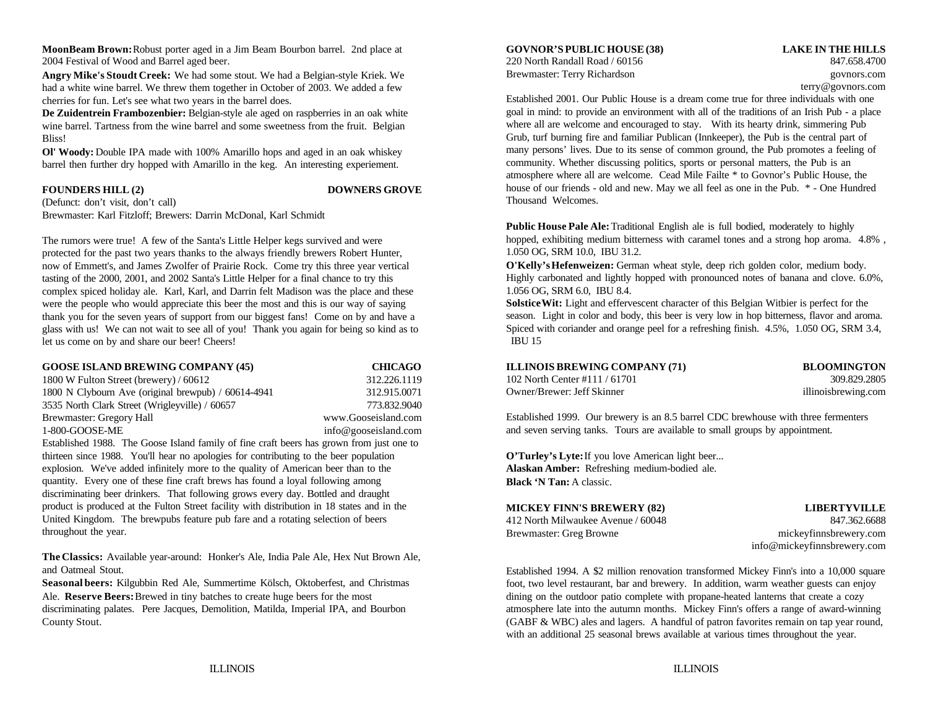**MoonBeam Brown:** Robust porter aged in a Jim Beam Bourbon barrel. 2nd place at **GOVNOR'S PUBLIC HOUSE (38) LAKE IN THE HILLS** 2004 Festival of Wood and Barrel aged beer. 220 North Randall Road / 60156 847.658.4700

**Angry Mike's Stoudt Creek:** We had some stout. We had a Belgian-style Kriek. We had a white wine barrel. We threw them together in October of 2003. We added a few cherries for fun. Let's see what two years in the barrel does.

**De Zuidentrein Frambozenbier:** Belgian-style ale aged on raspberries in an oak white wine barrel. Tartness from the wine barrel and some sweetness from the fruit. Belgian Bliss!

**Ol' Woody:** Double IPA made with 100% Amarillo hops and aged in an oak whiskey barrel then further dry hopped with Amarillo in the keg. An interesting experiement.

### **FOUNDERS HILL (2) DOWNERS GROVE**

(Defunct: don't visit, don't call) Brewmaster: Karl Fitzloff; Brewers: Darrin McDonal, Karl Schmidt

The rumors were true! A few of the Santa's Little Helper kegs survived and were protected for the past two years thanks to the always friendly brewers Robert Hunter, now of Emmett's, and James Zwolfer of Prairie Rock. Come try this three year vertical tasting of the 2000, 2001, and 2002 Santa's Little Helper for a final chance to try this complex spiced holiday ale. Karl, Karl, and Darrin felt Madison was the place and these were the people who would appreciate this beer the most and this is our way of saying thank you for the seven years of support from our biggest fans! Come on by and have a glass with us! We can not wait to see all of you! Thank you again for being so kind as to let us come on by and share our beer! Cheers!

| <b>GOOSE ISLAND BREWING COMPANY (45)</b>            | <b>CHICAGO</b>       |  |
|-----------------------------------------------------|----------------------|--|
| 1800 W Fulton Street (brewery) / 60612              | 312.226.1119         |  |
| 1800 N Clybourn Ave (original brewpub) / 60614-4941 | 312.915.0071         |  |
| 3535 North Clark Street (Wrigleyville) / 60657      | 773.832.9040         |  |
| Brewmaster: Gregory Hall                            | www.Gooseisland.com  |  |
| 1-800-GOOSE-ME                                      | info@gooseisland.com |  |

Established 1988. The Goose Island family of fine craft beers has grown from just one to thirteen since 1988. You'll hear no apologies for contributing to the beer population **O'Turley's Lyte:** If you love American light beer... explosion. We've added infinitely more to the quality of American beer than to the quantity. Every one of these fine craft brews has found a loyal following among discriminating beer drinkers. That following grows every day. Bottled and draught product is produced at the Fulton Street facility with distribution in 18 states and in the United Kingdom. The brewpubs feature pub fare and a rotating selection of beers throughout the year.

**The Classics:** Available year-around: Honker's Ale, India Pale Ale, Hex Nut Brown Ale, and Oatmeal Stout.

**Seasonal beers:** Kilgubbin Red Ale, Summertime Kölsch, Oktoberfest, and Christmas Ale. Reserve Beers: Brewed in tiny batches to create huge beers for the most dining on the outdoor patio complete with propane-heated lanterns that create a cozy

Brewmaster: Terry Richardson govnors.com

terry@govnors.com

Established 2001. Our Public House is a dream come true for three individuals with one goal in mind: to provide an environment with all of the traditions of an Irish Pub - a place where all are welcome and encouraged to stay. With its hearty drink, simmering Pub Grub, turf burning fire and familiar Publican (Innkeeper), the Pub is the central part of many persons' lives. Due to its sense of common ground, the Pub promotes a feeling of community. Whether discussing politics, sports or personal matters, the Pub is an atmosphere where all are welcome. Cead Mile Failte \* to Govnor's Public House, the house of our friends - old and new. May we all feel as one in the Pub. \* - One Hundred Thousand Welcomes.

**Public House Pale Ale:** Traditional English ale is full bodied, moderately to highly hopped, exhibiting medium bitterness with caramel tones and a strong hop aroma. 4.8% , 1.050 OG, SRM 10.0, IBU 31.2.

**O'Kelly's Hefenweizen:** German wheat style, deep rich golden color, medium body. Highly carbonated and lightly hopped with pronounced notes of banana and clove. 6.0%, 1.056 OG, SRM 6.0, IBU 8.4.

**Solstice Wit:** Light and effervescent character of this Belgian Witbier is perfect for the season. Light in color and body, this beer is very low in hop bitterness, flavor and aroma. Spiced with coriander and orange peel for a refreshing finish. 4.5%, 1.050 OG, SRM 3.4, IBU 15

| <b>ILLINOIS BREWING COMPANY (71)</b> |
|--------------------------------------|
| 102 North Center #111 / 61701        |
| Owner/Brewer: Jeff Skinner           |

**ILLINOIS BREWING COMPANY (71) BLOOMINGTON** 309.829.2805 illinoisbrewing.com

Established 1999. Our brewery is an 8.5 barrel CDC brewhouse with three fermenters and seven serving tanks. Tours are available to small groups by appointment.

**Alaskan Amber:** Refreshing medium-bodied ale. **Black 'N Tan:** A classic.

| <b>MICKEY FINN'S BREWERY (82)</b>  | <b>LIBERTYVILLE</b>    |
|------------------------------------|------------------------|
| 412 North Milwaukee Avenue / 60048 | 847.362.6688           |
| Brewmaster: Greg Browne            | mickeyfinnsbrewery.com |

info@mickeyfinnsbrewery.com

discriminating palates. Pere Jacques, Demolition, Matilda, Imperial IPA, and Bourbon atmosphere late into the autumn months. Mickey Finn's offers a range of award-winning County Stout. County Stout. (GABF & WBC) ales and lagers. A handful of patron favorites remain on tap year round, Established 1994. A \$2 million renovation transformed Mickey Finn's into a 10,000 square foot, two level restaurant, bar and brewery. In addition, warm weather guests can enjoy with an additional 25 seasonal brews available at various times throughout the year.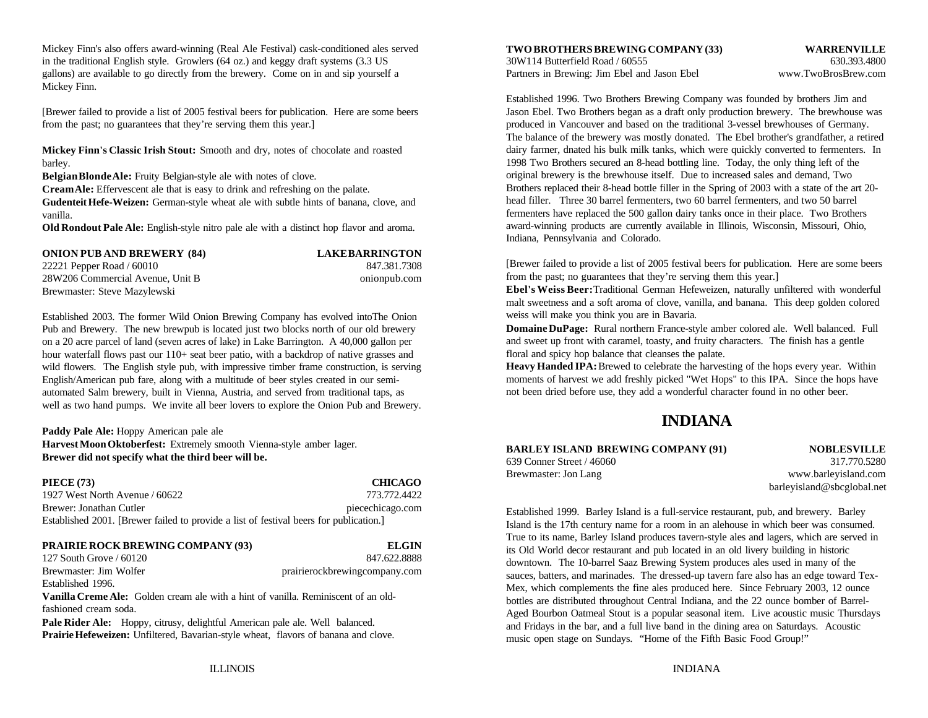Mickey Finn's also offers award-winning (Real Ale Festival) cask-conditioned ales served in the traditional English style. Growlers (64 oz.) and keggy draft systems (3.3 US 30W114 Butterfield Road / 60555 630.393.4800 630.393.4800 gallons) are available to go directly from the brewery. Come on in and sip yourself a Partners in Brewing: Jim Ebel and Jason Ebel www.TwoBrosBrew.com Mickey Finn.

from the past; no guarantees that they're serving them this year.] produced in Vancouver and based on the traditional 3-vessel brewhouses of Germany.

**Mickey Finn's Classic Irish Stout:** Smooth and dry, notes of chocolate and roasted barley.

**Belgian Blonde Ale:** Fruity Belgian-style ale with notes of clove.

**Cream Ale:** Effervescent ale that is easy to drink and refreshing on the palate. **Gudenteit Hefe-Weizen:** German-style wheat ale with subtle hints of banana, clove, and vanilla.

**Old Rondout Pale Ale:** English-style nitro pale ale with a distinct hop flavor and aroma.

**ONION PUB AND BREWERY (84) LAKE BARRINGTON** 22221 Pepper Road / 60010 847.381.7308 28W206 Commercial Avenue, Unit B onionpub.com Brewmaster: Steve Mazylewski

Established 2003. The former Wild Onion Brewing Company has evolved intoThe Onion Pub and Brewery. The new brewpub is located just two blocks north of our old brewery on a 20 acre parcel of land (seven acres of lake) in Lake Barrington. A 40,000 gallon per hour waterfall flows past our 110+ seat beer patio, with a backdrop of native grasses and wild flowers. The English style pub, with impressive timber frame construction, is serving English/American pub fare, along with a multitude of beer styles created in our semiautomated Salm brewery, built in Vienna, Austria, and served from traditional taps, as well as two hand pumps. We invite all beer lovers to explore the Onion Pub and Brewery.

Paddy Pale Ale: Hoppy American pale ale **Harvest Moon Oktoberfest:** Extremely smooth Vienna-style amber lager. **Brewer did not specify what the third beer will be.**

**PIECE (73) CHICAGO** 1927 West North Avenue / 60622 773.772.4422 Brewer: Jonathan Cutler piecechicago.com Established 2001. [Brewer failed to provide a list of festival beers for publication.]

### **PRAIRIE ROCK BREWING COMPANY (93) ELGIN**

127 South Grove / 60120 847.622.8888 Brewmaster: Jim Wolfer **prairierockbrewingcompany.com** Established 1996.

**Vanilla Creme Ale:** Golden cream ale with a hint of vanilla. Reminiscent of an oldfashioned cream soda.

**Pale Rider Ale:** Hoppy, citrusy, delightful American pale ale. Well balanced. **Prairie Hefeweizen:** Unfiltered, Bavarian-style wheat, flavors of banana and clove. **TWO BROTHERS BREWING COMPANY (33) WARRENVILLE**

[Brewer failed to provide a list of 2005 festival beers for publication. Here are some beers Jason Ebel. Two Brothers began as a draft only production brewery. The brewhouse was Established 1996. Two Brothers Brewing Company was founded by brothers Jim and The balance of the brewery was mostly donated. The Ebel brother's grandfather, a retired dairy farmer, dnated his bulk milk tanks, which were quickly converted to fermenters. In 1998 Two Brothers secured an 8-head bottling line. Today, the only thing left of the original brewery is the brewhouse itself. Due to increased sales and demand, Two Brothers replaced their 8-head bottle filler in the Spring of 2003 with a state of the art 20 head filler. Three 30 barrel fermenters, two 60 barrel fermenters, and two 50 barrel fermenters have replaced the 500 gallon dairy tanks once in their place. Two Brothers award-winning products are currently available in Illinois, Wisconsin, Missouri, Ohio, Indiana, Pennsylvania and Colorado.

> [Brewer failed to provide a list of 2005 festival beers for publication. Here are some beers from the past; no guarantees that they're serving them this year.]

> **Ebel's Weiss Beer:** Traditional German Hefeweizen, naturally unfiltered with wonderful malt sweetness and a soft aroma of clove, vanilla, and banana. This deep golden colored weiss will make you think you are in Bavaria.

> **Domaine DuPage:** Rural northern France-style amber colored ale. Well balanced. Full and sweet up front with caramel, toasty, and fruity characters. The finish has a gentle floral and spicy hop balance that cleanses the palate.

> **Heavy Handed IPA:** Brewed to celebrate the harvesting of the hops every year. Within moments of harvest we add freshly picked "Wet Hops" to this IPA. Since the hops have not been dried before use, they add a wonderful character found in no other beer.

## **INDIANA**

## **BARLEY ISLAND BREWING COMPANY (91) NOBLESVILLE**

Brewmaster: Jon Lang www.barleyisland.com

639 Conner Street / 46060 317.770.5280 barleyisland@sbcglobal.net

Established 1999. Barley Island is a full-service restaurant, pub, and brewery. Barley Island is the 17th century name for a room in an alehouse in which beer was consumed. True to its name, Barley Island produces tavern-style ales and lagers, which are served in its Old World decor restaurant and pub located in an old livery building in historic downtown. The 10-barrel Saaz Brewing System produces ales used in many of the sauces, batters, and marinades. The dressed-up tavern fare also has an edge toward Tex-Mex, which complements the fine ales produced here. Since February 2003, 12 ounce bottles are distributed throughout Central Indiana, and the 22 ounce bomber of Barrel-Aged Bourbon Oatmeal Stout is a popular seasonal item. Live acoustic music Thursdays and Fridays in the bar, and a full live band in the dining area on Saturdays. Acoustic music open stage on Sundays. "Home of the Fifth Basic Food Group!"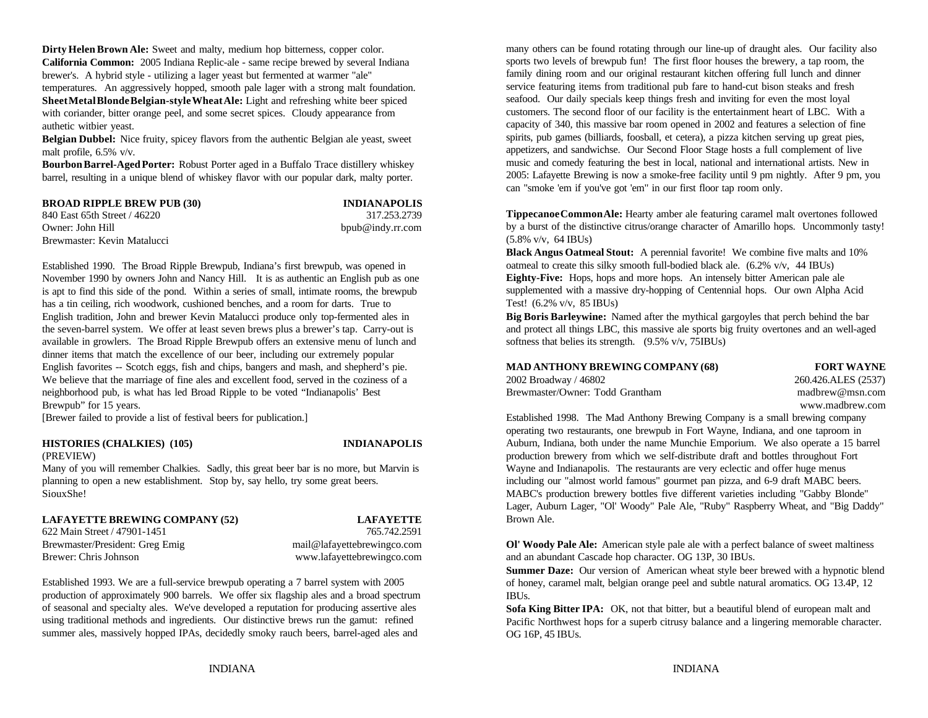**Dirty Helen Brown Ale:** Sweet and malty, medium hop bitterness, copper color. **California Common:** 2005 Indiana Replic-ale - same recipe brewed by several Indiana brewer's. A hybrid style - utilizing a lager yeast but fermented at warmer "ale" temperatures. An aggressively hopped, smooth pale lager with a strong malt foundation. **Sheet Metal Blonde Belgian-style Wheat Ale:** Light and refreshing white beer spiced with coriander, bitter orange peel, and some secret spices. Cloudy appearance from authetic witbier yeast.

**Belgian Dubbel:** Nice fruity, spicey flavors from the authentic Belgian ale yeast, sweet malt profile, 6.5% v/v.

**Bourbon Barrel-Aged Porter:** Robust Porter aged in a Buffalo Trace distillery whiskey barrel, resulting in a unique blend of whiskey flavor with our popular dark, malty porter.

| <b>BROAD RIPPLE BREW PUB (30)</b> | <b>INDIANAPOLIS</b> |
|-----------------------------------|---------------------|
| 840 East 65th Street / 46220      | 317.253.2739        |
| Owner: John Hill                  | bpub@indy.rr.com    |
| Brewmaster: Kevin Matalucci       |                     |

Established 1990. The Broad Ripple Brewpub, Indiana's first brewpub, was opened in November 1990 by owners John and Nancy Hill. It is as authentic an English pub as one is apt to find this side of the pond. Within a series of small, intimate rooms, the brewpub has a tin ceiling, rich woodwork, cushioned benches, and a room for darts. True to English tradition, John and brewer Kevin Matalucci produce only top-fermented ales in the seven-barrel system. We offer at least seven brews plus a brewer's tap. Carry-out is available in growlers. The Broad Ripple Brewpub offers an extensive menu of lunch and dinner items that match the excellence of our beer, including our extremely popular English favorites -- Scotch eggs, fish and chips, bangers and mash, and shepherd's pie. **MAD ANTHONY BREWING COMPANY (68) FORT WAYNE** We believe that the marriage of fine ales and excellent food, served in the coziness of a neighborhood pub, is what has led Broad Ripple to be voted "Indianapolis' Best Brewpub" for 15 years.

[Brewer failed to provide a list of festival beers for publication.]

### **HISTORIES (CHALKIES) (105) INDIANAPOLIS** (PREVIEW)

Many of you will remember Chalkies. Sadly, this great beer bar is no more, but Marvin is planning to open a new establishment. Stop by, say hello, try some great beers. SiouxShe!

### **LAFAYETTE BREWING COMPANY (52) LAFAYETTE**

622 Main Street / 47901-1451 765.742.2591

Established 1993. We are a full-service brewpub operating a 7 barrel system with 2005 production of approximately 900 barrels. We offer six flagship ales and a broad spectrum of seasonal and specialty ales. We've developed a reputation for producing assertive ales using traditional methods and ingredients. Our distinctive brews run the gamut: refined summer ales, massively hopped IPAs, decidedly smoky rauch beers, barrel-aged ales and

many others can be found rotating through our line-up of draught ales. Our facility also sports two levels of brewpub fun! The first floor houses the brewery, a tap room, the family dining room and our original restaurant kitchen offering full lunch and dinner service featuring items from traditional pub fare to hand-cut bison steaks and fresh seafood. Our daily specials keep things fresh and inviting for even the most loyal customers. The second floor of our facility is the entertainment heart of LBC. With a capacity of 340, this massive bar room opened in 2002 and features a selection of fine spirits, pub games (billiards, foosball, et cetera), a pizza kitchen serving up great pies, appetizers, and sandwichse. Our Second Floor Stage hosts a full complement of live music and comedy featuring the best in local, national and international artists. New in 2005: Lafayette Brewing is now a smoke-free facility until 9 pm nightly. After 9 pm, you can "smoke 'em if you've got 'em" in our first floor tap room only.

**Tippecanoe Common Ale:** Hearty amber ale featuring caramel malt overtones followed by a burst of the distinctive citrus/orange character of Amarillo hops. Uncommonly tasty! (5.8% v/v, 64 IBUs)

**Black Angus Oatmeal Stout:** A perennial favorite! We combine five malts and 10% oatmeal to create this silky smooth full-bodied black ale. (6.2% v/v, 44 IBUs) **Eighty-Five:** Hops, hops and more hops. An intensely bitter American pale ale supplemented with a massive dry-hopping of Centennial hops. Our own Alpha Acid Test! (6.2% v/v, 85 IBUs)

**Big Boris Barleywine:** Named after the mythical gargoyles that perch behind the bar and protect all things LBC, this massive ale sports big fruity overtones and an well-aged softness that belies its strength. (9.5% v/v, 75IBUs)

| <b>MAD ANTHONY BREWING COMPANY (68)</b> | <b>FORT WAYNE</b>   |
|-----------------------------------------|---------------------|
| 2002 Broadway / 46802                   | 260.426.ALES (2537) |
| Brewmaster/Owner: Todd Grantham         | madbrew@msn.com     |

www.madbrew.com

Established 1998. The Mad Anthony Brewing Company is a small brewing company operating two restaurants, one brewpub in Fort Wayne, Indiana, and one taproom in Auburn, Indiana, both under the name Munchie Emporium. We also operate a 15 barrel production brewery from which we self-distribute draft and bottles throughout Fort Wayne and Indianapolis. The restaurants are very eclectic and offer huge menus including our "almost world famous" gourmet pan pizza, and 6-9 draft MABC beers. MABC's production brewery bottles five different varieties including "Gabby Blonde" Lager, Auburn Lager, "Ol' Woody" Pale Ale, "Ruby" Raspberry Wheat, and "Big Daddy" Brown Ale.

Brewmaster/President: Greg Emig mail@lafayettebrewingco.com **Ol' Woody Pale Ale:** American style pale ale with a perfect balance of sweet maltiness Brewer: Chris Johnson www.lafayettebrewingco.com and an abundant Cascade hop character. OG 13P, 30 IBUs.

> **Summer Daze:** Our version of American wheat style beer brewed with a hypnotic blend of honey, caramel malt, belgian orange peel and subtle natural aromatics. OG 13.4P, 12 IBUs.

> **Sofa King Bitter IPA:** OK, not that bitter, but a beautiful blend of european malt and Pacific Northwest hops for a superb citrusy balance and a lingering memorable character. OG 16P, 45 IBUs.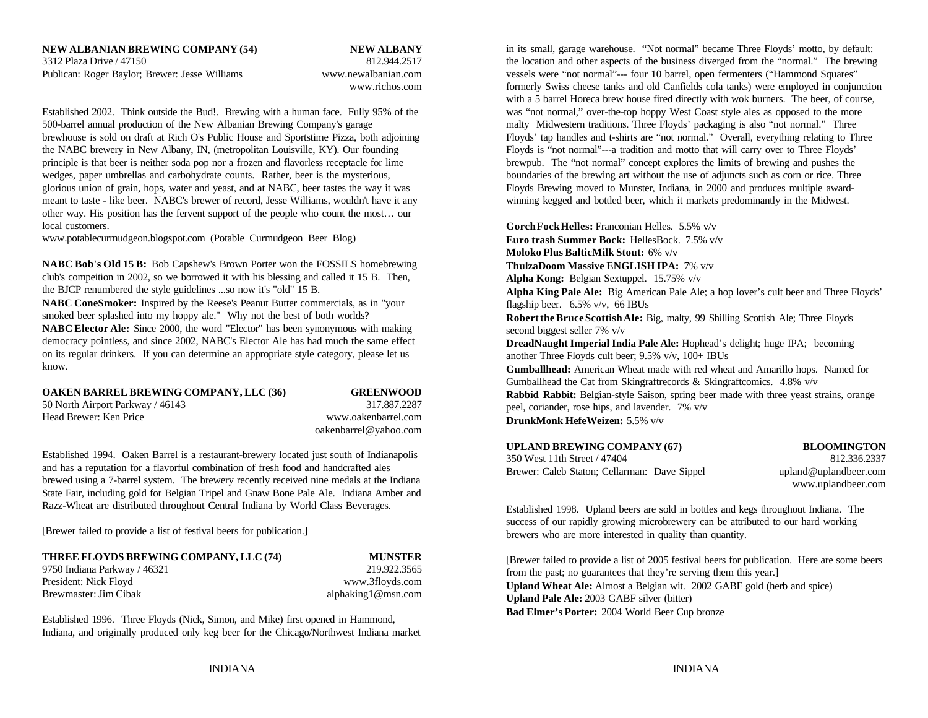Established 2002. Think outside the Bud!. Brewing with a human face. Fully 95% of the was "not normal," over-the-top hoppy West Coast style ales as opposed to the more 500-barrel annual production of the New Albanian Brewing Company's garage malty Midwestern traditions. Three Floyds' packaging is also "not normal." Three brewhouse is sold on draft at Rich O's Public House and Sportstime Pizza, both adjoining Floyds' tap handles and t-shirts are "not normal." Overall, everything relating to Three the NABC brewery in New Albany, IN, (metropolitan Louisville, KY). Our founding Floyds is "not normal"---a tradition and motto that will carry over to Three Floyds' principle is that beer is neither soda pop nor a frozen and flavorless receptacle for lime brewpub. The "not normal" concept explores the limits of brewing and pushes the wedges, paper umbrellas and carbohydrate counts. Rather, beer is the mysterious, boundaries of the brewing art without the use of adjuncts such as corn or rice. Three glorious union of grain, hops, water and yeast, and at NABC, beer tastes the way it was Floyds Brewing moved to Munster, Indiana, in 2000 and produces multiple awardmeant to taste - like beer. NABC's brewer of record, Jesse Williams, wouldn't have it any winning kegged and bottled beer, which it markets predominantly in the Midwest. other way. His position has the fervent support of the people who count the most… our local customers.

www.potablecurmudgeon.blogspot.com (Potable Curmudgeon Beer Blog)

**NABC Bob's Old 15 B:** Bob Capshew's Brown Porter won the FOSSILS homebrewing club's compeition in 2002, so we borrowed it with his blessing and called it 15 B. Then, the BJCP renumbered the style guidelines ...so now it's "old" 15 B.

**NABC ConeSmoker:** Inspired by the Reese's Peanut Butter commercials, as in "your smoked beer splashed into my hoppy ale." Why not the best of both worlds? **NABC Elector Ale:** Since 2000, the word "Elector" has been synonymous with making democracy pointless, and since 2002, NABC's Elector Ale has had much the same effect on its regular drinkers. If you can determine an appropriate style category, please let us know.

### **OAKEN BARREL BREWING COMPANY, LLC (36) GREENWOOD**

50 North Airport Parkway / 46143 317.887.2287

Head Brewer: Ken Price www.oakenbarrel.com

oakenbarrel@yahoo.com

Established 1994. Oaken Barrel is a restaurant-brewery located just south of Indianapolis and has a reputation for a flavorful combination of fresh food and handcrafted ales brewed using a 7-barrel system. The brewery recently received nine medals at the Indiana State Fair, including gold for Belgian Tripel and Gnaw Bone Pale Ale. Indiana Amber and Razz-Wheat are distributed throughout Central Indiana by World Class Beverages.

[Brewer failed to provide a list of festival beers for publication.]

| THREE FLOYDS BREWING COMPANY, LLC (74) | <b>MUNSTER</b>      |
|----------------------------------------|---------------------|
| 9750 Indiana Parkway / 46321           | 219.922.3565        |
| President: Nick Floyd                  | www.3floyds.com     |
| Brewmaster: Jim Cibak                  | alphaking 1@msn.com |

Established 1996. Three Floyds (Nick, Simon, and Mike) first opened in Hammond, Indiana, and originally produced only keg beer for the Chicago/Northwest Indiana market

3312 Plaza Drive / 47150 812.944.2517 the location and other aspects of the business diverged from the "normal." The brewing Publican: Roger Baylor; Brewer: Jesse Williams www.newalbanian.com vessels were "not normal"--- four 10 barrel, open fermenters ("Hammond Squares" www.richos.com formerly Swiss cheese tanks and old Canfields cola tanks) were employed in conjunction in its small, garage warehouse. "Not normal" became Three Floyds' motto, by default: with a 5 barrel Horeca brew house fired directly with wok burners. The beer, of course,

> **Gorch Fock Helles:** Franconian Helles. 5.5% v/v **Euro trash Summer Bock:** HellesBock. 7.5% v/v **Moloko Plus BalticMilk Stout:** 6% v/v **ThulzaDoom Massive ENGLISH IPA:** 7% v/v **Alpha Kong:** Belgian Sextuppel. 15.75% v/v **Alpha King Pale Ale:** Big American Pale Ale; a hop lover's cult beer and Three Floyds' flagship beer. 6.5% v/v, 66 IBUs **Robert the Bruce Scottish Ale:** Big, malty, 99 Shilling Scottish Ale; Three Floyds second biggest seller 7% v/v **DreadNaught Imperial India Pale Ale:** Hophead's delight; huge IPA; becoming another Three Floyds cult beer; 9.5% v/v, 100+ IBUs **Gumballhead:** American Wheat made with red wheat and Amarillo hops. Named for Gumballhead the Cat from Skingraftrecords & Skingraftcomics.  $4.8\%$  v/v **Rabbid Rabbit:** Belgian-style Saison, spring beer made with three yeast strains, orange peel, coriander, rose hips, and lavender. 7% v/v **DrunkMonk HefeWeizen:** 5.5% v/v

| UPLAND BREWING COMPANY (67)                  |  |
|----------------------------------------------|--|
| 350 West 11th Street / 47404                 |  |
| Brewer: Caleb Staton; Cellarman: Dave Sippel |  |

**UPLAND BREWING COMPANY (67) BLOOMINGTON** 812.336.2337 upland@uplandbeer.com www.uplandbeer.com

Established 1998. Upland beers are sold in bottles and kegs throughout Indiana. The success of our rapidly growing microbrewery can be attributed to our hard working brewers who are more interested in quality than quantity.

[Brewer failed to provide a list of 2005 festival beers for publication. Here are some beers from the past; no guarantees that they're serving them this year.] **Upland Wheat Ale:** Almost a Belgian wit. 2002 GABF gold (herb and spice) **Upland Pale Ale:** 2003 GABF silver (bitter) **Bad Elmer's Porter:** 2004 World Beer Cup bronze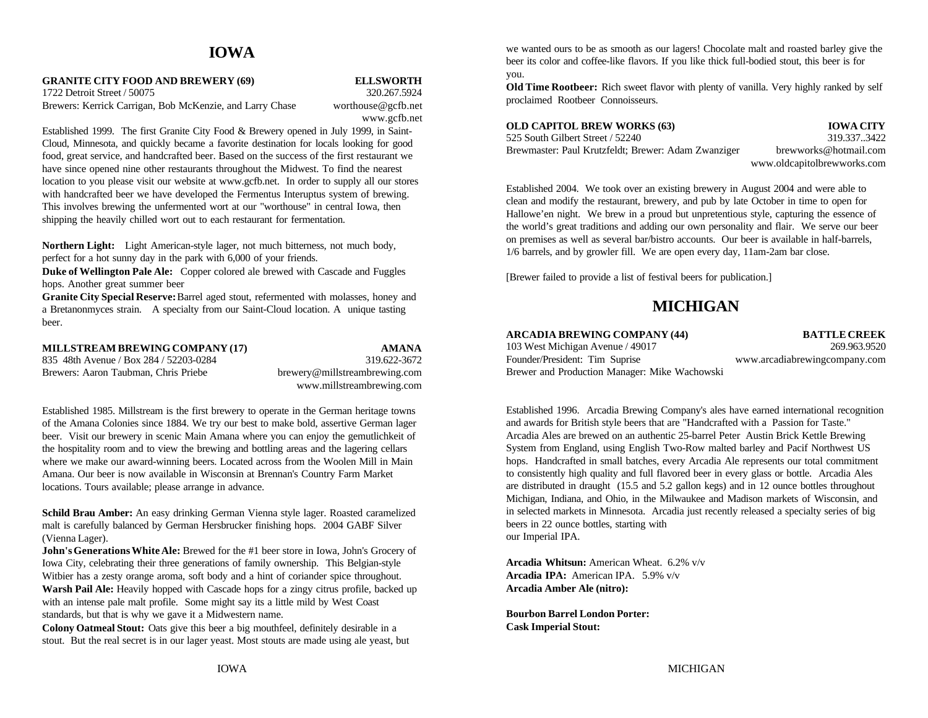## **IOWA**

### **GRANITE CITY FOOD AND BREWERY (69) ELLSWORTH**

1722 Detroit Street / 50075 320.267.5924 Brewers: Kerrick Carrigan, Bob McKenzie, and Larry Chase worthouse@gcfb.net

www.gcfb.net

Established 1999. The first Granite City Food & Brewery opened in July 1999, in Saint-Cloud, Minnesota, and quickly became a favorite destination for locals looking for good food, great service, and handcrafted beer. Based on the success of the first restaurant we have since opened nine other restaurants throughout the Midwest. To find the nearest location to you please visit our website at www.gcfb.net. In order to supply all our stores with handcrafted beer we have developed the Fermentus Interuptus system of brewing. This involves brewing the unfermented wort at our "worthouse" in central Iowa, then shipping the heavily chilled wort out to each restaurant for fermentation.

**Northern Light:** Light American-style lager, not much bitterness, not much body, perfect for a hot sunny day in the park with 6,000 of your friends.

**Duke of Wellington Pale Ale:** Copper colored ale brewed with Cascade and Fuggles hops. Another great summer beer

**Granite City Special Reserve:** Barrel aged stout, refermented with molasses, honey and a Bretanonmyces strain. A specialty from our Saint-Cloud location. A unique tasting beer.

### **MILLSTREAM BREWING COMPANY (17) AMANA**

835 48th Avenue / Box 284 / 52203-0284 319.622-3672 Brewers: Aaron Taubman, Chris Priebe brewery@millstreambrewing.com

www.millstreambrewing.com

Established 1985. Millstream is the first brewery to operate in the German heritage towns of the Amana Colonies since 1884. We try our best to make bold, assertive German lager beer. Visit our brewery in scenic Main Amana where you can enjoy the gemutlichkeit of the hospitality room and to view the brewing and bottling areas and the lagering cellars where we make our award-winning beers. Located across from the Woolen Mill in Main Amana. Our beer is now available in Wisconsin at Brennan's Country Farm Market locations. Tours available; please arrange in advance.

**Schild Brau Amber:** An easy drinking German Vienna style lager. Roasted caramelized malt is carefully balanced by German Hersbrucker finishing hops. 2004 GABF Silver (Vienna Lager).

**John's Generations White Ale:** Brewed for the #1 beer store in Iowa, John's Grocery of Iowa City, celebrating their three generations of family ownership. This Belgian-style Witbier has a zesty orange aroma, soft body and a hint of coriander spice throughout. **Warsh Pail Ale:** Heavily hopped with Cascade hops for a zingy citrus profile, backed up with an intense pale malt profile. Some might say its a little mild by West Coast standards, but that is why we gave it a Midwestern name.

**Colony Oatmeal Stout:** Oats give this beer a big mouthfeel, definitely desirable in a stout. But the real secret is in our lager yeast. Most stouts are made using ale yeast, but

we wanted ours to be as smooth as our lagers! Chocolate malt and roasted barley give the beer its color and coffee-like flavors. If you like thick full-bodied stout, this beer is for you.

**Old Time Rootbeer:** Rich sweet flavor with plenty of vanilla. Very highly ranked by self proclaimed Rootbeer Connoisseurs.

| <b>OLD CAPITOL BREW WORKS (63)</b>                  |
|-----------------------------------------------------|
| 525 South Gilbert Street / 52240                    |
| Brewmaster: Paul Krutzfeldt; Brewer: Adam Zwanziger |

**IOWA CITY** 319.337..3422 brewworks@hotmail.com www.oldcapitolbrewworks.com

Established 2004. We took over an existing brewery in August 2004 and were able to clean and modify the restaurant, brewery, and pub by late October in time to open for Hallowe'en night. We brew in a proud but unpretentious style, capturing the essence of the world's great traditions and adding our own personality and flair. We serve our beer on premises as well as several bar/bistro accounts. Our beer is available in half-barrels, 1/6 barrels, and by growler fill. We are open every day, 11am-2am bar close.

[Brewer failed to provide a list of festival beers for publication.]

## **MICHIGAN**

103 West Michigan Avenue / 49017 Founder/President: Tim Suprise www.arcadiabrewingcompany.com Brewer and Production Manager: Mike Wachowski

**ARCADIA BREWING COMPANY (44) BATTLE CREEK**<br>103 West Michigan Avenue / 49017 **BATTLE CREEK** 

Established 1996. Arcadia Brewing Company's ales have earned international recognition and awards for British style beers that are "Handcrafted with a Passion for Taste." Arcadia Ales are brewed on an authentic 25-barrel Peter Austin Brick Kettle Brewing System from England, using English Two-Row malted barley and Pacif Northwest US hops. Handcrafted in small batches, every Arcadia Ale represents our total commitment to consistently high quality and full flavored beer in every glass or bottle. Arcadia Ales are distributed in draught (15.5 and 5.2 gallon kegs) and in 12 ounce bottles throughout Michigan, Indiana, and Ohio, in the Milwaukee and Madison markets of Wisconsin, and in selected markets in Minnesota. Arcadia just recently released a specialty series of big beers in 22 ounce bottles, starting with our Imperial IPA.

**Arcadia Whitsun:** American Wheat. 6.2% v/v **Arcadia IPA:** American IPA. 5.9% v/v **Arcadia Amber Ale (nitro):**

**Bourbon Barrel London Porter: Cask Imperial Stout:**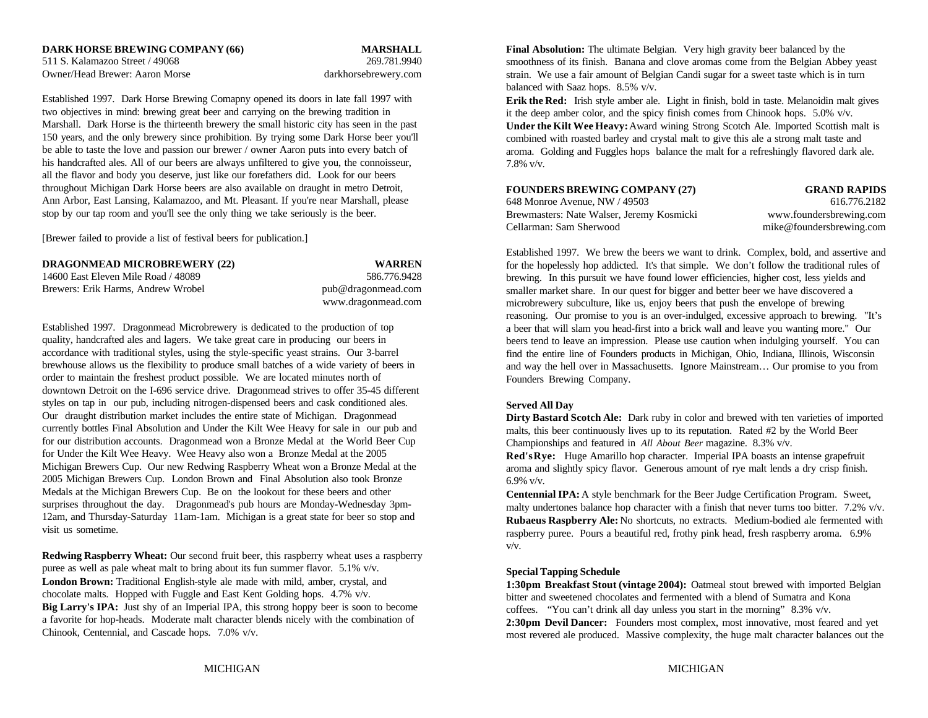511 S. Kalamazoo Street / 49068 269.781.9940 Owner/Head Brewer: Aaron Morse darkhorsebrewery.com

Established 1997. Dark Horse Brewing Comapny opened its doors in late fall 1997 with two objectives in mind: brewing great beer and carrying on the brewing tradition in Marshall. Dark Horse is the thirteenth brewery the small historic city has seen in the past 150 years, and the only brewery since prohibition. By trying some Dark Horse beer you'll be able to taste the love and passion our brewer / owner Aaron puts into every batch of his handcrafted ales. All of our beers are always unfiltered to give you, the connoisseur, all the flavor and body you deserve, just like our forefathers did. Look for our beers throughout Michigan Dark Horse beers are also available on draught in metro Detroit, Ann Arbor, East Lansing, Kalamazoo, and Mt. Pleasant. If you're near Marshall, please stop by our tap room and you'll see the only thing we take seriously is the beer.

[Brewer failed to provide a list of festival beers for publication.]

| <b>DRAGONMEAD MICROBREWERY (22)</b> |  | <b>WARREN</b> |
|-------------------------------------|--|---------------|
|-------------------------------------|--|---------------|

| DRIGOTWIERD MICRODRETTERI (22)      | ,,,,,,,,,,,,       |
|-------------------------------------|--------------------|
| 14600 East Eleven Mile Road / 48089 | 586.776.9428       |
| Brewers: Erik Harms. Andrew Wrobel  | pub@dragonmead.com |
|                                     | www.dragonmead.com |

Established 1997. Dragonmead Microbrewery is dedicated to the production of top quality, handcrafted ales and lagers. We take great care in producing our beers in accordance with traditional styles, using the style-specific yeast strains. Our 3-barrel brewhouse allows us the flexibility to produce small batches of a wide variety of beers in order to maintain the freshest product possible. We are located minutes north of downtown Detroit on the I-696 service drive. Dragonmead strives to offer 35-45 different styles on tap in our pub, including nitrogen-dispensed beers and cask conditioned ales. Our draught distribution market includes the entire state of Michigan. Dragonmead currently bottles Final Absolution and Under the Kilt Wee Heavy for sale in our pub and for our distribution accounts. Dragonmead won a Bronze Medal at the World Beer Cup for Under the Kilt Wee Heavy. Wee Heavy also won a Bronze Medal at the 2005 Michigan Brewers Cup. Our new Redwing Raspberry Wheat won a Bronze Medal at the 2005 Michigan Brewers Cup. London Brown and Final Absolution also took Bronze Medals at the Michigan Brewers Cup. Be on the lookout for these beers and other surprises throughout the day. Dragonmead's pub hours are Monday-Wednesday 3pm-12am, and Thursday-Saturday 11am-1am. Michigan is a great state for beer so stop and visit us sometime.

**Redwing Raspberry Wheat:** Our second fruit beer, this raspberry wheat uses a raspberry puree as well as pale wheat malt to bring about its fun summer flavor. 5.1% v/v. **London Brown:** Traditional English-style ale made with mild, amber, crystal, and chocolate malts. Hopped with Fuggle and East Kent Golding hops. 4.7% v/v. **Big Larry's IPA:** Just shy of an Imperial IPA, this strong hoppy beer is soon to become a favorite for hop-heads. Moderate malt character blends nicely with the combination of Chinook, Centennial, and Cascade hops. 7.0% v/v.

**DARK HORSE BREWING COMPANY (66) MARSHALL Final Absolution:** The ultimate Belgian. Very high gravity beer balanced by the smoothness of its finish. Banana and clove aromas come from the Belgian Abbey yeast strain. We use a fair amount of Belgian Candi sugar for a sweet taste which is in turn balanced with Saaz hops. 8.5% v/v.

> **Erik the Red:** Irish style amber ale. Light in finish, bold in taste. Melanoidin malt gives it the deep amber color, and the spicy finish comes from Chinook hops. 5.0% v/v. **Under the Kilt Wee Heavy:** Award wining Strong Scotch Ale. Imported Scottish malt is combined with roasted barley and crystal malt to give this ale a strong malt taste and aroma. Golding and Fuggles hops balance the malt for a refreshingly flavored dark ale. 7.8% v/v.

### **FOUNDERS BREWING COMPANY (27) GRAND RAPIDS**

648 Monroe Avenue, NW / 49503 616.776.2182 Brewmasters: Nate Walser, Jeremy Kosmicki www.foundersbrewing.com Cellarman: Sam Sherwood mike@foundersbrewing.com

Established 1997. We brew the beers we want to drink. Complex, bold, and assertive and for the hopelessly hop addicted. It's that simple. We don't follow the traditional rules of brewing. In this pursuit we have found lower efficiencies, higher cost, less yields and smaller market share. In our quest for bigger and better beer we have discovered a microbrewery subculture, like us, enjoy beers that push the envelope of brewing reasoning. Our promise to you is an over-indulged, excessive approach to brewing. "It's a beer that will slam you head-first into a brick wall and leave you wanting more." Our beers tend to leave an impression. Please use caution when indulging yourself. You can find the entire line of Founders products in Michigan, Ohio, Indiana, Illinois, Wisconsin and way the hell over in Massachusetts. Ignore Mainstream… Our promise to you from Founders Brewing Company.

### **Served All Day**

**Dirty Bastard Scotch Ale:** Dark ruby in color and brewed with ten varieties of imported malts, this beer continuously lives up to its reputation. Rated #2 by the World Beer Championships and featured in *All About Beer* magazine. 8.3% v/v.

**Red's Rye:** Huge Amarillo hop character. Imperial IPA boasts an intense grapefruit aroma and slightly spicy flavor. Generous amount of rye malt lends a dry crisp finish. 6.9% v/v.

**Centennial IPA:** A style benchmark for the Beer Judge Certification Program. Sweet, malty undertones balance hop character with a finish that never turns too bitter. 7.2%  $v/v$ . **Rubaeus Raspberry Ale:** No shortcuts, no extracts. Medium-bodied ale fermented with raspberry puree. Pours a beautiful red, frothy pink head, fresh raspberry aroma. 6.9% v/v.

### **Special Tapping Schedule**

**1:30pm Breakfast Stout (vintage 2004):** Oatmeal stout brewed with imported Belgian bitter and sweetened chocolates and fermented with a blend of Sumatra and Kona coffees. "You can't drink all day unless you start in the morning" 8.3% v/v. **2:30pm Devil Dancer:** Founders most complex, most innovative, most feared and yet most revered ale produced. Massive complexity, the huge malt character balances out the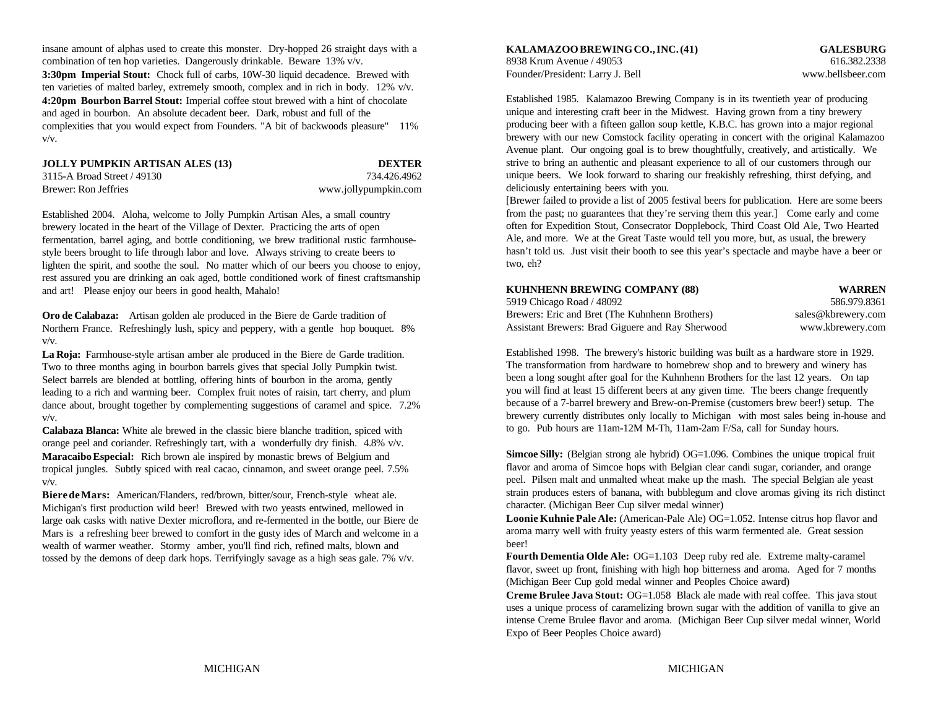insane amount of alphas used to create this monster. Dry-hopped 26 straight days with a combination of ten hop varieties. Dangerously drinkable. Beware 13% v/v. 8938 Krum Avenue / 49053 616.382.2338 **3:30pm Imperial Stout:** Chock full of carbs, 10W-30 liquid decadence. Brewed with ten varieties of malted barley, extremely smooth, complex and in rich in body. 12% v/v. **4:20pm Bourbon Barrel Stout:** Imperial coffee stout brewed with a hint of chocolate and aged in bourbon. An absolute decadent beer. Dark, robust and full of the complexities that you would expect from Founders. "A bit of backwoods pleasure" 11% v/v.

| JOLLY PUMPKIN ARTISAN ALES (13) | <b>DEXTER</b>        |
|---------------------------------|----------------------|
| 3115-A Broad Street / 49130     | 734.426.4962         |
| Brewer: Ron Jeffries            | www.jollypumpkin.com |

Established 2004. Aloha, welcome to Jolly Pumpkin Artisan Ales, a small country brewery located in the heart of the Village of Dexter. Practicing the arts of open fermentation, barrel aging, and bottle conditioning, we brew traditional rustic farmhousestyle beers brought to life through labor and love. Always striving to create beers to lighten the spirit, and soothe the soul. No matter which of our beers you choose to enjoy, rest assured you are drinking an oak aged, bottle conditioned work of finest craftsmanship and art! Please enjoy our beers in good health, Mahalo!

**Oro de Calabaza:** Artisan golden ale produced in the Biere de Garde tradition of Northern France. Refreshingly lush, spicy and peppery, with a gentle hop bouquet. 8% v/v.

**La Roja:** Farmhouse-style artisan amber ale produced in the Biere de Garde tradition. Two to three months aging in bourbon barrels gives that special Jolly Pumpkin twist. Select barrels are blended at bottling, offering hints of bourbon in the aroma, gently leading to a rich and warming beer. Complex fruit notes of raisin, tart cherry, and plum dance about, brought together by complementing suggestions of caramel and spice. 7.2% v/v.

**Calabaza Blanca:** White ale brewed in the classic biere blanche tradition, spiced with orange peel and coriander. Refreshingly tart, with a wonderfully dry finish. 4.8% v/v. **Maracaibo Especial:** Rich brown ale inspired by monastic brews of Belgium and tropical jungles. Subtly spiced with real cacao, cinnamon, and sweet orange peel. 7.5% v/v.

**Biere de Mars:** American/Flanders, red/brown, bitter/sour, French-style wheat ale. Michigan's first production wild beer! Brewed with two yeasts entwined, mellowed in large oak casks with native Dexter microflora, and re-fermented in the bottle, our Biere de Mars is a refreshing beer brewed to comfort in the gusty ides of March and welcome in a wealth of warmer weather. Stormy amber, you'll find rich, refined malts, blown and tossed by the demons of deep dark hops. Terrifyingly savage as a high seas gale. 7% v/v.

**KALAMAZOO BREWING CO., INC. (41) GALESBURG** Founder/President: Larry J. Bell www.bellsbeer.com

Established 1985. Kalamazoo Brewing Company is in its twentieth year of producing unique and interesting craft beer in the Midwest. Having grown from a tiny brewery producing beer with a fifteen gallon soup kettle, K.B.C. has grown into a major regional brewery with our new Comstock facility operating in concert with the original Kalamazoo Avenue plant. Our ongoing goal is to brew thoughtfully, creatively, and artistically. We strive to bring an authentic and pleasant experience to all of our customers through our unique beers. We look forward to sharing our freakishly refreshing, thirst defying, and deliciously entertaining beers with you.

[Brewer failed to provide a list of 2005 festival beers for publication. Here are some beers from the past; no guarantees that they're serving them this year.] Come early and come often for Expedition Stout, Consecrator Dopplebock, Third Coast Old Ale, Two Hearted Ale, and more. We at the Great Taste would tell you more, but, as usual, the brewery hasn't told us. Just visit their booth to see this year's spectacle and maybe have a beer or two, eh?

| KUHNHENN BREWING COMPANY (88) | <b>WARREN</b> |
|-------------------------------|---------------|
|-------------------------------|---------------|

| 5919 Chicago Road / 48092                        | 586.979.8361       |
|--------------------------------------------------|--------------------|
| Brewers: Eric and Bret (The Kuhnhenn Brothers)   | sales@kbrewery.com |
| Assistant Brewers: Brad Giguere and Ray Sherwood | www.kbrewery.com   |

Established 1998. The brewery's historic building was built as a hardware store in 1929. The transformation from hardware to homebrew shop and to brewery and winery has been a long sought after goal for the Kuhnhenn Brothers for the last 12 years. On tap you will find at least 15 different beers at any given time. The beers change frequently because of a 7-barrel brewery and Brew-on-Premise (customers brew beer!) setup. The brewery currently distributes only locally to Michigan with most sales being in-house and to go. Pub hours are 11am-12M M-Th, 11am-2am F/Sa, call for Sunday hours.

**Simcoe Silly:** (Belgian strong ale hybrid) OG=1.096. Combines the unique tropical fruit flavor and aroma of Simcoe hops with Belgian clear candi sugar, coriander, and orange peel. Pilsen malt and unmalted wheat make up the mash. The special Belgian ale yeast strain produces esters of banana, with bubblegum and clove aromas giving its rich distinct character. (Michigan Beer Cup silver medal winner)

**Loonie Kuhnie Pale Ale:** (American-Pale Ale) OG=1.052. Intense citrus hop flavor and aroma marry well with fruity yeasty esters of this warm fermented ale. Great session beer!

**Fourth Dementia Olde Ale:** OG=1.103 Deep ruby red ale. Extreme malty-caramel flavor, sweet up front, finishing with high hop bitterness and aroma. Aged for 7 months (Michigan Beer Cup gold medal winner and Peoples Choice award)

**Creme Brulee Java Stout:** OG=1.058 Black ale made with real coffee. This java stout uses a unique process of caramelizing brown sugar with the addition of vanilla to give an intense Creme Brulee flavor and aroma. (Michigan Beer Cup silver medal winner, World Expo of Beer Peoples Choice award)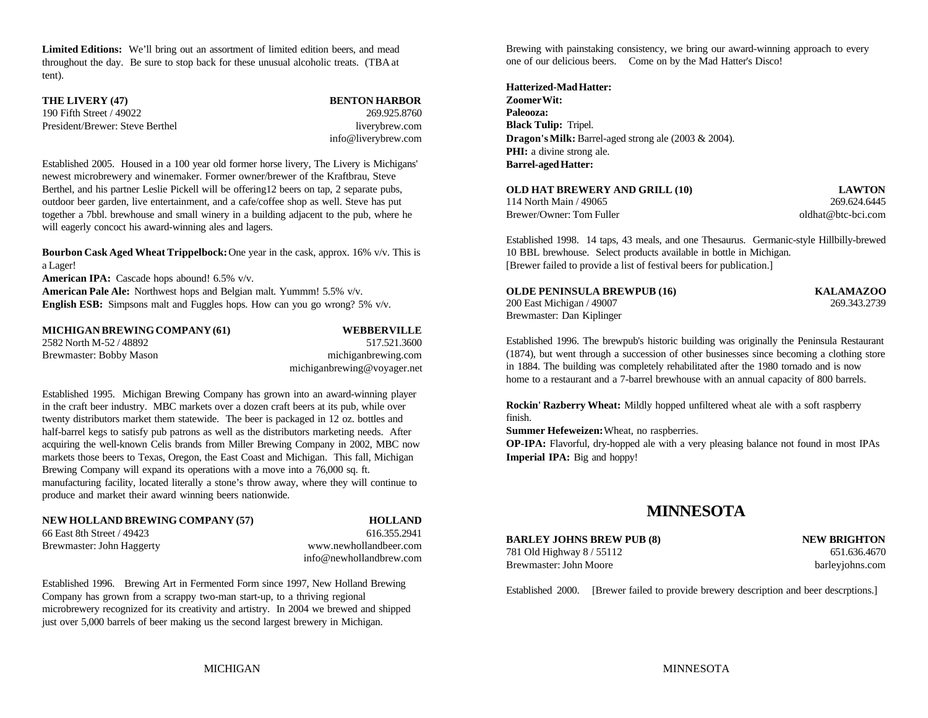**Limited Editions:** We'll bring out an assortment of limited edition beers, and mead throughout the day. Be sure to stop back for these unusual alcoholic treats. (TBA at tent).

| THE LIVERY (47)                 | <b>BENTON HARBOR</b>                     |
|---------------------------------|------------------------------------------|
| 190 Fifth Street / 49022        | 269.925.8760                             |
| President/Brewer: Steve Berthel | liverybrew.com                           |
|                                 | $inf_{\alpha}$ $\alpha$ liver throw game |

Established 2005. Housed in a 100 year old former horse livery, The Livery is Michigans' newest microbrewery and winemaker. Former owner/brewer of the Kraftbrau, Steve Berthel, and his partner Leslie Pickell will be offering12 beers on tap, 2 separate pubs, outdoor beer garden, live entertainment, and a cafe/coffee shop as well. Steve has put together a 7bbl. brewhouse and small winery in a building adjacent to the pub, where he will eagerly concoct his award-winning ales and lagers.

**Bourbon Cask Aged Wheat Trippelbock:** One year in the cask, approx. 16% v/v. This is 10 BBL brewhouse. Select products available in bottle in Michigan. a Lager! [Brewer failed to provide a list of festival beers for publication.]

**American IPA:** Cascade hops abound! 6.5% v/v. **American Pale Ale:** Northwest hops and Belgian malt. Yummm! 5.5% v/v.

**English ESB:** Simpsons malt and Fuggles hops. How can you go wrong? 5% v/v.

| MICHIGAN BREWING COMPANY (61) | <b>WEBBERVILLE</b>          |
|-------------------------------|-----------------------------|
| 2582 North M-52 / 48892       | 517.521.3600                |
| Brewmaster: Bobby Mason       | michiganbrewing.com         |
|                               | michiganbrewing@voyager.net |

Established 1995. Michigan Brewing Company has grown into an award-winning player in the craft beer industry. MBC markets over a dozen craft beers at its pub, while over twenty distributors market them statewide. The beer is packaged in 12 oz. bottles and half-barrel kegs to satisfy pub patrons as well as the distributors marketing needs. After acquiring the well-known Celis brands from Miller Brewing Company in 2002, MBC now markets those beers to Texas, Oregon, the East Coast and Michigan. This fall, Michigan **Imperial IPA:** Big and hoppy! Brewing Company will expand its operations with a move into a 76,000 sq. ft. manufacturing facility, located literally a stone's throw away, where they will continue to produce and market their award winning beers nationwide.

## **NEW HOLLAND BREWING COMPANY (57) HOLLAND**

66 East 8th Street / 49423 616.355.2941

Brewmaster: John Haggerty www.newhollandbeer.com info@newhollandbrew.com

Established 1996. Brewing Art in Fermented Form since 1997, New Holland Brewing Company has grown from a scrappy two-man start-up, to a thriving regional microbrewery recognized for its creativity and artistry. In 2004 we brewed and shipped just over 5,000 barrels of beer making us the second largest brewery in Michigan.

Brewing with painstaking consistency, we bring our award-winning approach to every one of our delicious beers. Come on by the Mad Hatter's Disco!

### **Hatterized-Mad Hatter:**

info@liverybrew.com **Dragon's Milk:** Barrel-aged strong ale (2003 & 2004). **Zoomer Wit: Paleooza: Black Tulip:** Tripel. **PHI:** a divine strong ale. **Barrel-aged Hatter:**

| <b>OLD HAT BREWERY AND GRILL (10)</b> | <b>LAWTON</b>      |
|---------------------------------------|--------------------|
| 114 North Main / 49065                | 269.624.6445       |
| Brewer/Owner: Tom Fuller              | oldhat@btc-bci.com |

Established 1998. 14 taps, 43 meals, and one Thesaurus. Germanic-style Hillbilly-brewed

| OLDE PENINSULA BREWPUB (16) | <b>KALAMAZOO</b> |
|-----------------------------|------------------|
| 200 East Michigan / 49007   | 269.343.2739     |
| Brewmaster: Dan Kiplinger   |                  |

Established 1996. The brewpub's historic building was originally the Peninsula Restaurant (1874), but went through a succession of other businesses since becoming a clothing store in 1884. The building was completely rehabilitated after the 1980 tornado and is now home to a restaurant and a 7-barrel brewhouse with an annual capacity of 800 barrels.

**Rockin' Razberry Wheat:** Mildly hopped unfiltered wheat ale with a soft raspberry finish.

**Summer Hefeweizen:** Wheat, no raspberries.

**OP-IPA:** Flavorful, dry-hopped ale with a very pleasing balance not found in most IPAs

## **MINNESOTA**

**BARLEY JOHNS BREW PUB (8) NEW BRIGHTON** 781 Old Highway 8 / 55112 651.636.4670 Brewmaster: John Moore barleyjohns.com

Established 2000. [Brewer failed to provide brewery description and beer descrptions.]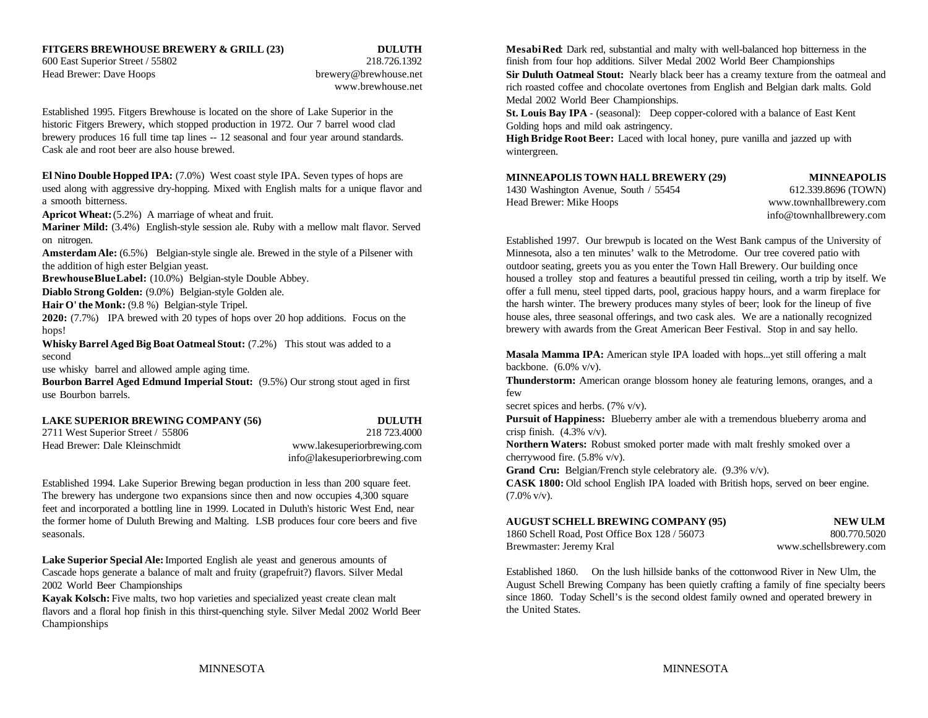Head Brewer: Dave Hoops brewery@brewhouse.net

www.brewhouse.net

Established 1995. Fitgers Brewhouse is located on the shore of Lake Superior in the historic Fitgers Brewery, which stopped production in 1972. Our 7 barrel wood clad brewery produces 16 full time tap lines -- 12 seasonal and four year around standards. Cask ale and root beer are also house brewed.

**El Nino Double Hopped IPA:** (7.0%) West coast style IPA. Seven types of hops are used along with aggressive dry-hopping. Mixed with English malts for a unique flavor and a smooth bitterness.

Apricot Wheat:  $(5.2%)$  A marriage of wheat and fruit.

**Mariner Mild:** (3.4%) English-style session ale. Ruby with a mellow malt flavor. Served on nitrogen.

the addition of high ester Belgian yeast. **outdoor seating**, greets you as you enter the Town Hall Brewery. Our building once

**Brewhouse Blue Label:** (10.0%) Belgian-style Double Abbey.

**Diablo Strong Golden:** (9.0%) Belgian-style Golden ale.

**Hair O' the Monk:** (9.8 %) Belgian-style Tripel.

**2020:** (7.7%) IPA brewed with 20 types of hops over 20 hop additions. Focus on the hops!

**Whisky Barrel Aged Big Boat Oatmeal Stout:** (7.2%) This stout was added to a second

use whisky barrel and allowed ample aging time.

**Bourbon Barrel Aged Edmund Imperial Stout:** (9.5%) Our strong stout aged in first use Bourbon barrels.

## **LAKE SUPERIOR BREWING COMPANY (56) DULUTH**

2711 West Superior Street / 55806 218 723.4000 Head Brewer: Dale Kleinschmidt www.lakesuperiorbrewing.com

info@lakesuperiorbrewing.com

Established 1994. Lake Superior Brewing began production in less than 200 square feet. **CASK 1800:** Old school English IPA loaded with British hops, served on beer engine. The brewery has undergone two expansions since then and now occupies 4,300 square  $(7.0\% \text{ v/v})$ . feet and incorporated a bottling line in 1999. Located in Duluth's historic West End, near the former home of Duluth Brewing and Malting. LSB produces four core beers and five seasonals. 1860 Schell Road, Post Office Box 128 / 56073 800.770.5020

**Lake Superior Special Ale:** Imported English ale yeast and generous amounts of Cascade hops generate a balance of malt and fruity (grapefruit?) flavors. Silver Medal 2002 World Beer Championships

**Kayak Kolsch:** Five malts, two hop varieties and specialized yeast create clean malt flavors and a floral hop finish in this thirst-quenching style. Silver Medal 2002 World Beer Championships

**FITGERS BREWHOUSE BREWERY & GRILL (23) DULUTH Mesabi Red**: Dark red, substantial and malty with well-balanced hop bitterness in the 600 East Superior Street / 55802 218.726.1392 finish from four hop additions. Silver Medal 2002 World Beer Championships **Sir Duluth Oatmeal Stout:** Nearly black beer has a creamy texture from the oatmeal and rich roasted coffee and chocolate overtones from English and Belgian dark malts. Gold Medal 2002 World Beer Championships.

> **St. Louis Bay IPA** - (seasonal): Deep copper-colored with a balance of East Kent Golding hops and mild oak astringency.

> **High Bridge Root Beer:** Laced with local honey, pure vanilla and jazzed up with wintergreen.

### **MINNEAPOLIS TOWN HALL BREWERY (29) MINNEAPOLIS**

1430 Washington Avenue, South / 55454 612.339.8696 (TOWN) Head Brewer: Mike Hoops www.townhallbrewery.com

info@townhallbrewery.com

**Amsterdam Ale:** (6.5%) Belgian-style single ale. Brewed in the style of a Pilsener with Minnesota, also a ten minutes' walk to the Metrodome. Our tree covered patio with Established 1997. Our brewpub is located on the West Bank campus of the University of housed a trolley stop and features a beautiful pressed tin ceiling, worth a trip by itself. We offer a full menu, steel tipped darts, pool, gracious happy hours, and a warm fireplace for the harsh winter. The brewery produces many styles of beer; look for the lineup of five house ales, three seasonal offerings, and two cask ales. We are a nationally recognized brewery with awards from the Great American Beer Festival. Stop in and say hello.

> **Masala Mamma IPA:** American style IPA loaded with hops...yet still offering a malt backbone. (6.0% v/v).

**Thunderstorm:** American orange blossom honey ale featuring lemons, oranges, and a few

secret spices and herbs. (7% v/v).

**Pursuit of Happiness:** Blueberry amber ale with a tremendous blueberry aroma and crisp finish.  $(4.3\% \text{ v/v}).$ 

**Northern Waters:** Robust smoked porter made with malt freshly smoked over a cherrywood fire. (5.8% v/v).

**Grand Cru:** Belgian/French style celebratory ale. (9.3% v/v).

|                  |  |  | <b>AUGUST SCHELL BREWING COMPANY (95)</b> |  |
|------------------|--|--|-------------------------------------------|--|
| . <del>.</del> . |  |  |                                           |  |

Brewmaster: Jeremy Kral www.schellsbrewery.com

**NEW ULM** 

Established 1860. On the lush hillside banks of the cottonwood River in New Ulm, the August Schell Brewing Company has been quietly crafting a family of fine specialty beers since 1860. Today Schell's is the second oldest family owned and operated brewery in the United States.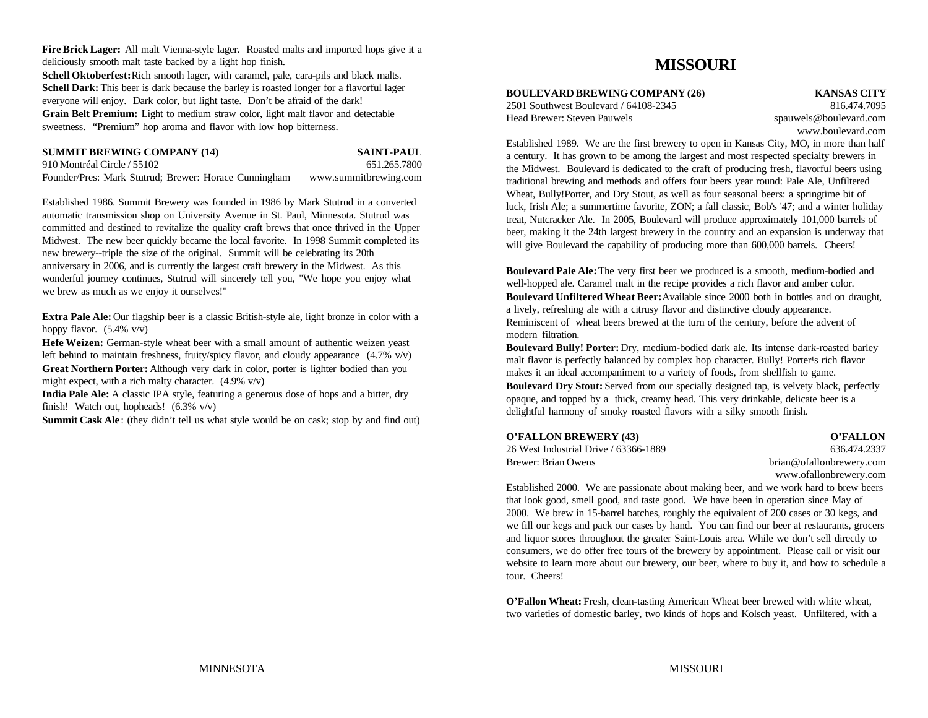**Fire Brick Lager:** All malt Vienna-style lager. Roasted malts and imported hops give it a deliciously smooth malt taste backed by a light hop finish.

Schell Oktoberfest: Rich smooth lager, with caramel, pale, cara-pils and black malts. **Schell Dark:** This beer is dark because the barley is roasted longer for a flavorful lager everyone will enjoy. Dark color, but light taste. Don't be afraid of the dark!

**Grain Belt Premium:** Light to medium straw color, light malt flavor and detectable sweetness. "Premium" hop aroma and flavor with low hop bitterness.

| <b>SUMMIT BREWING COMPANY (14)</b>                    | <b>SAINT-PAUL</b>     |
|-------------------------------------------------------|-----------------------|
| 910 Montréal Circle / 55102                           | 651.265.7800          |
| Founder/Pres: Mark Stutrud; Brewer: Horace Cunningham | www.summitbrewing.com |

Established 1986. Summit Brewery was founded in 1986 by Mark Stutrud in a converted automatic transmission shop on University Avenue in St. Paul, Minnesota. Stutrud was committed and destined to revitalize the quality craft brews that once thrived in the Upper Midwest. The new beer quickly became the local favorite. In 1998 Summit completed its new brewery--triple the size of the original. Summit will be celebrating its 20th anniversary in 2006, and is currently the largest craft brewery in the Midwest. As this wonderful journey continues, Stutrud will sincerely tell you, "We hope you enjoy what we brew as much as we enjoy it ourselves!"

**Extra Pale Ale:** Our flagship beer is a classic British-style ale, light bronze in color with a hoppy flavor.  $(5.4\% \text{ v/v})$ 

**Hefe Weizen:** German-style wheat beer with a small amount of authentic weizen yeast left behind to maintain freshness, fruity/spicy flavor, and cloudy appearance (4.7% v/v) **Great Northern Porter:** Although very dark in color, porter is lighter bodied than you might expect, with a rich malty character. (4.9% v/v)

**India Pale Ale:** A classic IPA style, featuring a generous dose of hops and a bitter, dry finish! Watch out, hopheads! (6.3% v/v)

**Summit Cask Ale**: (they didn't tell us what style would be on cask; stop by and find out)

## **MISSOURI**

## **BOULEVARD BREWING COMPANY (26) KANSAS CITY**

Head Brewer: Steven Pauwels spauwels@boulevard.com

2501 Southwest Boulevard / 64108-2345 816.474.7095 www.boulevard.com

Established 1989. We are the first brewery to open in Kansas City, MO, in more than half a century. It has grown to be among the largest and most respected specialty brewers in the Midwest. Boulevard is dedicated to the craft of producing fresh, flavorful beers using traditional brewing and methods and offers four beers year round: Pale Ale, Unfiltered Wheat, Bully!Porter, and Dry Stout, as well as four seasonal beers: a springtime bit of luck, Irish Ale; a summertime favorite, ZON; a fall classic, Bob's '47; and a winter holiday treat, Nutcracker Ale. In 2005, Boulevard will produce approximately 101,000 barrels of beer, making it the 24th largest brewery in the country and an expansion is underway that will give Boulevard the capability of producing more than 600,000 barrels. Cheers!

**Boulevard Pale Ale:** The very first beer we produced is a smooth, medium-bodied and well-hopped ale. Caramel malt in the recipe provides a rich flavor and amber color. **Boulevard Unfiltered Wheat Beer:** Available since 2000 both in bottles and on draught, a lively, refreshing ale with a citrusy flavor and distinctive cloudy appearance. Reminiscent of wheat beers brewed at the turn of the century, before the advent of modern filtration.

**Boulevard Bully! Porter:** Dry, medium-bodied dark ale. Its intense dark-roasted barley malt flavor is perfectly balanced by complex hop character. Bully! Porter's rich flavor makes it an ideal accompaniment to a variety of foods, from shellfish to game. **Boulevard Dry Stout:** Served from our specially designed tap, is velvety black, perfectly opaque, and topped by a thick, creamy head. This very drinkable, delicate beer is a delightful harmony of smoky roasted flavors with a silky smooth finish.

### **O'FALLON BREWERY (43) O'FALLON**

| 26 West Industrial Drive / 63366-1889 | 636.474.2337             |
|---------------------------------------|--------------------------|
| Brewer: Brian Owens                   | brian@ofallonbrewery.com |

www.ofallonbrewery.com

Established 2000. We are passionate about making beer, and we work hard to brew beers that look good, smell good, and taste good. We have been in operation since May of 2000. We brew in 15-barrel batches, roughly the equivalent of 200 cases or 30 kegs, and we fill our kegs and pack our cases by hand. You can find our beer at restaurants, grocers and liquor stores throughout the greater Saint-Louis area. While we don't sell directly to consumers, we do offer free tours of the brewery by appointment. Please call or visit our website to learn more about our brewery, our beer, where to buy it, and how to schedule a tour. Cheers!

**O'Fallon Wheat:** Fresh, clean-tasting American Wheat beer brewed with white wheat, two varieties of domestic barley, two kinds of hops and Kolsch yeast. Unfiltered, with a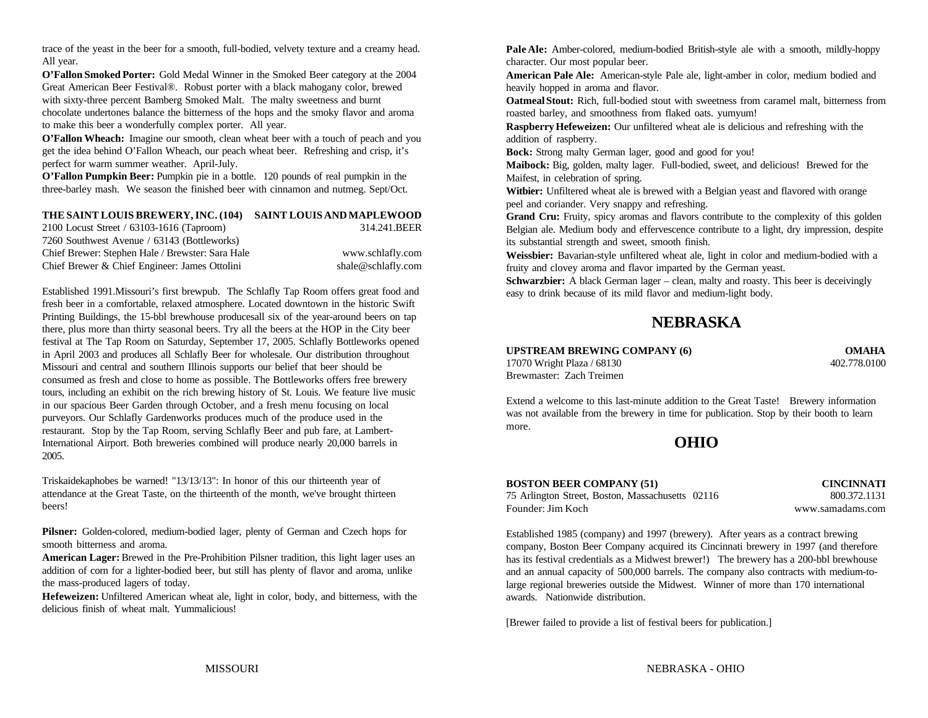trace of the yeast in the beer for a smooth, full-bodied, velvety texture and a creamy head. All year.

**O'Fallon Smoked Porter:** Gold Medal Winner in the Smoked Beer category at the 2004 Great American Beer Festival®. Robust porter with a black mahogany color, brewed with sixty-three percent Bamberg Smoked Malt. The malty sweetness and burnt chocolate undertones balance the bitterness of the hops and the smoky flavor and aroma to make this beer a wonderfully complex porter. All year.

**O'Fallon Wheach:** Imagine our smooth, clean wheat beer with a touch of peach and you get the idea behind O'Fallon Wheach, our peach wheat beer. Refreshing and crisp, it's perfect for warm summer weather. April-July.

**O'Fallon Pumpkin Beer:** Pumpkin pie in a bottle. 120 pounds of real pumpkin in the three-barley mash. We season the finished beer with cinnamon and nutmeg. Sept/Oct.

### **THE SAINT LOUIS BREWERY, INC. (104) SAINT LOUISAND MAPLEWOOD** 2100 Locust Street / 63103-1616 (Taproom) 314.241.BEER

7260 Southwest Avenue / 63143 (Bottleworks) Chief Brewer: Stephen Hale / Brewster: Sara Hale www.schlafly.com Chief Brewer & Chief Engineer: James Ottolini shale@schlafly.com

Established 1991.Missouri's first brewpub. The Schlafly Tap Room offers great food and fresh beer in a comfortable, relaxed atmosphere. Located downtown in the historic Swift Printing Buildings, the 15-bbl brewhouse producesall six of the year-around beers on tap there, plus more than thirty seasonal beers. Try all the beers at the HOP in the City beer festival at The Tap Room on Saturday, September 17, 2005. Schlafly Bottleworks opened in April 2003 and produces all Schlafly Beer for wholesale. Our distribution throughout Missouri and central and southern Illinois supports our belief that beer should be consumed as fresh and close to home as possible. The Bottleworks offers free brewery tours, including an exhibit on the rich brewing history of St. Louis. We feature live music in our spacious Beer Garden through October, and a fresh menu focusing on local purveyors. Our Schlafly Gardenworks produces much of the produce used in the restaurant. Stop by the Tap Room, serving Schlafly Beer and pub fare, at Lambert-International Airport. Both breweries combined will produce nearly 20,000 barrels in 2005.

Triskaidekaphobes be warned! "13/13/13": In honor of this our thirteenth year of attendance at the Great Taste, on the thirteenth of the month, we've brought thirteen beers!

**Pilsner:** Golden-colored, medium-bodied lager, plenty of German and Czech hops for smooth bitterness and aroma.

**American Lager:** Brewed in the Pre-Prohibition Pilsner tradition, this light lager uses an addition of corn for a lighter-bodied beer, but still has plenty of flavor and aroma, unlike the mass-produced lagers of today.

**Hefeweizen:** Unfiltered American wheat ale, light in color, body, and bitterness, with the delicious finish of wheat malt. Yummalicious!

**Pale Ale:** Amber-colored, medium-bodied British-style ale with a smooth, mildly-hoppy character. Our most popular beer.

**American Pale Ale:** American-style Pale ale, light-amber in color, medium bodied and heavily hopped in aroma and flavor.

**Oatmeal Stout:** Rich, full-bodied stout with sweetness from caramel malt, bitterness from roasted barley, and smoothness from flaked oats. yumyum!

**Raspberry Hefeweizen:** Our unfiltered wheat ale is delicious and refreshing with the addition of raspberry.

**Bock:** Strong malty German lager, good and good for you!

**Maibock:** Big, golden, malty lager. Full-bodied, sweet, and delicious! Brewed for the Maifest, in celebration of spring.

**Witbier:** Unfiltered wheat ale is brewed with a Belgian yeast and flavored with orange peel and coriander. Very snappy and refreshing.

**Grand Cru:** Fruity, spicy aromas and flavors contribute to the complexity of this golden Belgian ale. Medium body and effervescence contribute to a light, dry impression, despite its substantial strength and sweet, smooth finish.

**Weissbier:** Bavarian-style unfiltered wheat ale, light in color and medium-bodied with a fruity and clovey aroma and flavor imparted by the German yeast.

**Schwarzbier:** A black German lager – clean, malty and roasty. This beer is deceivingly easy to drink because of its mild flavor and medium-light body.

## **NEBRASKA**

**UPSTREAM BREWING COMPANY (6) OMAHA**<br>17070 Wright Plaza / 68130 **OMAHA**<br>402.778.0100 17070 Wright Plaza / 68130 Brewmaster: Zach Treimen

Extend a welcome to this last-minute addition to the Great Taste! Brewery information was not available from the brewery in time for publication. Stop by their booth to learn more.

**OHIO**

## **BOSTON BEER COMPANY (51) CINCINNATI** 75 Arlington Street, Boston, Massachusetts 02116 800.372.1131 Founder: Jim Koch www.samadams.com

Established 1985 (company) and 1997 (brewery). After years as a contract brewing company, Boston Beer Company acquired its Cincinnati brewery in 1997 (and therefore has its festival credentials as a Midwest brewer!) The brewery has a 200-bbl brewhouse and an annual capacity of 500,000 barrels. The company also contracts with medium-tolarge regional breweries outside the Midwest. Winner of more than 170 international awards. Nationwide distribution.

[Brewer failed to provide a list of festival beers for publication.]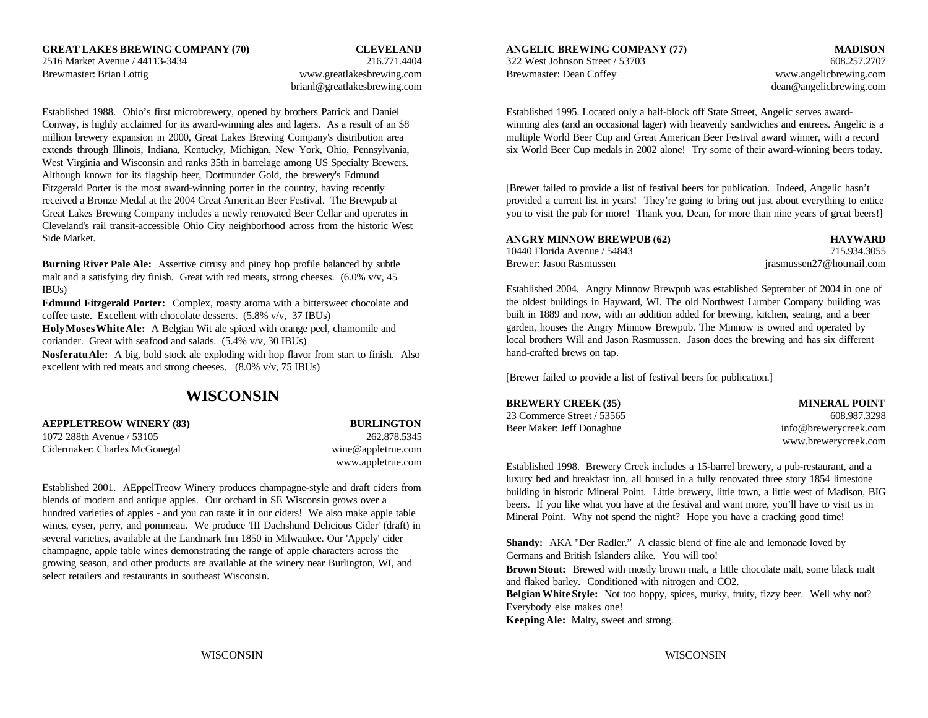brianl@greatlakesbrewing.com dean @angelicbrewing.com dean @angelicbrewing.com

West Virginia and Wisconsin and ranks 35th in barrelage among US Specialty Brewers. Although known for its flagship beer, Dortmunder Gold, the brewery's Edmund Fitzgerald Porter is the most award-winning porter in the country, having recently [Brewer failed to provide a list of festival beers for publication. Indeed, Angelic hasn't Cleveland's rail transit-accessible Ohio City neighborhood across from the historic West Side Market.

**Burning River Pale Ale:** Assertive citrusy and piney hop profile balanced by subtle malt and a satisfying dry finish. Great with red meats, strong cheeses.  $(6.0\% \text{ v/v}, 45)$ IBUs)

**Edmund Fitzgerald Porter:** Complex, roasty aroma with a bittersweet chocolate and coffee taste. Excellent with chocolate desserts. (5.8% v/v, 37 IBUs)

**Holy Moses White Ale:** A Belgian Wit ale spiced with orange peel, chamomile and coriander. Great with seafood and salads. (5.4% v/v, 30 IBUs)

**Nosferatu Ale:** A big, bold stock ale exploding with hop flavor from start to finish. Also excellent with red meats and strong cheeses. (8.0% v/v, 75 IBUs)

## **WISCONSIN**

**AEPPLETREOW WINERY (83)** BURLINGTON 1072 288th Avenue / 53105 262.878.5345 Cidermaker: Charles McGonegal wine@appletrue.com

www.appletrue.com

Established 2001. AEppelTreow Winery produces champagne-style and draft ciders from blends of modern and antique apples. Our orchard in SE Wisconsin grows over a hundred varieties of apples - and you can taste it in our ciders! We also make apple table wines, cyser, perry, and pommeau. We produce 'III Dachshund Delicious Cider' (draft) in several varieties, available at the Landmark Inn 1850 in Milwaukee. Our 'Appely' cider champagne, apple table wines demonstrating the range of apple characters across the growing season, and other products are available at the winery near Burlington, WI, and select retailers and restaurants in southeast Wisconsin.

Brewmaster: Brian Lottig www.greatlakesbrewing.com Brewmaster: Dean Coffey www.angelicbrewing.com

Established 1988. Ohio's first microbrewery, opened by brothers Patrick and Daniel Established 1995. Located only a half-block off State Street, Angelic serves award-Conway, is highly acclaimed for its award-winning ales and lagers. As a result of an \$8 winning ales (and an occasional lager) with heavenly sandwiches and entrees. Angelic is a million brewery expansion in 2000, Great Lakes Brewing Company's distribution area multiple World Beer Cup and Great American Beer Festival award winner, with a record extends through Illinois, Indiana, Kentucky, Michigan, New York, Ohio, Pennsylvania, six World Beer Cup medals in 2002 alone! Try some of their award-winning beers today.

received a Bronze Medal at the 2004 Great American Beer Festival. The Brewpub at provided a current list in years! They're going to bring out just about everything to entice Great Lakes Brewing Company includes a newly renovated Beer Cellar and operates in you to visit the pub for more! Thank you, Dean, for more than nine years of great beers!

| ANGRY MINNOW BREWPUB (62)    | <b>HAYWARD</b>           |
|------------------------------|--------------------------|
| 10440 Florida Avenue / 54843 | 715.934.3055             |
| Brewer: Jason Rasmussen-     | irasmussen27@hotmail.com |

Established 2004. Angry Minnow Brewpub was established September of 2004 in one of the oldest buildings in Hayward, WI. The old Northwest Lumber Company building was built in 1889 and now, with an addition added for brewing, kitchen, seating, and a beer garden, houses the Angry Minnow Brewpub. The Minnow is owned and operated by local brothers Will and Jason Rasmussen. Jason does the brewing and has six different hand-crafted brews on tap.

[Brewer failed to provide a list of festival beers for publication.]

**BREWERY CREEK (35) MINERAL POINT** 23 Commerce Street / 53565 608.987.3298 Beer Maker: Jeff Donaghue info@brewerycreek.com

www.brewerycreek.com

Established 1998. Brewery Creek includes a 15-barrel brewery, a pub-restaurant, and a luxury bed and breakfast inn, all housed in a fully renovated three story 1854 limestone building in historic Mineral Point. Little brewery, little town, a little west of Madison, BIG beers. If you like what you have at the festival and want more, you'll have to visit us in Mineral Point. Why not spend the night? Hope you have a cracking good time!

**Shandy:** AKA "Der Radler." A classic blend of fine ale and lemonade loved by Germans and British Islanders alike. You will too! **Brown Stout:** Brewed with mostly brown malt, a little chocolate malt, some black malt and flaked barley. Conditioned with nitrogen and CO2. **Belgian White Style:** Not too hoppy, spices, murky, fruity, fizzy beer. Well why not? Everybody else makes one! **Keeping Ale:** Malty, sweet and strong.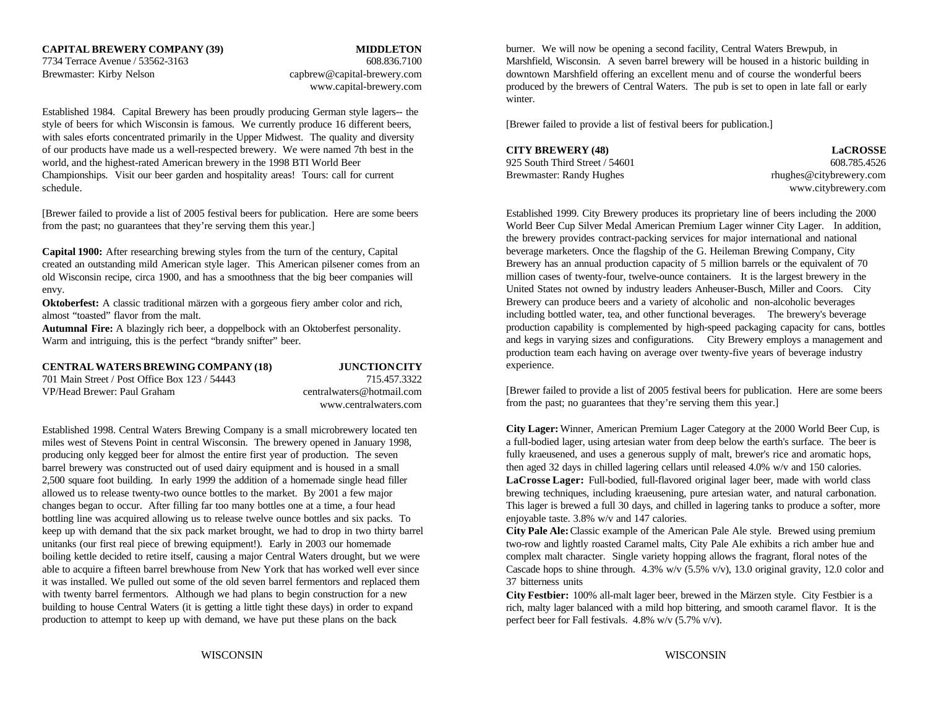Established 1984. Capital Brewery has been proudly producing German style lagers-- the style of beers for which Wisconsin is famous. We currently produce 16 different beers, [Brewer failed to provide a list of festival beers for publication.] with sales eforts concentrated primarily in the Upper Midwest. The quality and diversity of our products have made us a well-respected brewery. We were named 7th best in the world, and the highest-rated American brewery in the 1998 BTI World Beer 925 South Third Street / 54601 608.785.4526 Championships. Visit our beer garden and hospitality areas! Tours: call for current Brewmaster: Randy Hughes rhughes rhughes rhughes rhughes rhughes rhughes rhughes rhughes rhughes rhughes rhughes rhughes rhughes rhughes r schedule. www.citybrewery.com

[Brewer failed to provide a list of 2005 festival beers for publication. Here are some beers Established 1999. City Brewery produces its proprietary line of beers including the 2000 from the past; no guarantees that they're serving them this year.] World Beer Cup Silver Medal American Premium Lager winner City Lager. In addition,

**Capital 1900:** After researching brewing styles from the turn of the century, Capital created an outstanding mild American style lager. This American pilsener comes from an old Wisconsin recipe, circa 1900, and has a smoothness that the big beer companies will envy.

**Oktoberfest:** A classic traditional märzen with a gorgeous fiery amber color and rich, almost "toasted" flavor from the malt.

**Autumnal Fire:** A blazingly rich beer, a doppelbock with an Oktoberfest personality. Warm and intriguing, this is the perfect "brandy snifter" beer.

### **CENTRAL WATERS BREWING COMPANY (18) JUNCTION CITY**

701 Main Street / Post Office Box 123 / 54443 715.457.3322 VP/Head Brewer: Paul Graham centralwaters@hotmail.com

www.centralwaters.com

Established 1998. Central Waters Brewing Company is a small microbrewery located ten miles west of Stevens Point in central Wisconsin. The brewery opened in January 1998, producing only kegged beer for almost the entire first year of production. The seven barrel brewery was constructed out of used dairy equipment and is housed in a small 2,500 square foot building. In early 1999 the addition of a homemade single head filler allowed us to release twenty-two ounce bottles to the market. By 2001 a few major changes began to occur. After filling far too many bottles one at a time, a four head bottling line was acquired allowing us to release twelve ounce bottles and six packs. To keep up with demand that the six pack market brought, we had to drop in two thirty barrel **City Pale Ale:** Classic example of the American Pale Ale style. Brewed using premium unitanks (our first real piece of brewing equipment!). Early in 2003 our homemade two-row and lightly roasted Caramel malts, City Pale Ale exhibits a rich amber hue and boiling kettle decided to retire itself, causing a major Central Waters drought, but we were complex malt character. Single variety hopping allows the fragrant, floral notes of the able to acquire a fifteen barrel brewhouse from New York that has worked well ever since Cascade hops to shine through. 4.3% w/v (5.5% v/v), 13.0 original gravity, 12.0 color and it was installed. We pulled out some of the old seven barrel fermentors and replaced them 37 bitterness units with twenty barrel fermentors. Although we had plans to begin construction for a new building to house Central Waters (it is getting a little tight these days) in order to expand production to attempt to keep up with demand, we have put these plans on the back

7734 Terrace Avenue / 53562-3163 608.836.7100 Marshfield, Wisconsin. A seven barrel brewery will be housed in a historic building in Brewmaster: Kirby Nelson capbrew@capital-brewery.com downtown Marshfield offering an excellent menu and of course the wonderful beers www.capital-brewery.com produced by the brewers of Central Waters. The pub is set to open in late fall or early burner. We will now be opening a second facility, Central Waters Brewpub, in winter.

# **CITY BREWERY (48) LaCROSSE**

the brewery provides contract-packing services for major international and national beverage marketers. Once the flagship of the G. Heileman Brewing Company, City Brewery has an annual production capacity of 5 million barrels or the equivalent of 70 million cases of twenty-four, twelve-ounce containers. It is the largest brewery in the United States not owned by industry leaders Anheuser-Busch, Miller and Coors. City Brewery can produce beers and a variety of alcoholic and non-alcoholic beverages including bottled water, tea, and other functional beverages. The brewery's beverage production capability is complemented by high-speed packaging capacity for cans, bottles and kegs in varying sizes and configurations. City Brewery employs a management and production team each having on average over twenty-five years of beverage industry experience.

[Brewer failed to provide a list of 2005 festival beers for publication. Here are some beers from the past; no guarantees that they're serving them this year.]

**City Lager:** Winner, American Premium Lager Category at the 2000 World Beer Cup, is a full-bodied lager, using artesian water from deep below the earth's surface. The beer is fully kraeusened, and uses a generous supply of malt, brewer's rice and aromatic hops, then aged 32 days in chilled lagering cellars until released 4.0% w/v and 150 calories. **LaCrosse Lager:** Full-bodied, full-flavored original lager beer, made with world class brewing techniques, including kraeusening, pure artesian water, and natural carbonation. This lager is brewed a full 30 days, and chilled in lagering tanks to produce a softer, more enjoyable taste. 3.8% w/v and 147 calories.

**City Festbier:** 100% all-malt lager beer, brewed in the Märzen style. City Festbier is a rich, malty lager balanced with a mild hop bittering, and smooth caramel flavor. It is the perfect beer for Fall festivals. 4.8% w/v (5.7% v/v).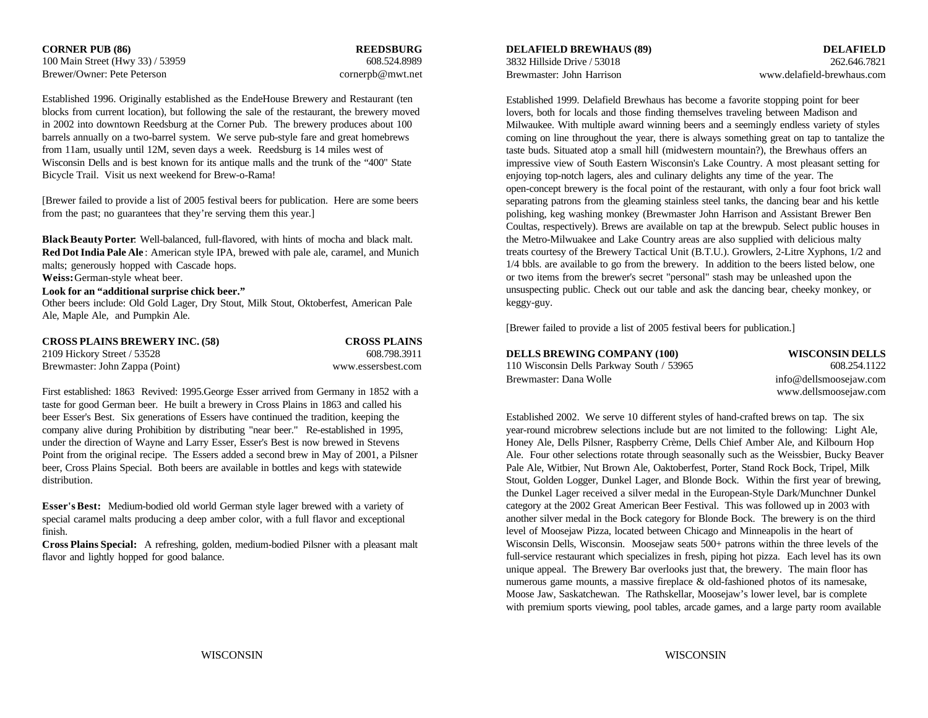100 Main Street (Hwy 33) / 53959 608.524.8989 Brewer/Owner: Pete Peterson cornerpb@mwt.net

Established 1996. Originally established as the EndeHouse Brewery and Restaurant (ten blocks from current location), but following the sale of the restaurant, the brewery moved in 2002 into downtown Reedsburg at the Corner Pub. The brewery produces about 100 barrels annually on a two-barrel system. We serve pub-style fare and great homebrews from 11am, usually until 12M, seven days a week. Reedsburg is 14 miles west of Wisconsin Dells and is best known for its antique malls and the trunk of the "400" State Bicycle Trail. Visit us next weekend for Brew-o-Rama!

[Brewer failed to provide a list of 2005 festival beers for publication. Here are some beers from the past; no guarantees that they're serving them this year.]

**Black Beauty Porter:** Well-balanced, full-flavored, with hints of mocha and black malt. the Metro-Milwuakee and Lake Country areas are also supplied with delicious malty **Red Dot India Pale Ale** : American style IPA, brewed with pale ale, caramel, and Munich malts; generously hopped with Cascade hops. **Weiss:** German-style wheat beer.

**Look for an "additional surprise chick beer."**

Other beers include: Old Gold Lager, Dry Stout, Milk Stout, Oktoberfest, American Pale Ale, Maple Ale, and Pumpkin Ale.

| <b>CROSS PLAINS BREWERY INC. (58)</b> | <b>CROSS PLAINS</b> |
|---------------------------------------|---------------------|
| 2109 Hickory Street / 53528           | 608.798.3911        |
| Brewmaster: John Zappa (Point)        | www.essersbest.com  |

First established: 1863 Revived: 1995.George Esser arrived from Germany in 1852 with a taste for good German beer. He built a brewery in Cross Plains in 1863 and called his beer Esser's Best. Six generations of Essers have continued the tradition, keeping the company alive during Prohibition by distributing "near beer." Re-established in 1995, under the direction of Wayne and Larry Esser, Esser's Best is now brewed in Stevens Point from the original recipe. The Essers added a second brew in May of 2001, a Pilsner beer, Cross Plains Special. Both beers are available in bottles and kegs with statewide distribution.

**Esser's Best:** Medium-bodied old world German style lager brewed with a variety of special caramel malts producing a deep amber color, with a full flavor and exceptional finish.

**Cross Plains Special:** A refreshing, golden, medium-bodied Pilsner with a pleasant malt flavor and lightly hopped for good balance.

3832 Hillside Drive / 53018 262.646.7821 Brewmaster: John Harrison www.delafield-brewhaus.com

**CORNER PUB (86) REEDSBURG DELAFIELD BREWHAUS (89) DELAFIELD**

**DELLS BREWING COMPANY (100) WISCONSIN DELLS**

Established 1999. Delafield Brewhaus has become a favorite stopping point for beer lovers, both for locals and those finding themselves traveling between Madison and Milwaukee. With multiple award winning beers and a seemingly endless variety of styles coming on line throughout the year, there is always something great on tap to tantalize the taste buds. Situated atop a small hill (midwestern mountain?), the Brewhaus offers an impressive view of South Eastern Wisconsin's Lake Country. A most pleasant setting for enjoying top-notch lagers, ales and culinary delights any time of the year. The open-concept brewery is the focal point of the restaurant, with only a four foot brick wall separating patrons from the gleaming stainless steel tanks, the dancing bear and his kettle polishing, keg washing monkey (Brewmaster John Harrison and Assistant Brewer Ben Coultas, respectively). Brews are available on tap at the brewpub. Select public houses in treats courtesy of the Brewery Tactical Unit (B.T.U.). Growlers, 2-Litre Xyphons, 1/2 and 1/4 bbls. are available to go from the brewery. In addition to the beers listed below, one or two items from the brewer's secret "personal" stash may be unleashed upon the unsuspecting public. Check out our table and ask the dancing bear, cheeky monkey, or keggy-guy.

[Brewer failed to provide a list of 2005 festival beers for publication.]

| 110 Wisconsin Dells Parkway South / 53965 | 608.254.1122           |
|-------------------------------------------|------------------------|
| Brewmaster: Dana Wolle                    | info@dellsmoosejaw.com |
|                                           | www.dellsmoosejaw.com  |

Established 2002. We serve 10 different styles of hand-crafted brews on tap. The six year-round microbrew selections include but are not limited to the following: Light Ale, Honey Ale, Dells Pilsner, Raspberry Crème, Dells Chief Amber Ale, and Kilbourn Hop Ale. Four other selections rotate through seasonally such as the Weissbier, Bucky Beaver Pale Ale, Witbier, Nut Brown Ale, Oaktoberfest, Porter, Stand Rock Bock, Tripel, Milk Stout, Golden Logger, Dunkel Lager, and Blonde Bock. Within the first year of brewing, the Dunkel Lager received a silver medal in the European-Style Dark/Munchner Dunkel category at the 2002 Great American Beer Festival. This was followed up in 2003 with another silver medal in the Bock category for Blonde Bock. The brewery is on the third level of Moosejaw Pizza, located between Chicago and Minneapolis in the heart of Wisconsin Dells, Wisconsin. Moosejaw seats 500+ patrons within the three levels of the full-service restaurant which specializes in fresh, piping hot pizza. Each level has its own unique appeal. The Brewery Bar overlooks just that, the brewery. The main floor has numerous game mounts, a massive fireplace & old-fashioned photos of its namesake, Moose Jaw, Saskatchewan. The Rathskellar, Moosejaw's lower level, bar is complete with premium sports viewing, pool tables, arcade games, and a large party room available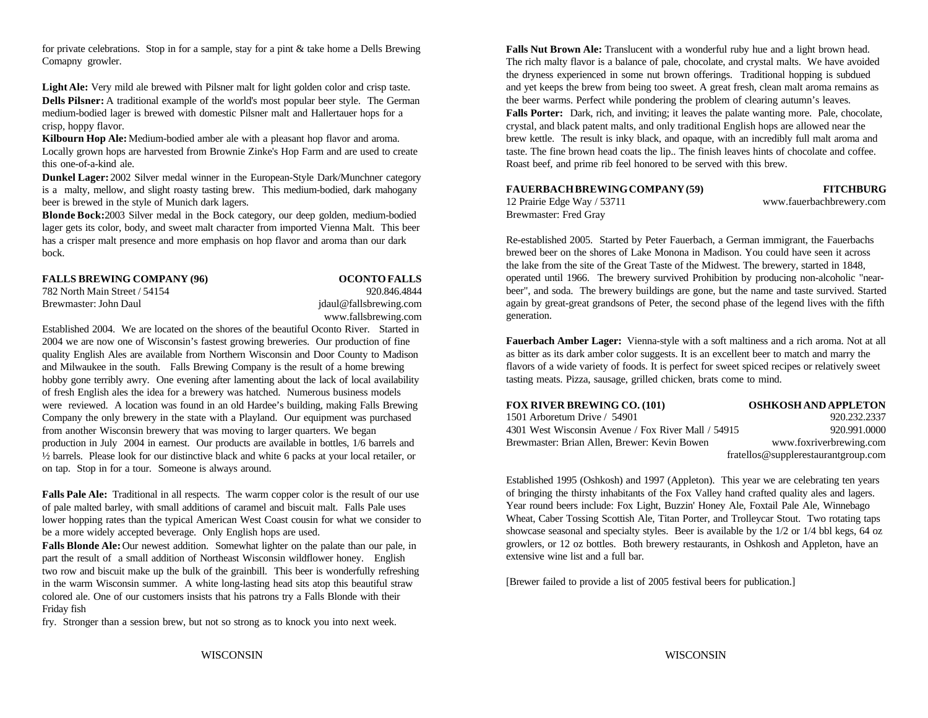for private celebrations. Stop in for a sample, stay for a pint & take home a Dells Brewing Comapny growler.

Light Ale: Very mild ale brewed with Pilsner malt for light golden color and crisp taste. and yet keeps the brew from being too sweet. A great fresh, clean malt aroma remains as **Dells Pilsner:** A traditional example of the world's most popular beer style. The German medium-bodied lager is brewed with domestic Pilsner malt and Hallertauer hops for a **Falls Porter:** Dark, rich, and inviting; it leaves the palate wanting more. Pale, chocolate, crisp, hoppy flavor. crisp, hoppy flavor.

**Kilbourn Hop Ale:** Medium-bodied amber ale with a pleasant hop flavor and aroma. Locally grown hops are harvested from Brownie Zinke's Hop Farm and are used to create this one-of-a-kind ale.

**Dunkel Lager:** 2002 Silver medal winner in the European-Style Dark/Munchner category is a malty, mellow, and slight roasty tasting brew. This medium-bodied, dark mahogany beer is brewed in the style of Munich dark lagers.

**Blonde Bock:** 2003 Silver medal in the Bock category, our deep golden, medium-bodied lager gets its color, body, and sweet malt character from imported Vienna Malt. This beer has a crisper malt presence and more emphasis on hop flavor and aroma than our dark bock.

**FALLS BREWING COMPANY (96) OCONTO FALLS** 782 North Main Street / 54154 920.846.4844

## Brewmaster: John Daul idaul@fallsbrewing.com www.fallsbrewing.com

Established 2004. We are located on the shores of the beautiful Oconto River. Started in 2004 we are now one of Wisconsin's fastest growing breweries. Our production of fine quality English Ales are available from Northern Wisconsin and Door County to Madison and Milwaukee in the south. Falls Brewing Company is the result of a home brewing hobby gone terribly awry. One evening after lamenting about the lack of local availability of fresh English ales the idea for a brewery was hatched. Numerous business models were reviewed. A location was found in an old Hardee's building, making Falls Brewing Company the only brewery in the state with a Playland. Our equipment was purchased from another Wisconsin brewery that was moving to larger quarters. We began production in July 2004 in earnest. Our products are available in bottles, 1/6 barrels and ½ barrels. Please look for our distinctive black and white 6 packs at your local retailer, or on tap. Stop in for a tour. Someone is always around.

**Falls Pale Ale:** Traditional in all respects. The warm copper color is the result of our use of pale malted barley, with small additions of caramel and biscuit malt. Falls Pale uses lower hopping rates than the typical American West Coast cousin for what we consider to be a more widely accepted beverage. Only English hops are used.

Falls Blonde Ale: Our newest addition. Somewhat lighter on the palate than our pale, in part the result of a small addition of Northeast Wisconsin wildflower honey. English two row and biscuit make up the bulk of the grainbill. This beer is wonderfully refreshing in the warm Wisconsin summer. A white long-lasting head sits atop this beautiful straw colored ale. One of our customers insists that his patrons try a Falls Blonde with their Friday fish

fry. Stronger than a session brew, but not so strong as to knock you into next week.

**Falls Nut Brown Ale:** Translucent with a wonderful ruby hue and a light brown head. The rich malty flavor is a balance of pale, chocolate, and crystal malts. We have avoided the dryness experienced in some nut brown offerings. Traditional hopping is subdued the beer warms. Perfect while pondering the problem of clearing autumn's leaves. brew kettle. The result is inky black, and opaque, with an incredibly full malt aroma and taste. The fine brown head coats the lip.. The finish leaves hints of chocolate and coffee. Roast beef, and prime rib feel honored to be served with this brew.

### **FAUERBACH BREWING COMPANY (59) FITCHBURG**

12 Prairie Edge Way / 53711 www.fauerbachbrewery.com Brewmaster: Fred Gray

Re-established 2005. Started by Peter Fauerbach, a German immigrant, the Fauerbachs brewed beer on the shores of Lake Monona in Madison. You could have seen it across the lake from the site of the Great Taste of the Midwest. The brewery, started in 1848,

operated until 1966. The brewery survived Prohibition by producing non-alcoholic "nearbeer", and soda. The brewery buildings are gone, but the name and taste survived. Started again by great-great grandsons of Peter, the second phase of the legend lives with the fifth generation.

**Fauerbach Amber Lager:** Vienna-style with a soft maltiness and a rich aroma. Not at all as bitter as its dark amber color suggests. It is an excellent beer to match and marry the flavors of a wide variety of foods. It is perfect for sweet spiced recipes or relatively sweet tasting meats. Pizza, sausage, grilled chicken, brats come to mind.

| <b>FOX RIVER BREWING CO. (101)</b>                  | <b>OSHKOSH AND APPLETON</b>          |
|-----------------------------------------------------|--------------------------------------|
| 1501 Arboretum Drive / 54901                        | 920.232.2337                         |
| 4301 West Wisconsin Avenue / Fox River Mall / 54915 | 920.991.0000                         |
| Brewmaster: Brian Allen. Brewer: Kevin Bowen        | www.foxriverbrewing.com              |
|                                                     | fratellos@supple restaurantgroup.com |

Established 1995 (Oshkosh) and 1997 (Appleton). This year we are celebrating ten years of bringing the thirsty inhabitants of the Fox Valley hand crafted quality ales and lagers. Year round beers include: Fox Light, Buzzin' Honey Ale, Foxtail Pale Ale, Winnebago Wheat, Caber Tossing Scottish Ale, Titan Porter, and Trolleycar Stout. Two rotating taps showcase seasonal and specialty styles. Beer is available by the 1/2 or 1/4 bbl kegs, 64 oz growlers, or 12 oz bottles. Both brewery restaurants, in Oshkosh and Appleton, have an extensive wine list and a full bar.

[Brewer failed to provide a list of 2005 festival beers for publication.]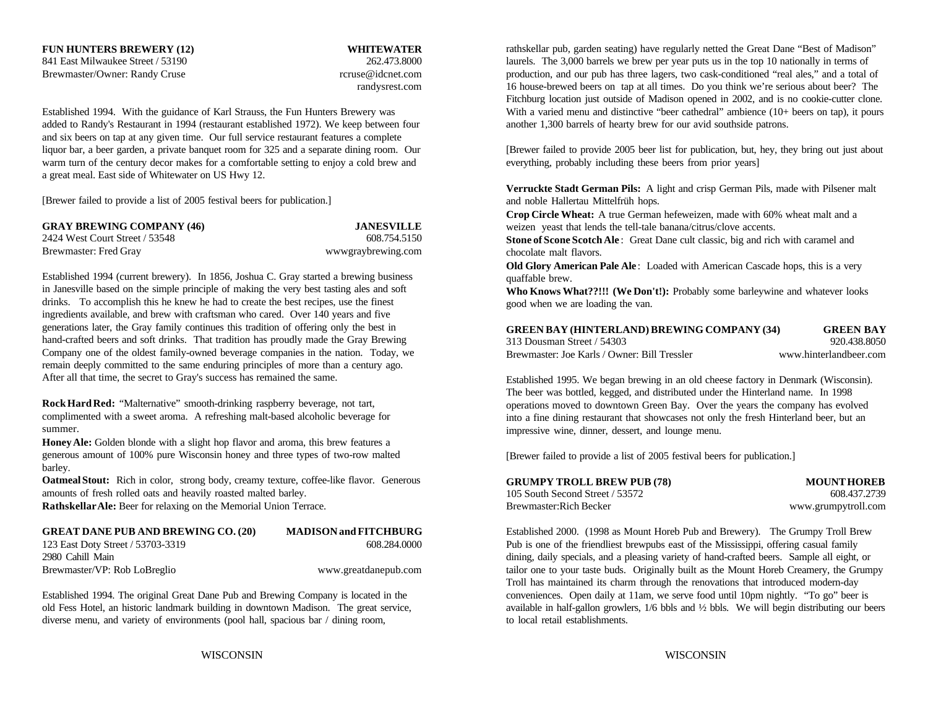**FUN HUNTERS BREWERY (12) WHITEWATER**

Established 1994. With the guidance of Karl Strauss, the Fun Hunters Brewery was With a varied menu and distinctive "beer cathedral" ambience (10+ beers on tap), it pours added to Randy's Restaurant in 1994 (restaurant established 1972). We keep between four another 1,300 barrels of hearty brew for our avid southside patrons. and six beers on tap at any given time. Our full service restaurant features a complete liquor bar, a beer garden, a private banquet room for 325 and a separate dining room. Our [Brewer failed to provide 2005 beer list for publication, but, hey, they bring out just about warm turn of the century decor makes for a comfortable setting to enjoy a cold brew and everything, probably including these beers from prior years] a great meal. East side of Whitewater on US Hwy 12.

[Brewer failed to provide a list of 2005 festival beers for publication.]

| <b>GRAY BREWING COMPANY (46)</b> | <b>JANESVILLE</b>  |
|----------------------------------|--------------------|
| 2424 West Court Street / 53548   | 608.754.5150       |
| Brewmaster: Fred Gray            | wwwgraybrewing.com |

Established 1994 (current brewery). In 1856, Joshua C. Gray started a brewing business in Janesville based on the simple principle of making the very best tasting ales and soft drinks. To accomplish this he knew he had to create the best recipes, use the finest ingredients available, and brew with craftsman who cared. Over 140 years and five generations later, the Gray family continues this tradition of offering only the best in hand-crafted beers and soft drinks. That tradition has proudly made the Gray Brewing Company one of the oldest family-owned beverage companies in the nation. Today, we remain deeply committed to the same enduring principles of more than a century ago. After all that time, the secret to Gray's success has remained the same.

**Rock Hard Red:** "Malternative" smooth-drinking raspberry beverage, not tart, complimented with a sweet aroma. A refreshing malt-based alcoholic beverage for summer.

**Honey Ale:** Golden blonde with a slight hop flavor and aroma, this brew features a generous amount of 100% pure Wisconsin honey and three types of two-row malted barley.

**Oatmeal Stout:** Rich in color, strong body, creamy texture, coffee-like flavor. Generous amounts of fresh rolled oats and heavily roasted malted barley.

**Rathskellar Ale:** Beer for relaxing on the Memorial Union Terrace.

| <b>GREAT DANE PUB AND BREWING CO. (20)</b> | <b>MADISON</b> and FITCHBURG |
|--------------------------------------------|------------------------------|
| 123 East Doty Street / 53703-3319          | 608.284.0000                 |
| 2980 Cahill Main                           |                              |
| Brewmaster/VP: Rob LoBreglio               | www.greatdanepub.com         |

Established 1994. The original Great Dane Pub and Brewing Company is located in the old Fess Hotel, an historic landmark building in downtown Madison. The great service, diverse menu, and variety of environments (pool hall, spacious bar / dining room,

841 East Milwaukee Street / 53190 262.473.8000 262.473.8000 laurels. The 3,000 barrels we brew per year puts us in the top 10 nationally in terms of Brewmaster/Owner: Randy Cruse example and the production, and our pub has three lagers, two cask-conditioned "real ales," and a total of randysrest.com 16 house-brewed beers on tap at all times. Do you think we're serious about beer? The rathskellar pub, garden seating) have regularly netted the Great Dane "Best of Madison" Fitchburg location just outside of Madison opened in 2002, and is no cookie-cutter clone.

**Verruckte Stadt German Pils:** A light and crisp German Pils, made with Pilsener malt and noble Hallertau Mittelfrüh hops.

**Crop Circle Wheat:** A true German hefeweizen, made with 60% wheat malt and a weizen yeast that lends the tell-tale banana/citrus/clove accents.

**Stone of Scone Scotch Ale** : Great Dane cult classic, big and rich with caramel and chocolate malt flavors.

**Old Glory American Pale Ale:** Loaded with American Cascade hops, this is a very quaffable brew.

**Who Knows What??!!! (We Don't!):** Probably some barleywine and whatever looks good when we are loading the van.

| <b>GREEN BAY (HINTERLAND) BREWING COMPANY (34)</b> | <b>GREEN BAY</b>       |
|----------------------------------------------------|------------------------|
| 313 Dousman Street / 54303                         | 920.438.8050           |
| Brewmaster: Joe Karls / Owner: Bill Tressler       | www.hinterlandbeer.com |

Established 1995. We began brewing in an old cheese factory in Denmark (Wisconsin). The beer was bottled, kegged, and distributed under the Hinterland name. In 1998 operations moved to downtown Green Bay. Over the years the company has evolved into a fine dining restaurant that showcases not only the fresh Hinterland beer, but an impressive wine, dinner, dessert, and lounge menu.

[Brewer failed to provide a list of 2005 festival beers for publication.]

| <b>GRUMPY TROLL BREW PUB (78)</b> | <b>MOUNT HOREB</b>  |
|-----------------------------------|---------------------|
| 105 South Second Street / 53572   | 608.437.2739        |
| Brewmaster:Rich Becker            | www.grumpytroll.com |

Established 2000. (1998 as Mount Horeb Pub and Brewery). The Grumpy Troll Brew Pub is one of the friendliest brewpubs east of the Mississippi, offering casual family dining, daily specials, and a pleasing variety of hand-crafted beers. Sample all eight, or tailor one to your taste buds. Originally built as the Mount Horeb Creamery, the Grumpy Troll has maintained its charm through the renovations that introduced modern-day conveniences. Open daily at 11am, we serve food until 10pm nightly. "To go" beer is available in half-gallon growlers, 1/6 bbls and ½ bbls. We will begin distributing our beers to local retail establishments.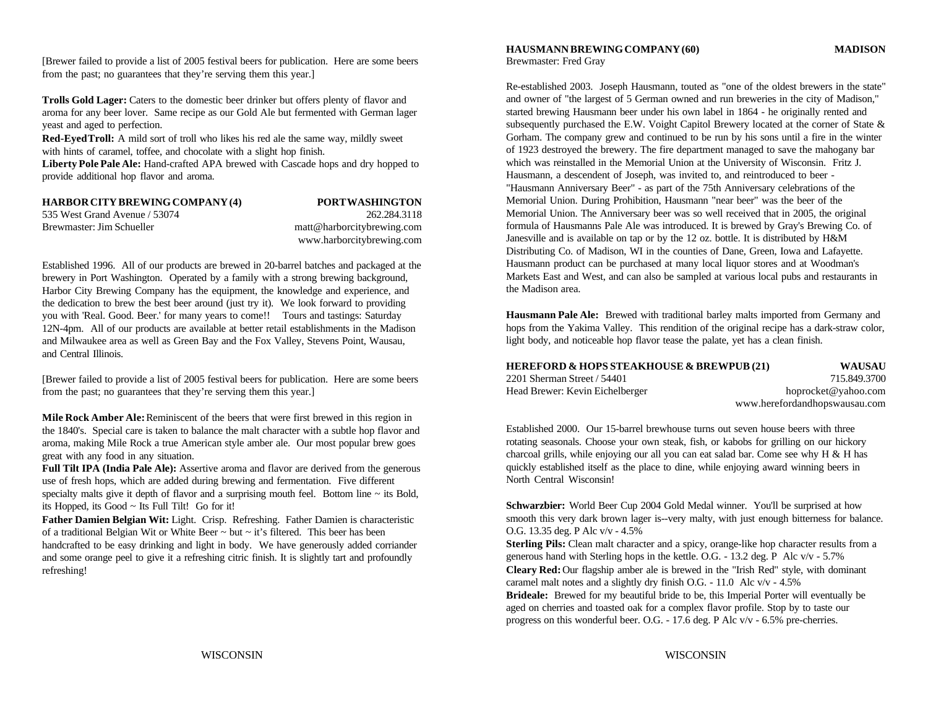[Brewer failed to provide a list of 2005 festival beers for publication. Here are some beers Brewmaster: Fred Gray from the past; no guarantees that they're serving them this year.]

**Trolls Gold Lager:** Caters to the domestic beer drinker but offers plenty of flavor and aroma for any beer lover. Same recipe as our Gold Ale but fermented with German lager yeast and aged to perfection.

**Red-Eyed Troll:** A mild sort of troll who likes his red ale the same way, mildly sweet with hints of caramel, toffee, and chocolate with a slight hop finish.

**Liberty Pole Pale Ale:** Hand-crafted APA brewed with Cascade hops and dry hopped to provide additional hop flavor and aroma.

| <b>HARBOR CITY BREWING COMPANY (4)</b> | <b>PORTWASHINGTON</b>      |
|----------------------------------------|----------------------------|
| 535 West Grand Avenue / 53074          | 262.284.3118               |
| Brewmaster: Jim Schueller              | matt@harborcitybrewing.com |
|                                        | www.harborcitybrewing.com  |

Established 1996. All of our products are brewed in 20-barrel batches and packaged at the brewery in Port Washington. Operated by a family with a strong brewing background, Harbor City Brewing Company has the equipment, the knowledge and experience, and the dedication to brew the best beer around (just try it). We look forward to providing you with 'Real. Good. Beer.' for many years to come!! Tours and tastings: Saturday 12N-4pm. All of our products are available at better retail establishments in the Madison and Milwaukee area as well as Green Bay and the Fox Valley, Stevens Point, Wausau, and Central Illinois.

[Brewer failed to provide a list of 2005 festival beers for publication. Here are some beers from the past; no guarantees that they're serving them this year.]

**Mile Rock Amber Ale:** Reminiscent of the beers that were first brewed in this region in the 1840's. Special care is taken to balance the malt character with a subtle hop flavor and aroma, making Mile Rock a true American style amber ale. Our most popular brew goes great with any food in any situation.

**Full Tilt IPA (India Pale Ale):** Assertive aroma and flavor are derived from the generous use of fresh hops, which are added during brewing and fermentation. Five different specialty malts give it depth of flavor and a surprising mouth feel. Bottom line  $\sim$  its Bold, its Hopped, its Good ~ Its Full Tilt! Go for it!

**Father Damien Belgian Wit:** Light. Crisp. Refreshing. Father Damien is characteristic of a traditional Belgian Wit or White Beer ~ but ~ it's filtered. This beer has been handcrafted to be easy drinking and light in body. We have generously added corriander and some orange peel to give it a refreshing citric finish. It is slightly tart and profoundly refreshing!

## **HAUSMANN BREWING COMPANY (60) MADISON**

Re-established 2003. Joseph Hausmann, touted as "one of the oldest brewers in the state" and owner of "the largest of 5 German owned and run breweries in the city of Madison," started brewing Hausmann beer under his own label in 1864 - he originally rented and subsequently purchased the E.W. Voight Capitol Brewery located at the corner of State & Gorham. The company grew and continued to be run by his sons until a fire in the winter of 1923 destroyed the brewery. The fire department managed to save the mahogany bar which was reinstalled in the Memorial Union at the University of Wisconsin. Fritz J. Hausmann, a descendent of Joseph, was invited to, and reintroduced to beer - "Hausmann Anniversary Beer" - as part of the 75th Anniversary celebrations of the Memorial Union. During Prohibition, Hausmann "near beer" was the beer of the Memorial Union. The Anniversary beer was so well received that in 2005, the original formula of Hausmanns Pale Ale was introduced. It is brewed by Gray's Brewing Co. of Janesville and is available on tap or by the 12 oz. bottle. It is distributed by H&M Distributing Co. of Madison, WI in the counties of Dane, Green, Iowa and Lafayette. Hausmann product can be purchased at many local liquor stores and at Woodman's Markets East and West, and can also be sampled at various local pubs and restaurants in the Madison area.

**Hausmann Pale Ale:** Brewed with traditional barley malts imported from Germany and hops from the Yakima Valley. This rendition of the original recipe has a dark-straw color, light body, and noticeable hop flavor tease the palate, yet has a clean finish.

| <b>HEREFORD &amp; HOPS STEAKHOUSE &amp; BREWPUB (21)</b> | WAUSAU                        |
|----------------------------------------------------------|-------------------------------|
| 2201 Sherman Street / 54401                              | 715.849.3700                  |
| Head Brewer: Kevin Eichelberger                          | hoprocket@yahoo.com           |
|                                                          | www.herefordandhopswausau.com |

Established 2000. Our 15-barrel brewhouse turns out seven house beers with three rotating seasonals. Choose your own steak, fish, or kabobs for grilling on our hickory charcoal grills, while enjoying our all you can eat salad bar. Come see why H & H has quickly established itself as the place to dine, while enjoying award winning beers in North Central Wisconsin!

**Schwarzbier:** World Beer Cup 2004 Gold Medal winner. You'll be surprised at how smooth this very dark brown lager is--very malty, with just enough bitterness for balance. O.G. 13.35 deg. P Alc v/v - 4.5%

**Sterling Pils:** Clean malt character and a spicy, orange-like hop character results from a generous hand with Sterling hops in the kettle. O.G. - 13.2 deg. P Alc v/v - 5.7% **Cleary Red:** Our flagship amber ale is brewed in the "Irish Red" style, with dominant caramel malt notes and a slightly dry finish O.G. - 11.0 Alc v/v - 4.5% **Brideale:** Brewed for my beautiful bride to be, this Imperial Porter will eventually be aged on cherries and toasted oak for a complex flavor profile. Stop by to taste our progress on this wonderful beer. O.G. - 17.6 deg. P Alc v/v - 6.5% pre-cherries.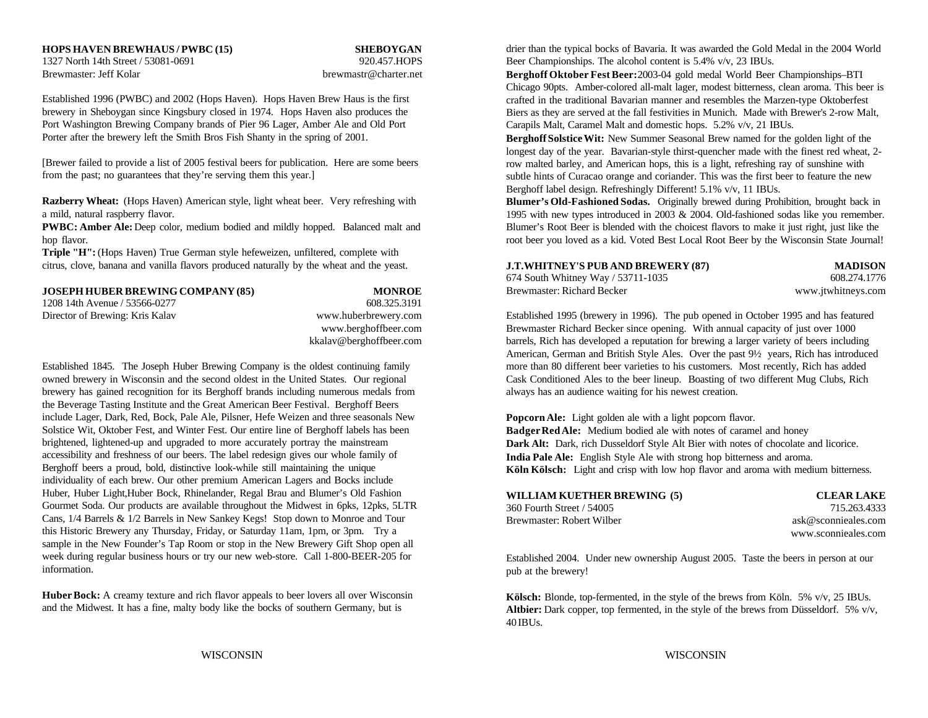### **HOPS HAVEN BREWHAUS / PWBC (15) SHEBOYGAN**

Brewmaster: Jeff Kolar brewmastr@charter.net

Established 1996 (PWBC) and 2002 (Hops Haven). Hops Haven Brew Haus is the first brewery in Sheboygan since Kingsbury closed in 1974. Hops Haven also produces the Port Washington Brewing Company brands of Pier 96 Lager, Amber Ale and Old Port Porter after the brewery left the Smith Bros Fish Shanty in the spring of 2001.

[Brewer failed to provide a list of 2005 festival beers for publication. Here are some beers from the past; no guarantees that they're serving them this year.]

**Razberry Wheat:** (Hops Haven) American style, light wheat beer. Very refreshing with a mild, natural raspberry flavor.

**PWBC: Amber Ale:** Deep color, medium bodied and mildly hopped. Balanced malt and hop flavor.

**Triple "H":** (Hops Haven) True German style hefeweizen, unfiltered, complete with citrus, clove, banana and vanilla flavors produced naturally by the wheat and the yeast.

| <b>JOSEPH HUBER BREWING COMPANY (85)</b> | <b>MONROE</b>        |
|------------------------------------------|----------------------|
| 1208 14th Avenue / 53566-0277            | 608.325.3191         |
| Director of Brewing: Kris Kalav          | www.huberbrewery.com |
|                                          | www.berghoffbeer.com |
|                                          |                      |

owned brewery in Wisconsin and the second oldest in the United States. Our regional Cask Conditioned Ales to the beer lineup. Boasting of two different Mug Clubs, Rich brewery has gained recognition for its Berghoff brands including numerous medals from always has an audience waiting for his newest creation. the Beverage Tasting Institute and the Great American Beer Festival. Berghoff Beers include Lager, Dark, Red, Bock, Pale Ale, Pilsner, Hefe Weizen and three seasonals New Solstice Wit, Oktober Fest, and Winter Fest. Our entire line of Berghoff labels has been brightened, lightened-up and upgraded to more accurately portray the mainstream accessibility and freshness of our beers. The label redesign gives our whole family of Berghoff beers a proud, bold, distinctive look-while still maintaining the unique individuality of each brew. Our other premium American Lagers and Bocks include Huber, Huber Light,Huber Bock, Rhinelander, Regal Brau and Blumer's Old Fashion Gourmet Soda. Our products are available throughout the Midwest in 6pks, 12pks, 5LTR Cans, 1/4 Barrels & 1/2 Barrels in New Sankey Kegs! Stop down to Monroe and Tour this Historic Brewery any Thursday, Friday, or Saturday 11am, 1pm, or 3pm. Try a sample in the New Founder's Tap Room or stop in the New Brewery Gift Shop open all week during regular business hours or try our new web-store. Call 1-800-BEER-205 for information.

**Huber Bock:** A creamy texture and rich flavor appeals to beer lovers all over Wisconsin and the Midwest. It has a fine, malty body like the bocks of southern Germany, but is

1327 North 14th Street / 53081-0691 920.457.HOPS Beer Championships. The alcohol content is 5.4% v/v, 23 IBUs. drier than the typical bocks of Bavaria. It was awarded the Gold Medal in the 2004 World

> **Berghoff Oktober Fest Beer:** 2003-04 gold medal World Beer Championships–BTI Chicago 90pts. Amber-colored all-malt lager, modest bitterness, clean aroma. This beer is crafted in the traditional Bavarian manner and resembles the Marzen-type Oktoberfest Biers as they are served at the fall festivities in Munich. Made with Brewer's 2-row Malt, Carapils Malt, Caramel Malt and domestic hops. 5.2% v/v, 21 IBUs.

**Berghoff Solstice Wit:** New Summer Seasonal Brew named for the golden light of the longest day of the year. Bavarian-style thirst-quencher made with the finest red wheat, 2 row malted barley, and American hops, this is a light, refreshing ray of sunshine with subtle hints of Curacao orange and coriander. This was the first beer to feature the new Berghoff label design. Refreshingly Different! 5.1% v/v, 11 IBUs.

**Blumer's Old-Fashioned Sodas.** Originally brewed during Prohibition, brought back in 1995 with new types introduced in 2003 & 2004. Old-fashioned sodas like you remember. Blumer's Root Beer is blended with the choicest flavors to make it just right, just like the root beer you loved as a kid. Voted Best Local Root Beer by the Wisconsin State Journal!

| <b>J.T.WHITNEY'S PUB AND BREWERY (87)</b> | <b>MADISON</b>     |
|-------------------------------------------|--------------------|
| 674 South Whitney Way / 53711-1035        | 608.274.1776       |
| Brewmaster: Richard Becker                | www.jtwhitneys.com |

Established 1995 (brewery in 1996). The pub opened in October 1995 and has featured Brewmaster Richard Becker since opening. With annual capacity of just over 1000 kkalav@berghoffbeer.com barrels, Rich has developed a reputation for brewing a larger variety of beers including Established 1845. The Joseph Huber Brewing Company is the oldest continuing family more than 80 different beer varieties to his customers. Most recently, Rich has added American, German and British Style Ales. Over the past 9½ years, Rich has introduced

> **Popcorn Ale:** Light golden ale with a light popcorn flavor. **Badger Red Ale:** Medium bodied ale with notes of caramel and honey **Dark Alt:** Dark, rich Dusseldorf Style Alt Bier with notes of chocolate and licorice. **India Pale Ale:** English Style Ale with strong hop bitterness and aroma. **Köln Kölsch:** Light and crisp with low hop flavor and aroma with medium bitterness.

| WILLIAM KUETHER BREWING (5) |  |
|-----------------------------|--|
| 360 Fourth Street / 54005   |  |
| Brewmaster: Robert Wilber   |  |

 $CLEAR LAKE$ 715.263.4333 ask@sconnieales.com www.sconnieales.com

Established 2004. Under new ownership August 2005. Taste the beers in person at our pub at the brewery!

**Kölsch:** Blonde, top-fermented, in the style of the brews from Köln. 5% v/v, 25 IBUs. **Altbier:** Dark copper, top fermented, in the style of the brews from Düsseldorf. 5% v/v, 40 IBUs.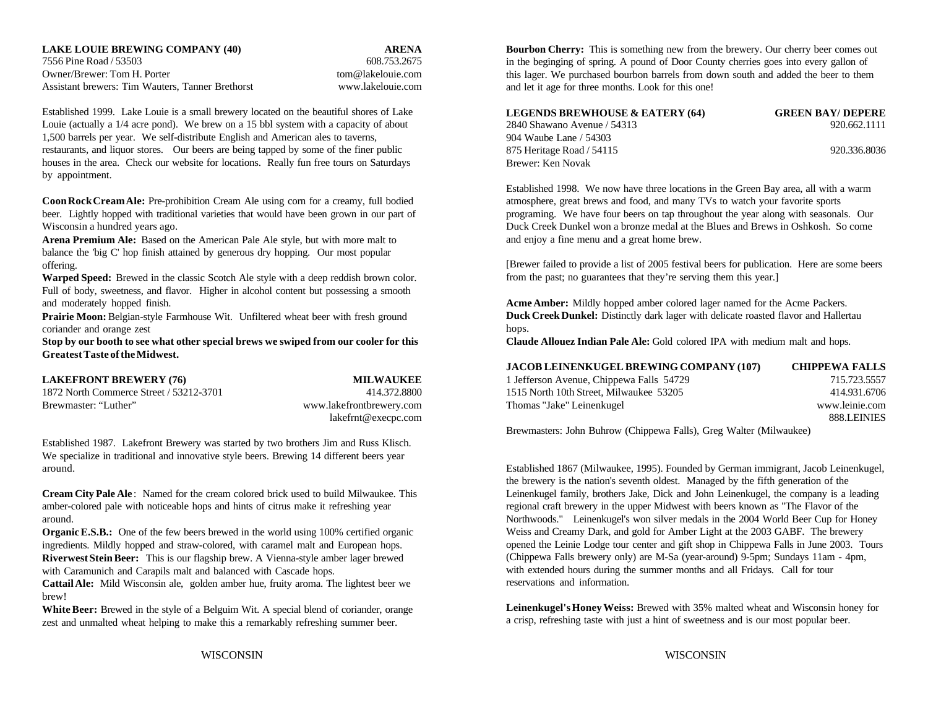7556 Pine Road / 53503 608.753.2675 Owner/Brewer: Tom H. Porter tomagnetic tomagnetic tomagnetic tomagnetic tomagnetic com-Assistant brewers: Tim Wauters, Tanner Brethorst www.lakelouie.com

Established 1999. Lake Louie is a small brewery located on the beautiful shores of Lake Louie (actually a 1/4 acre pond). We brew on a 15 bbl system with a capacity of about 1,500 barrels per year. We self-distribute English and American ales to taverns, restaurants, and liquor stores. Our beers are being tapped by some of the finer public houses in the area. Check our website for locations. Really fun free tours on Saturdays by appointment.

**Coon Rock Cream Ale:** Pre-prohibition Cream Ale using corn for a creamy, full bodied atmosphere, great brews and food, and many TVs to watch your favorite sports beer. Lightly hopped with traditional varieties that would have been grown in our part of programing. We have four beers on tap throughout the year along with seasonals. Our Wisconsin a hundred years ago. Duck Creek Dunkel won a bronze medal at the Blues and Brews in Oshkosh. So come

**Arena Premium Ale:** Based on the American Pale Ale style, but with more malt to balance the 'big C' hop finish attained by generous dry hopping. Our most popular offering.

**Warped Speed:** Brewed in the classic Scotch Ale style with a deep reddish brown color. Full of body, sweetness, and flavor. Higher in alcohol content but possessing a smooth and moderately hopped finish.

Prairie Moon: Belgian-style Farmhouse Wit. Unfiltered wheat beer with fresh ground coriander and orange zest

**Stop by our booth to see what other special brews we swiped from our cooler for this Greatest Taste of the Midwest.**

| <b>LAKEFRONT BREWERY (76)</b>           | <b>MILWAUKEE</b>         |
|-----------------------------------------|--------------------------|
| 1872 North Commerce Street / 53212-3701 | 414.372.8800             |
| Brewmaster: "Luther"                    | www.lakefrontbrewery.com |
|                                         | lakefrnt@execpc.com      |

Established 1987. Lakefront Brewery was started by two brothers Jim and Russ Klisch. We specialize in traditional and innovative style beers. Brewing 14 different beers year around. Established 1867 (Milwaukee, 1995). Founded by German immigrant, Jacob Leinenkugel,

**Cream City Pale Ale** : Named for the cream colored brick used to build Milwaukee. This amber-colored pale with noticeable hops and hints of citrus make it refreshing year around.

**Organic E.S.B.:** One of the few beers brewed in the world using 100% certified organic ingredients. Mildly hopped and straw-colored, with caramel malt and European hops. **Riverwest Stein Beer:** This is our flagship brew. A Vienna-style amber lager brewed with Caramunich and Carapils malt and balanced with Cascade hops.

**Cattail Ale:** Mild Wisconsin ale, golden amber hue, fruity aroma. The lightest beer we brew!

White Beer: Brewed in the style of a Belguim Wit. A special blend of coriander, orange zest and unmalted wheat helping to make this a remarkably refreshing summer beer.

**LAKE LOUIE BREWING COMPANY (40) ARENA Bourbon Cherry:** This is something new from the brewery. Our cherry beer comes out in the beginging of spring. A pound of Door County cherries goes into every gallon of this lager. We purchased bourbon barrels from down south and added the beer to them and let it age for three months. Look for this one!

| <b>LEGENDS BREWHOUSE &amp; EATERY (64)</b> | <b>GREEN BAY/ DEPERE</b> |
|--------------------------------------------|--------------------------|
| 2840 Shawano Avenue / 54313                | 920.662.1111             |
| 904 Waube Lane / 54303                     |                          |
| 875 Heritage Road / 54115                  | 920.336.8036             |
| Brewer: Ken Novak                          |                          |

Established 1998. We now have three locations in the Green Bay area, all with a warm and enjoy a fine menu and a great home brew.

[Brewer failed to provide a list of 2005 festival beers for publication. Here are some beers from the past; no guarantees that they're serving them this year.]

**Acme Amber:** Mildly hopped amber colored lager named for the Acme Packers. **Duck Creek Dunkel:** Distinctly dark lager with delicate roasted flavor and Hallertau hops.

**Claude Allouez Indian Pale Ale:** Gold colored IPA with medium malt and hops.

|                                         |                          | <b>JACOB LEINENKUGEL BREWING COMPANY (107)</b>                                                                                                                      | <b>CHIPPEWA FALLS</b> |
|-----------------------------------------|--------------------------|---------------------------------------------------------------------------------------------------------------------------------------------------------------------|-----------------------|
| <b>LAKEFRONT BREWERY (76)</b>           | <b>MILWAUKEE</b>         | 1 Jefferson Avenue, Chippewa Falls 54729                                                                                                                            | 715.723.5557          |
| 1872 North Commerce Street / 53212-3701 | 414.372.8800             | 1515 North 10th Street, Milwaukee 53205                                                                                                                             | 414.931.6706          |
| Brewmaster: "Luther"                    | www.lakefrontbrewery.com | Thomas "Jake" Leinenkugel                                                                                                                                           | www.leinie.com        |
|                                         | lakefrnt@execpc.com      |                                                                                                                                                                     | 888.LEINIES           |
|                                         |                          | $\mathbf{r}$ , $\mathbf{r}$ , $\mathbf{r}$ , $\mathbf{r}$ , $\mathbf{r}$<br>$\mathbf{r}$ , $\mathbf{r}$ , $\mathbf{r}$ , $\mathbf{r}$ , $\mathbf{r}$ , $\mathbf{r}$ |                       |

Brewmasters: John Buhrow (Chippewa Falls), Greg Walter (Milwaukee)

the brewery is the nation's seventh oldest. Managed by the fifth generation of the Leinenkugel family, brothers Jake, Dick and John Leinenkugel, the company is a leading regional craft brewery in the upper Midwest with beers known as "The Flavor of the Northwoods." Leinenkugel's won silver medals in the 2004 World Beer Cup for Honey Weiss and Creamy Dark, and gold for Amber Light at the 2003 GABF. The brewery opened the Leinie Lodge tour center and gift shop in Chippewa Falls in June 2003. Tours (Chippewa Falls brewery only) are M-Sa (year-around) 9-5pm; Sundays 11am - 4pm, with extended hours during the summer months and all Fridays. Call for tour reservations and information.

**Leinenkugel's Honey Weiss:** Brewed with 35% malted wheat and Wisconsin honey for a crisp, refreshing taste with just a hint of sweetness and is our most popular beer.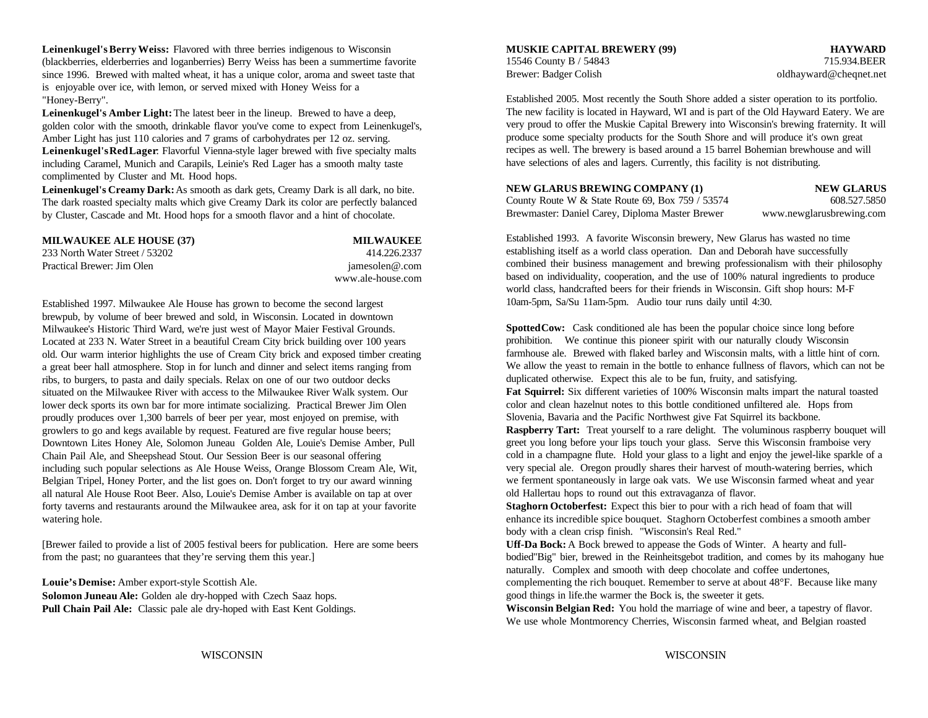**Leinenkugel's Berry Weiss:** Flavored with three berries indigenous to Wisconsin **MUSKIE CAPITAL BREWERY (99) HAYWARD** (blackberries, elderberries and loganberries) Berry Weiss has been a summertime favorite since 1996. Brewed with malted wheat, it has a unique color, aroma and sweet taste that is enjoyable over ice, with lemon, or served mixed with Honey Weiss for a "Honey-Berry".

**Leinenkugel's Amber Light:** The latest beer in the lineup. Brewed to have a deep, golden color with the smooth, drinkable flavor you've come to expect from Leinenkugel's, Amber Light has just 110 calories and 7 grams of carbohydrates per 12 oz. serving. **Leinenkugel's Red Lager**: Flavorful Vienna-style lager brewed with five specialty malts including Caramel, Munich and Carapils, Leinie's Red Lager has a smooth malty taste complimented by Cluster and Mt. Hood hops.

**Leinenkugel's Creamy Dark:** As smooth as dark gets, Creamy Dark is all dark, no bite. The dark roasted specialty malts which give Creamy Dark its color are perfectly balanced by Cluster, Cascade and Mt. Hood hops for a smooth flavor and a hint of chocolate.

| <b>MILWAUKEE ALE HOUSE (37)</b> | <b>MILWAUKEE</b>  |
|---------------------------------|-------------------|
| 233 North Water Street / 53202  | 414.226.2337      |
| Practical Brewer: Jim Olen      | jamesolen@.com    |
|                                 | www.ale-house.com |

Established 1997. Milwaukee Ale House has grown to become the second largest brewpub, by volume of beer brewed and sold, in Wisconsin. Located in downtown Milwaukee's Historic Third Ward, we're just west of Mayor Maier Festival Grounds. Located at 233 N. Water Street in a beautiful Cream City brick building over 100 years old. Our warm interior highlights the use of Cream City brick and exposed timber creating a great beer hall atmosphere. Stop in for lunch and dinner and select items ranging from ribs, to burgers, to pasta and daily specials. Relax on one of our two outdoor decks situated on the Milwaukee River with access to the Milwaukee River Walk system. Our lower deck sports its own bar for more intimate socializing. Practical Brewer Jim Olen proudly produces over 1,300 barrels of beer per year, most enjoyed on premise, with growlers to go and kegs available by request. Featured are five regular house beers; Downtown Lites Honey Ale, Solomon Juneau Golden Ale, Louie's Demise Amber, Pull Chain Pail Ale, and Sheepshead Stout. Our Session Beer is our seasonal offering including such popular selections as Ale House Weiss, Orange Blossom Cream Ale, Wit, Belgian Tripel, Honey Porter, and the list goes on. Don't forget to try our award winning all natural Ale House Root Beer. Also, Louie's Demise Amber is available on tap at over forty taverns and restaurants around the Milwaukee area, ask for it on tap at your favorite **Staghorn Octoberfest:** Expect this bier to pour with a rich head of foam that will watering hole. enhance its incredible spice bouquet. Staghorn Octoberfest combines a smooth amber

[Brewer failed to provide a list of 2005 festival beers for publication. Here are some beers from the past; no guarantees that they're serving them this year.]

**Solomon Juneau Ale:** Golden ale dry-hopped with Czech Saaz hops. **Pull Chain Pail Ale:** Classic pale ale dry-hoped with East Kent Goldings.

## 15546 County B / 54843 715.934.BEER Brewer: Badger Colish oldhayward@cheqnet.net

Established 2005. Most recently the South Shore added a sister operation to its portfolio. The new facility is located in Hayward, WI and is part of the Old Hayward Eatery. We are very proud to offer the Muskie Capital Brewery into Wisconsin's brewing fraternity. It will produce some specialty products for the South Shore and will produce it's own great recipes as well. The brewery is based around a 15 barrel Bohemian brewhouse and will have selections of ales and lagers. Currently, this facility is not distributing.

### **NEW GLARUS BREWING COMPANY (1) NEW GLARUS**

County Route W & State Route 69, Box 759 / 53574 608.527.5850 Brewmaster: Daniel Carey, Diploma Master Brewer www.newglarusbrewing.com

Established 1993. A favorite Wisconsin brewery, New Glarus has wasted no time establishing itself as a world class operation. Dan and Deborah have successfully combined their business management and brewing professionalism with their philosophy based on individuality, cooperation, and the use of 100% natural ingredients to produce world class, handcrafted beers for their friends in Wisconsin. Gift shop hours: M-F 10am-5pm, Sa/Su 11am-5pm. Audio tour runs daily until 4:30.

**Spotted Cow:** Cask conditioned ale has been the popular choice since long before prohibition. We continue this pioneer spirit with our naturally cloudy Wisconsin farmhouse ale. Brewed with flaked barley and Wisconsin malts, with a little hint of corn. We allow the yeast to remain in the bottle to enhance fullness of flavors, which can not be duplicated otherwise. Expect this ale to be fun, fruity, and satisfying.

**Fat Squirrel:** Six different varieties of 100% Wisconsin malts impart the natural toasted color and clean hazelnut notes to this bottle conditioned unfiltered ale. Hops from Slovenia, Bavaria and the Pacific Northwest give Fat Squirrel its backbone.

**Raspberry Tart:** Treat yourself to a rare delight. The voluminous raspberry bouquet will greet you long before your lips touch your glass. Serve this Wisconsin framboise very cold in a champagne flute. Hold your glass to a light and enjoy the jewel-like sparkle of a very special ale. Oregon proudly shares their harvest of mouth-watering berries, which we ferment spontaneously in large oak vats. We use Wisconsin farmed wheat and year old Hallertau hops to round out this extravaganza of flavor.

body with a clean crisp finish. "Wisconsin's Real Red."

**Uff-Da Bock:** A Bock brewed to appease the Gods of Winter. A hearty and fullbodied"Big" bier, brewed in the Reinheitsgebot tradition, and comes by its mahogany hue naturally. Complex and smooth with deep chocolate and coffee undertones,

**Louie's Demise:** Amber export-style Scottish Ale. **Complementing the rich bouquet. Remember to serve at about 48°F. Because like many** good things in life.the warmer the Bock is, the sweeter it gets.

> **Wisconsin Belgian Red:** You hold the marriage of wine and beer, a tapestry of flavor. We use whole Montmorency Cherries, Wisconsin farmed wheat, and Belgian roasted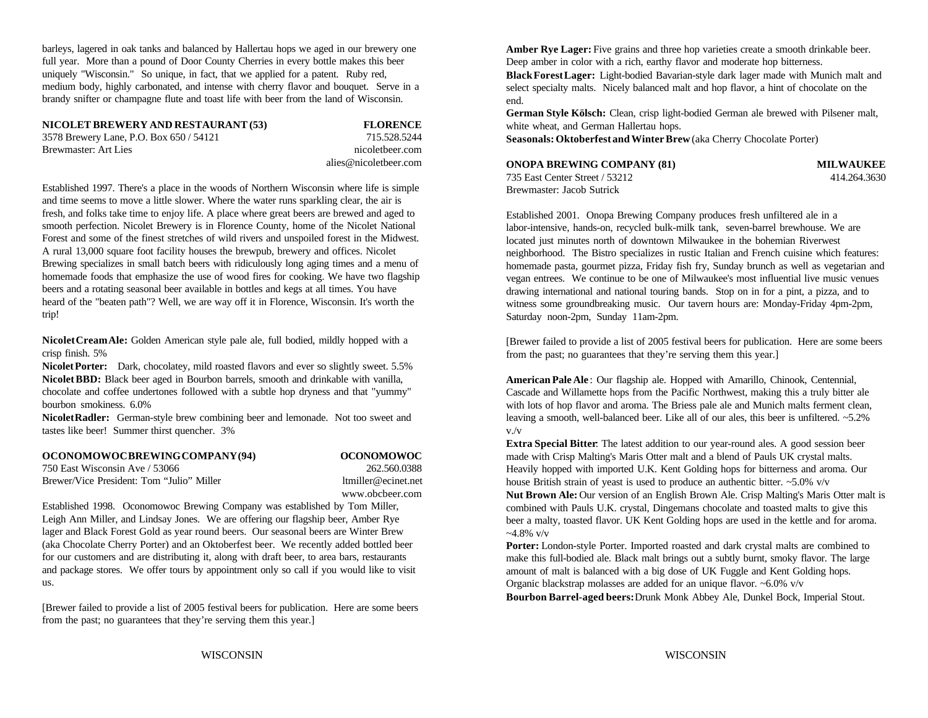barleys, lagered in oak tanks and balanced by Hallertau hops we aged in our brewery one full year. More than a pound of Door County Cherries in every bottle makes this beer uniquely "Wisconsin." So unique, in fact, that we applied for a patent. Ruby red, medium body, highly carbonated, and intense with cherry flavor and bouquet. Serve in a brandy snifter or champagne flute and toast life with beer from the land of Wisconsin.

**NICOLET BREWERY AND RESTAURANT (53) FLORENCE**

3578 Brewery Lane, P.O. Box 650 / 54121 715.528.5244 Brewmaster: Art Lies nicoletbeer.com nicoletbeer.com

alies@nicoletbeer.com

Established 1997. There's a place in the woods of Northern Wisconsin where life is simple and time seems to move a little slower. Where the water runs sparkling clear, the air is fresh, and folks take time to enjoy life. A place where great beers are brewed and aged to smooth perfection. Nicolet Brewery is in Florence County, home of the Nicolet National Forest and some of the finest stretches of wild rivers and unspoiled forest in the Midwest. A rural 13,000 square foot facility houses the brewpub, brewery and offices. Nicolet Brewing specializes in small batch beers with ridiculously long aging times and a menu of homemade foods that emphasize the use of wood fires for cooking. We have two flagship beers and a rotating seasonal beer available in bottles and kegs at all times. You have heard of the "beaten path"? Well, we are way off it in Florence, Wisconsin. It's worth the trip!

**Nicolet Cream Ale:** Golden American style pale ale, full bodied, mildly hopped with a crisp finish. 5%

**Nicolet Porter:** Dark, chocolatey, mild roasted flavors and ever so slightly sweet. 5.5% **Nicolet BBD:** Black beer aged in Bourbon barrels, smooth and drinkable with vanilla, chocolate and coffee undertones followed with a subtle hop dryness and that "yummy" bourbon smokiness. 6.0%

**Nicolet Radler:** German-style brew combining beer and lemonade. Not too sweet and tastes like beer! Summer thirst quencher. 3%

## **OCONOMOWOC BREWING COMPANY (94) OCONOMOWOC**

## 750 East Wisconsin Ave / 53066 262.560.0388 Brewer/Vice President: Tom "Julio" Miller ltmiller ltmiller@ecinet.net www.obcbeer.com

Established 1998. Oconomowoc Brewing Company was established by Tom Miller, Leigh Ann Miller, and Lindsay Jones. We are offering our flagship beer, Amber Rye lager and Black Forest Gold as year round beers. Our seasonal beers are Winter Brew (aka Chocolate Cherry Porter) and an Oktoberfest beer. We recently added bottled beer for our customers and are distributing it, along with draft beer, to area bars, restaurants and package stores. We offer tours by appointment only so call if you would like to visit us.

[Brewer failed to provide a list of 2005 festival beers for publication. Here are some beers from the past; no guarantees that they're serving them this year.]

Amber Rye Lager: Five grains and three hop varieties create a smooth drinkable beer. Deep amber in color with a rich, earthy flavor and moderate hop bitterness.

**Black Forest Lager:** Light-bodied Bavarian-style dark lager made with Munich malt and select specialty malts. Nicely balanced malt and hop flavor, a hint of chocolate on the end.

**German Style Kölsch:** Clean, crisp light-bodied German ale brewed with Pilsener malt, white wheat, and German Hallertau hops.

**Seasonals: Oktoberfest and Winter Brew** (aka Cherry Chocolate Porter)

### **ONOPA BREWING COMPANY (81) MILWAUKEE** 735 East Center Street / 53212 414.264.3630 Brewmaster: Jacob Sutrick

Established 2001. Onopa Brewing Company produces fresh unfiltered ale in a labor-intensive, hands-on, recycled bulk-milk tank, seven-barrel brewhouse. We are located just minutes north of downtown Milwaukee in the bohemian Riverwest neighborhood. The Bistro specializes in rustic Italian and French cuisine which features: homemade pasta, gourmet pizza, Friday fish fry, Sunday brunch as well as vegetarian and vegan entrees. We continue to be one of Milwaukee's most influential live music venues drawing international and national touring bands. Stop on in for a pint, a pizza, and to witness some groundbreaking music. Our tavern hours are: Monday-Friday 4pm-2pm, Saturday noon-2pm, Sunday 11am-2pm.

[Brewer failed to provide a list of 2005 festival beers for publication. Here are some beers from the past; no guarantees that they're serving them this year.]

**American Pale Ale** : Our flagship ale. Hopped with Amarillo, Chinook, Centennial, Cascade and Willamette hops from the Pacific Northwest, making this a truly bitter ale with lots of hop flavor and aroma. The Briess pale ale and Munich malts ferment clean, leaving a smooth, well-balanced beer. Like all of our ales, this beer is unfiltered. ~5.2% v./v

**Extra Special Bitter**: The latest addition to our year-round ales. A good session beer made with Crisp Malting's Maris Otter malt and a blend of Pauls UK crystal malts. Heavily hopped with imported U.K. Kent Golding hops for bitterness and aroma. Our house British strain of yeast is used to produce an authentic bitter.  $\sim$ 5.0% v/v **Nut Brown Ale:** Our version of an English Brown Ale. Crisp Malting's Maris Otter malt is combined with Pauls U.K. crystal, Dingemans chocolate and toasted malts to give this beer a malty, toasted flavor. UK Kent Golding hops are used in the kettle and for aroma.  $-4.8\%$  v/v

Porter: London-style Porter. Imported roasted and dark crystal malts are combined to make this full-bodied ale. Black malt brings out a subtly burnt, smoky flavor. The large amount of malt is balanced with a big dose of UK Fuggle and Kent Golding hops. Organic blackstrap molasses are added for an unique flavor. ~6.0% v/v **Bourbon Barrel-aged beers:** Drunk Monk Abbey Ale, Dunkel Bock, Imperial Stout.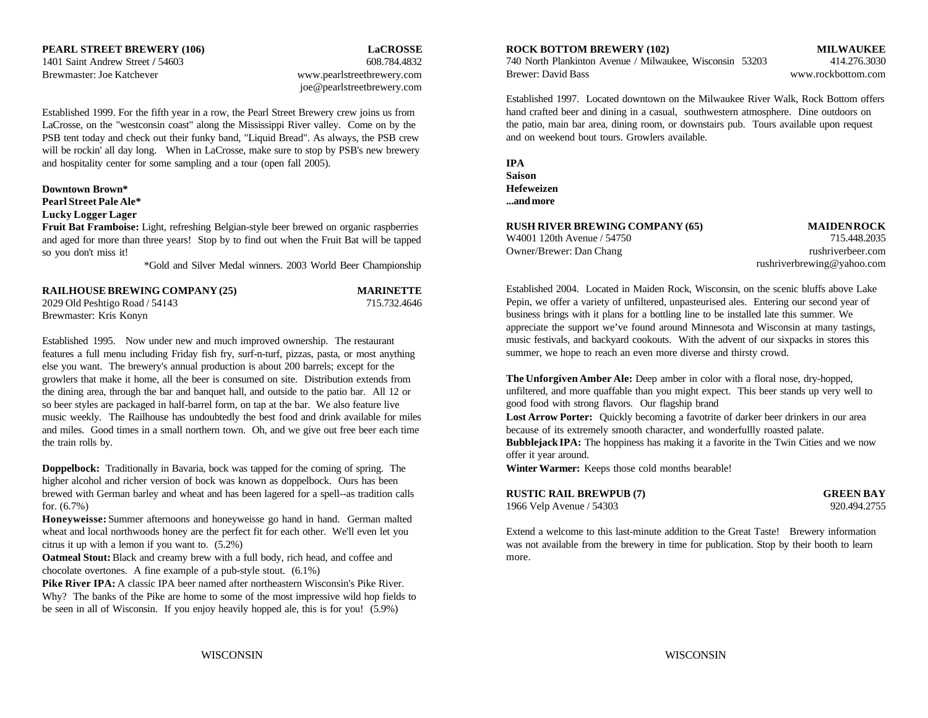Brewmaster: Joe Katchever www.pearlstreetbrewery.com

joe@pearlstreetbrewery.com

Established 1999. For the fifth year in a row, the Pearl Street Brewery crew joins us from LaCrosse, on the "westconsin coast" along the Mississippi River valley. Come on by the PSB tent today and check out their funky band, "Liquid Bread". As always, the PSB crew will be rockin' all day long. When in LaCrosse, make sure to stop by PSB's new brewery and hospitality center for some sampling and a tour (open fall 2005).

### **Downtown Brown\* Pearl Street Pale Ale\***

### **Lucky Logger Lager**

**Fruit Bat Framboise:** Light, refreshing Belgian-style beer brewed on organic raspberries and aged for more than three years! Stop by to find out when the Fruit Bat will be tapped so you don't miss it!

\*Gold and Silver Medal winners. 2003 World Beer Championship

| <b>RAILHOUSE BREWING COMPANY (25)</b> | <b>MARINETTE</b> |
|---------------------------------------|------------------|
| 2029 Old Peshtigo Road / 54143        | 715.732.4646     |
| Brewmaster: Kris Konyn                |                  |

Established 1995. Now under new and much improved ownership. The restaurant features a full menu including Friday fish fry, surf-n-turf, pizzas, pasta, or most anything else you want. The brewery's annual production is about 200 barrels; except for the growlers that make it home, all the beer is consumed on site. Distribution extends from the dining area, through the bar and banquet hall, and outside to the patio bar. All 12 or so beer styles are packaged in half-barrel form, on tap at the bar. We also feature live music weekly. The Railhouse has undoubtedly the best food and drink available for miles and miles. Good times in a small northern town. Oh, and we give out free beer each time

**Doppelbock:** Traditionally in Bavaria, bock was tapped for the coming of spring. The **Winter Warmer:** Keeps those cold months bearable! higher alcohol and richer version of bock was known as doppelbock. Ours has been brewed with German barley and wheat and has been lagered for a spell--as tradition calls for. (6.7%) 1966 Velp Avenue / 54303 920.494.2755

**Honeyweisse:** Summer afternoons and honeyweisse go hand in hand. German malted wheat and local northwoods honey are the perfect fit for each other. We'll even let you citrus it up with a lemon if you want to. (5.2%)

**Oatmeal Stout:** Black and creamy brew with a full body, rich head, and coffee and chocolate overtones. A fine example of a pub-style stout. (6.1%)

Pike River IPA: A classic IPA beer named after northeastern Wisconsin's Pike River. Why? The banks of the Pike are home to some of the most impressive wild hop fields to be seen in all of Wisconsin. If you enjoy heavily hopped ale, this is for you! (5.9%)

### **PEARL STREET BREWERY (106) LaCROSSE ROCK BOTTOM BREWERY (102) MILWAUKEE**

740 North Plankinton Avenue / Milwaukee, Wisconsin 53203 414.276.3030 Brewer: David Bass www.rockbottom.com

Established 1997. Located downtown on the Milwaukee River Walk, Rock Bottom offers hand crafted beer and dining in a casual, southwestern atmosphere. Dine outdoors on the patio, main bar area, dining room, or downstairs pub. Tours available upon request and on weekend bout tours. Growlers available.

| IPA        |
|------------|
| Saison     |
| Hefeweizen |
| and more   |

| RUSH RIVER BREWING COMPANY (65) | <b>MAIDENROCK</b>          |
|---------------------------------|----------------------------|
| W4001 120th Avenue / 54750      | 715.448.2035               |
| Owner/Brewer: Dan Chang         | rushriverbeer.com          |
|                                 | rushriverbrewing@yahoo.com |

Established 2004. Located in Maiden Rock, Wisconsin, on the scenic bluffs above Lake Pepin, we offer a variety of unfiltered, unpasteurised ales. Entering our second year of business brings with it plans for a bottling line to be installed late this summer. We appreciate the support we've found around Minnesota and Wisconsin at many tastings, music festivals, and backyard cookouts. With the advent of our sixpacks in stores this summer, we hope to reach an even more diverse and thirsty crowd.

**Bubblejack IPA:** The hoppiness has making it a favorite in the Twin Cities and we now **The Unforgiven Amber Ale:** Deep amber in color with a floral nose, dry-hopped, unfiltered, and more quaffable than you might expect. This beer stands up very well to good food with strong flavors. Our flagship brand **Lost Arrow Porter:** Quickly becoming a favotrite of darker beer drinkers in our area because of its extremely smooth character, and wonderfullly roasted palate. offer it year around.

| <b>RUSTIC RAIL BREWPUB (7)</b> | <b>GREEN BAY</b> |
|--------------------------------|------------------|
| 1966 Velp Avenue / 54303       | 920.494.2755     |

Extend a welcome to this last-minute addition to the Great Taste! Brewery information was not available from the brewery in time for publication. Stop by their booth to learn more.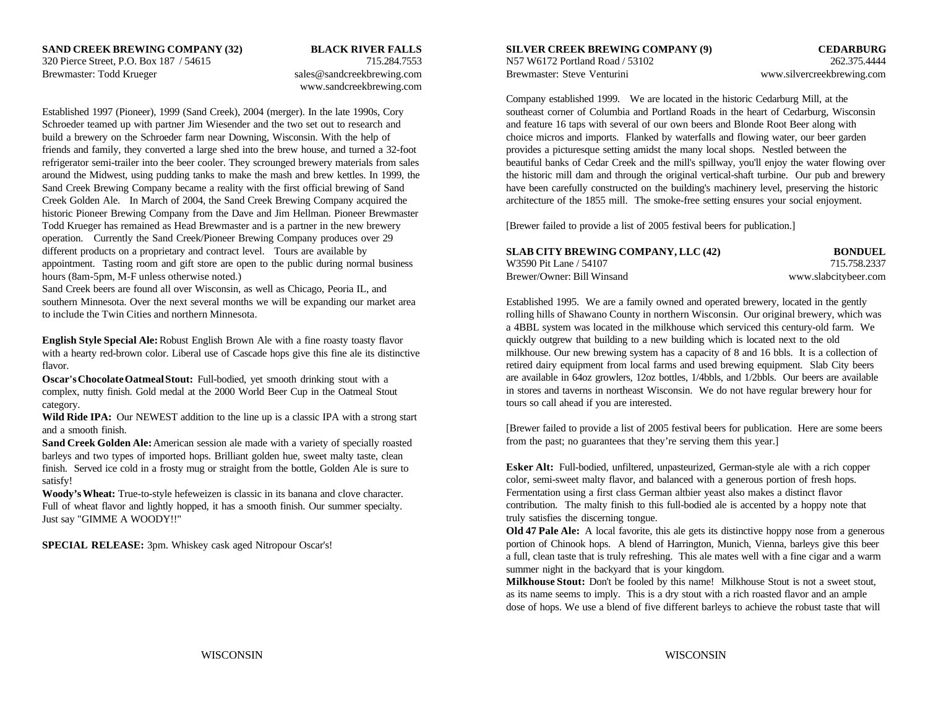## **SAND CREEK BREWING COMPANY (32) BLACK RIVER FALLS SILVER CREEK BREWING COMPANY (9) CEDARBURG**

Brewmaster: Todd Krueger sales @sandcreekbrewing.com Brewmaster: Steve Venturini www.silvercreekbrewing.com

# www.sandcreekbrewing.com

Established 1997 (Pioneer), 1999 (Sand Creek), 2004 (merger). In the late 1990s, Cory southeast corner of Columbia and Portland Roads in the heart of Cedarburg, Wisconsin Schroeder teamed up with partner Jim Wiesender and the two set out to research and and feature 16 taps with several of our own beers and Blonde Root Beer along with build a brewery on the Schroeder farm near Downing, Wisconsin. With the help of choice micros and imports. Flanked by waterfalls and flowing water, our beer garden friends and family, they converted a large shed into the brew house, and turned a 32-foot provides a picturesque setting amidst the many local shops. Nestled between the Sand Creek Brewing Company became a reality with the first official brewing of Sand have been carefully constructed on the building's machinery level, preserving the historic Creek Golden Ale. In March of 2004, the Sand Creek Brewing Company acquired the architecture of the 1855 mill. The smoke-free setting ensures your social enjoyment. historic Pioneer Brewing Company from the Dave and Jim Hellman. Pioneer Brewmaster Todd Krueger has remained as Head Brewmaster and is a partner in the new brewery [Brewer failed to provide a list of 2005 festival beers for publication.] operation. Currently the Sand Creek/Pioneer Brewing Company produces over 29 different products on a proprietary and contract level. Tours are available by appointment. Tasting room and gift store are open to the public during normal business hours (8am-5pm, M-F unless otherwise noted.)

Sand Creek beers are found all over Wisconsin, as well as Chicago, Peoria IL, and southern Minnesota. Over the next several months we will be expanding our market area Established 1995. We are a family owned and operated brewery, located in the gently

**English Style Special Ale:** Robust English Brown Ale with a fine roasty toasty flavor with a hearty red-brown color. Liberal use of Cascade hops give this fine ale its distinctive flavor.

**Oscar's Chocolate Oatmeal Stout:** Full-bodied, yet smooth drinking stout with a complex, nutty finish. Gold medal at the 2000 World Beer Cup in the Oatmeal Stout category.

Wild Ride IPA: Our NEWEST addition to the line up is a classic IPA with a strong start and a smooth finish.

Sand Creek Golden Ale: American session ale made with a variety of specially roasted barleys and two types of imported hops. Brilliant golden hue, sweet malty taste, clean finish. Served ice cold in a frosty mug or straight from the bottle, Golden Ale is sure to satisfy!

**Woody's Wheat:** True-to-style hefeweizen is classic in its banana and clove character. Full of wheat flavor and lightly hopped, it has a smooth finish. Our summer specialty. Just say "GIMME A WOODY!!"

**SPECIAL RELEASE:** 3pm. Whiskey cask aged Nitropour Oscar's!

320 Pierce Street, P.O. Box 187 / 54615 715.284.7553 N57 W6172 Portland Road / 53102 262.375.4444

refrigerator semi-trailer into the beer cooler. They scrounged brewery materials from sales beautiful banks of Cedar Creek and the mill's spillway, you'll enjoy the water flowing over around the Midwest, using pudding tanks to make the mash and brew kettles. In 1999, the the historic mill dam and through the original vertical-shaft turbine. Our pub and brewery Company established 1999. We are located in the historic Cedarburg Mill, at the

| SLAB CITY BREWING COMPANY, LLC (42) | <b>BONDUEL</b>       |
|-------------------------------------|----------------------|
| W3590 Pit Lane / 54107              | 715.758.2337         |
| Brewer/Owner: Bill Winsand          | www.slabcitybeer.com |

to include the Twin Cities and northern Minnesota. The Twin Cities and northern Minnesota. The Twin Cities and northern Minnesota. The Twin Cities and northern Minnesota. The Twin Cities and northern Minnesota. a 4BBL system was located in the milkhouse which serviced this century-old farm. We quickly outgrew that building to a new building which is located next to the old milkhouse. Our new brewing system has a capacity of 8 and 16 bbls. It is a collection of retired dairy equipment from local farms and used brewing equipment. Slab City beers are available in 64oz growlers, 12oz bottles, 1/4bbls, and 1/2bbls. Our beers are available in stores and taverns in northeast Wisconsin. We do not have regular brewery hour for tours so call ahead if you are interested.

> [Brewer failed to provide a list of 2005 festival beers for publication. Here are some beers from the past; no guarantees that they're serving them this year.]

**Esker Alt:** Full-bodied, unfiltered, unpasteurized, German-style ale with a rich copper color, semi-sweet malty flavor, and balanced with a generous portion of fresh hops. Fermentation using a first class German altbier yeast also makes a distinct flavor contribution. The malty finish to this full-bodied ale is accented by a hoppy note that truly satisfies the discerning tongue.

**Old 47 Pale Ale:** A local favorite, this ale gets its distinctive hoppy nose from a generous portion of Chinook hops. A blend of Harrington, Munich, Vienna, barleys give this beer a full, clean taste that is truly refreshing. This ale mates well with a fine cigar and a warm summer night in the backyard that is your kingdom.

**Milkhouse Stout:** Don't be fooled by this name! Milkhouse Stout is not a sweet stout, as its name seems to imply. This is a dry stout with a rich roasted flavor and an ample dose of hops. We use a blend of five different barleys to achieve the robust taste that will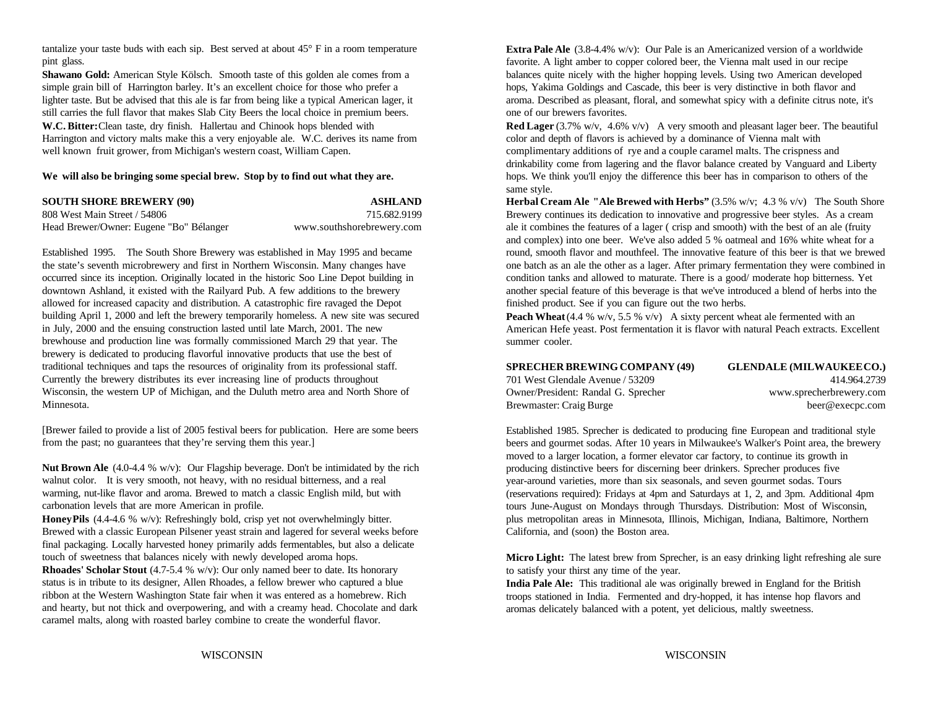tantalize your taste buds with each sip. Best served at about 45° F in a room temperature pint glass.

**Shawano Gold:** American Style Kölsch. Smooth taste of this golden ale comes from a balances quite nicely with the higher hopping levels. Using two American developed simple grain bill of Harrington barley. It's an excellent choice for those who prefer a hops, Yakima Goldings and Cascade, this beer is very distinctive in both flavor and lighter taste. But be advised that this ale is far from being like a typical American lager, it aroma. Described as pleasant, floral, and somewhat spicy with a definite citrus note, it's still carries the full flavor that makes Slab City Beers the local choice in premium beers. one of our brewers favorites. **W.C. Bitter:** Clean taste, dry finish. Hallertau and Chinook hops blended with **Red Lager** (3.7% w/v, 4.6% v/v) A very smooth and pleasant lager beer. The beautiful Harrington and victory malts make this a very enjoyable ale. W.C. derives its name from color and depth of flavors is achieved by a dominance of Vienna malt with well known fruit grower, from Michigan's western coast, William Capen. complimentary additions of rye and a couple caramel malts. The crispness and

### **We will also be bringing some special brew. Stop by to find out what they are.**

| <b>SOUTH SHORE BREWERY (90)</b>         | ASHLAND                   |
|-----------------------------------------|---------------------------|
| 808 West Main Street / 54806            | 715.682.9199              |
| Head Brewer/Owner: Eugene "Bo" Bélanger | www.southshorebrewery.com |

Established 1995. The South Shore Brewery was established in May 1995 and became the state's seventh microbrewery and first in Northern Wisconsin. Many changes have occurred since its inception. Originally located in the historic Soo Line Depot building in downtown Ashland, it existed with the Railyard Pub. A few additions to the brewery allowed for increased capacity and distribution. A catastrophic fire ravaged the Depot building April 1, 2000 and left the brewery temporarily homeless. A new site was secured in July, 2000 and the ensuing construction lasted until late March, 2001. The new brewhouse and production line was formally commissioned March 29 that year. The brewery is dedicated to producing flavorful innovative products that use the best of traditional techniques and taps the resources of originality from its professional staff. Currently the brewery distributes its ever increasing line of products throughout Wisconsin, the western UP of Michigan, and the Duluth metro area and North Shore of Minnesota.

[Brewer failed to provide a list of 2005 festival beers for publication. Here are some beers from the past; no guarantees that they're serving them this year.]

**Nut Brown Ale** (4.0-4.4 % w/v): Our Flagship beverage. Don't be intimidated by the rich walnut color. It is very smooth, not heavy, with no residual bitterness, and a real warming, nut-like flavor and aroma. Brewed to match a classic English mild, but with carbonation levels that are more American in profile.

**Honey Pils** (4.4-4.6 % w/v): Refreshingly bold, crisp yet not overwhelmingly bitter. Brewed with a classic European Pilsener yeast strain and lagered for several weeks before final packaging. Locally harvested honey primarily adds fermentables, but also a delicate touch of sweetness that balances nicely with newly developed aroma hops. **Rhoades' Scholar Stout** (4.7-5.4 % w/v): Our only named beer to date. Its honorary status is in tribute to its designer, Allen Rhoades, a fellow brewer who captured a blue ribbon at the Western Washington State fair when it was entered as a homebrew. Rich and hearty, but not thick and overpowering, and with a creamy head. Chocolate and dark caramel malts, along with roasted barley combine to create the wonderful flavor.

**Extra Pale Ale** (3.8-4.4% w/v): Our Pale is an Americanized version of a worldwide favorite. A light amber to copper colored beer, the Vienna malt used in our recipe

drinkability come from lagering and the flavor balance created by Vanguard and Liberty hops. We think you'll enjoy the difference this beer has in comparison to others of the same style.

**Herbal Cream Ale "Ale Brewed with Herbs" (3.5% w/v; 4.3 % v/v) The South Shore** Brewery continues its dedication to innovative and progressive beer styles. As a cream ale it combines the features of a lager ( crisp and smooth) with the best of an ale (fruity and complex) into one beer. We've also added 5 % oatmeal and 16% white wheat for a round, smooth flavor and mouthfeel. The innovative feature of this beer is that we brewed one batch as an ale the other as a lager. After primary fermentation they were combined in condition tanks and allowed to maturate. There is a good/ moderate hop bitterness. Yet another special feature of this beverage is that we've introduced a blend of herbs into the finished product. See if you can figure out the two herbs.

**Peach Wheat**  $(4.4 % w/v, 5.5 % v/v)$  A sixty percent wheat ale fermented with an American Hefe yeast. Post fermentation it is flavor with natural Peach extracts. Excellent summer cooler.

| <b>SPRECHER BREWING COMPANY (49)</b> | <b>GLENDALE (MILWAUKEECO.)</b> |
|--------------------------------------|--------------------------------|
| 701 West Glendale Avenue / 53209     | 414.964.2739                   |
| Owner/President: Randal G. Sprecher  | www.sprecherbrewery.com        |
| Brewmaster: Craig Burge              | beer@execpc.com                |

Established 1985. Sprecher is dedicated to producing fine European and traditional style beers and gourmet sodas. After 10 years in Milwaukee's Walker's Point area, the brewery moved to a larger location, a former elevator car factory, to continue its growth in producing distinctive beers for discerning beer drinkers. Sprecher produces five year-around varieties, more than six seasonals, and seven gourmet sodas. Tours (reservations required): Fridays at 4pm and Saturdays at 1, 2, and 3pm. Additional 4pm tours June-August on Mondays through Thursdays. Distribution: Most of Wisconsin, plus metropolitan areas in Minnesota, Illinois, Michigan, Indiana, Baltimore, Northern California, and (soon) the Boston area.

**Micro Light:** The latest brew from Sprecher, is an easy drinking light refreshing ale sure to satisfy your thirst any time of the year.

**India Pale Ale:** This traditional ale was originally brewed in England for the British troops stationed in India. Fermented and dry-hopped, it has intense hop flavors and aromas delicately balanced with a potent, yet delicious, maltly sweetness.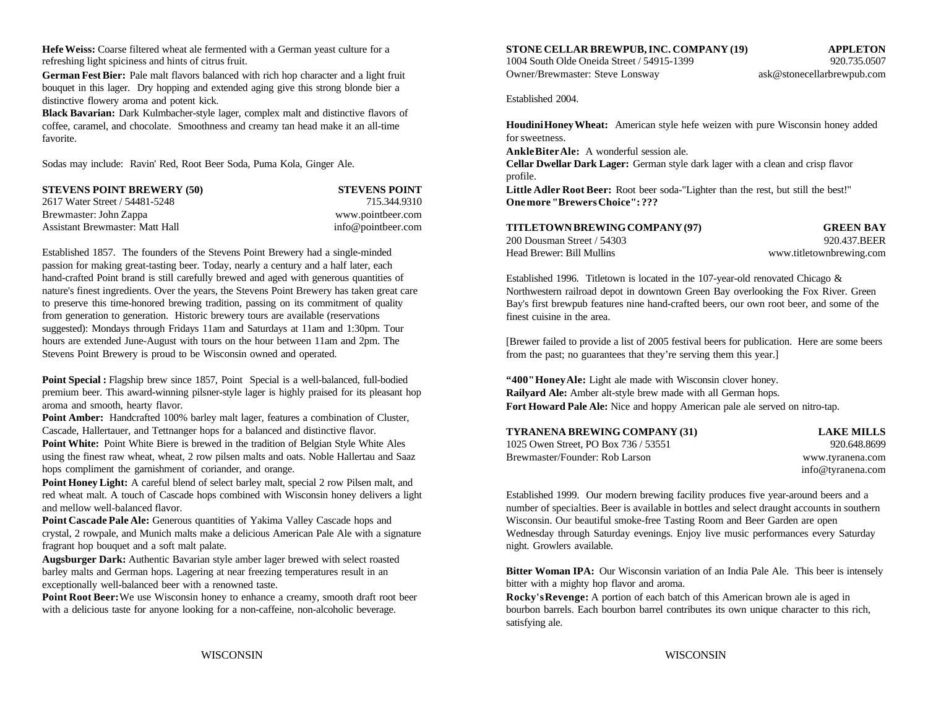**Hefe Weiss:** Coarse filtered wheat ale fermented with a German yeast culture for a **STONE CELLAR BREWPUB, INC. COMPANY (19) APPLETON** refreshing light spiciness and hints of citrus fruit. 1004 South Olde Oneida Street / 54915-1399 920.735.0507

**German Fest Bier:** Pale malt flavors balanced with rich hop character and a light fruit bouquet in this lager. Dry hopping and extended aging give this strong blonde bier a distinctive flowery aroma and potent kick.

**Black Bavarian:** Dark Kulmbacher-style lager, complex malt and distinctive flavors of coffee, caramel, and chocolate. Smoothness and creamy tan head make it an all-time favorite.

| <b>STEVENS POINT BREWERY (50)</b> | <b>STEVENS POINT</b> |
|-----------------------------------|----------------------|
| 2617 Water Street / 54481-5248    | 715.344.9310         |
| Brewmaster: John Zappa            | www.pointbeer.com    |
| Assistant Brewmaster: Matt Hall   | info@pointbeer.com   |

Established 1857. The founders of the Stevens Point Brewery had a single-minded passion for making great-tasting beer. Today, nearly a century and a half later, each hand-crafted Point brand is still carefully brewed and aged with generous quantities of nature's finest ingredients. Over the years, the Stevens Point Brewery has taken great care to preserve this time-honored brewing tradition, passing on its commitment of quality from generation to generation. Historic brewery tours are available (reservations suggested): Mondays through Fridays 11am and Saturdays at 11am and 1:30pm. Tour hours are extended June-August with tours on the hour between 11am and 2pm. The Stevens Point Brewery is proud to be Wisconsin owned and operated.

**Point Special :** Flagship brew since 1857, Point Special is a well-balanced, full-bodied premium beer. This award-winning pilsner-style lager is highly praised for its pleasant hop aroma and smooth, hearty flavor.

Point Amber: Handcrafted 100% barley malt lager, features a combination of Cluster, Cascade, Hallertauer, and Tettnanger hops for a balanced and distinctive flavor. Point White: Point White Biere is brewed in the tradition of Belgian Style White Ales using the finest raw wheat, wheat, 2 row pilsen malts and oats. Noble Hallertau and Saaz hops compliment the garnishment of coriander, and orange.

**Point Honey Light:** A careful blend of select barley malt, special 2 row Pilsen malt, and red wheat malt. A touch of Cascade hops combined with Wisconsin honey delivers a light Established 1999. Our modern brewing facility produces five year-around beers and a and mellow well-balanced flavor. The southern is available in bottles and select draught accounts in southern and mellow well-balanced flavor.

Point Cascade Pale Ale: Generous quantities of Yakima Valley Cascade hops and crystal, 2 rowpale, and Munich malts make a delicious American Pale Ale with a signature fragrant hop bouquet and a soft malt palate.

**Augsburger Dark:** Authentic Bavarian style amber lager brewed with select roasted barley malts and German hops. Lagering at near freezing temperatures result in an exceptionally well-balanced beer with a renowned taste.

Point Root Beer: We use Wisconsin honey to enhance a creamy, smooth draft root beer with a delicious taste for anyone looking for a non-caffeine, non-alcoholic beverage.

Owner/Brewmaster: Steve Lonsway ask@stonecellarbrewpub.com

Established 2004.

Sodas may include: Ravin' Red, Root Beer Soda, Puma Kola, Ginger Ale. **Cellar Dwellar Dark Lager:** German style dark lager with a clean and crisp flavor **STEVEL THE STEVEL IS STEVERT ASSET ASSET ASSET ASSET ASSET ASSET ASSET ASSET ASSET ASSET ASSET ASSET ASSET ASSET ASSET ASSET ASSET ASSET ASSET ASSET ASSET AS A LIGHT ASSET ASSET ASSET ASSET ASSET ASSET ASSET ASSET ASSET A Houdini Honey Wheat:** American style hefe weizen with pure Wisconsin honey added for sweetness. **Ankle Biter Ale:** A wonderful session ale. profile. **One more "Brewers Choice": ???**

| TITLETOWN BREWING COMPANY (97) | <b>GREEN BAY</b>         |
|--------------------------------|--------------------------|
| 200 Dousman Street / 54303     | 920.437.BEER             |
| Head Brewer: Bill Mullins      | www.titletownbrewing.com |

Established 1996. Titletown is located in the 107-year-old renovated Chicago & Northwestern railroad depot in downtown Green Bay overlooking the Fox River. Green Bay's first brewpub features nine hand-crafted beers, our own root beer, and some of the finest cuisine in the area.

[Brewer failed to provide a list of 2005 festival beers for publication. Here are some beers from the past; no guarantees that they're serving them this year.]

**"400" Honey Ale:** Light ale made with Wisconsin clover honey. **Railyard Ale:** Amber alt-style brew made with all German hops. **Fort Howard Pale Ale:** Nice and hoppy American pale ale served on nitro-tap.

| TYRANENA BREWING COMPANY (31)        | <b>LAKE MILLS</b> |
|--------------------------------------|-------------------|
| 1025 Owen Street, PO Box 736 / 53551 | 920.648.8699      |
| Brewmaster/Founder: Rob Larson       | www.tyranena.com  |
|                                      | info@tyranena.com |

Wisconsin. Our beautiful smoke-free Tasting Room and Beer Garden are open Wednesday through Saturday evenings. Enjoy live music performances every Saturday night. Growlers available.

**Bitter Woman IPA:** Our Wisconsin variation of an India Pale Ale. This beer is intensely bitter with a mighty hop flavor and aroma.

**Rocky's Revenge:** A portion of each batch of this American brown ale is aged in bourbon barrels. Each bourbon barrel contributes its own unique character to this rich, satisfying ale.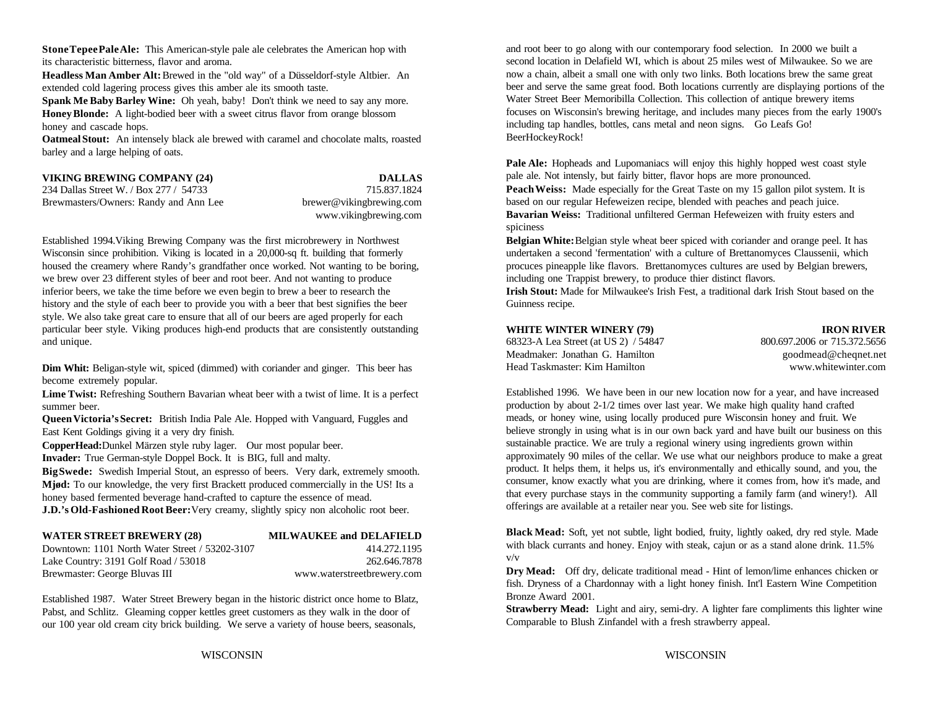**Stone Tepee Pale Ale:** This American-style pale ale celebrates the American hop with its characteristic bitterness, flavor and aroma.

**Headless Man Amber Alt:** Brewed in the "old way" of a Düsseldorf-style Altbier. An extended cold lagering process gives this amber ale its smooth taste.

**Spank Me Baby Barley Wine:** Oh yeah, baby! Don't think we need to say any more. **Honey Blonde:** A light-bodied beer with a sweet citrus flavor from orange blossom honey and cascade hops.

**Oatmeal Stout:** An intensely black ale brewed with caramel and chocolate malts, roasted barley and a large helping of oats.

| VIKING BREWING COMPANY (24)            | <b>DALLAS</b>            |
|----------------------------------------|--------------------------|
| 234 Dallas Street W. / Box 277 / 54733 | 715.837.1824             |
| Brewmasters/Owners: Randy and Ann Lee  | brewer@vikingbrewing.com |
|                                        | www.vikingbrewing.com    |

Established 1994.Viking Brewing Company was the first microbrewery in Northwest Wisconsin since prohibition. Viking is located in a 20,000-sq ft. building that formerly housed the creamery where Randy's grandfather once worked. Not wanting to be boring, we brew over 23 different styles of beer and root beer. And not wanting to produce inferior beers, we take the time before we even begin to brew a beer to research the **Irish Stout:** Made for Milwaukee's Irish Fest, a traditional dark Irish Stout based on the history and the style of each beer to provide you with a beer that best signifies the beer Guinness recipe. style. We also take great care to ensure that all of our beers are aged properly for each particular beer style. Viking produces high-end products that are consistently outstanding and unique. 68323-A Lea Street (at US 2) / 54847 800.697.2006 or 715.372.5656

**Dim Whit:** Beligan-style wit, spiced (dimmed) with coriander and ginger. This beer has become extremely popular.

**Lime Twist:** Refreshing Southern Bavarian wheat beer with a twist of lime. It is a perfect summer beer.

**Queen Victoria's Secret:** British India Pale Ale. Hopped with Vanguard, Fuggles and East Kent Goldings giving it a very dry finish.

**CopperHead:**Dunkel Märzen style ruby lager. Our most popular beer.

**Invader:** True German-style Doppel Bock. It is BIG, full and malty.

**Big Swede:** Swedish Imperial Stout, an espresso of beers. Very dark, extremely smooth. **Mjød:** To our knowledge, the very first Brackett produced commercially in the US! Its a honey based fermented beverage hand-crafted to capture the essence of mead. **J.D.'s Old-Fashioned Root Beer: Very creamy, slightly spicy non alcoholic root beer.** 

| <b>WATER STREET BREWERY (28)</b>               | <b>MILWAUKEE and DELAFIELD</b> |
|------------------------------------------------|--------------------------------|
| Downtown: 1101 North Water Street / 53202-3107 | 414.272.1195                   |
| Lake Country: 3191 Golf Road / 53018           | 262.646.7878                   |

Established 1987. Water Street Brewery began in the historic district once home to Blatz, Pabst, and Schlitz. Gleaming copper kettles greet customers as they walk in the door of our 100 year old cream city brick building. We serve a variety of house beers, seasonals,

Brewmaster: George Bluvas III www.waterstreetbrewery.com

and root beer to go along with our contemporary food selection. In 2000 we built a second location in Delafield WI, which is about 25 miles west of Milwaukee. So we are now a chain, albeit a small one with only two links. Both locations brew the same great beer and serve the same great food. Both locations currently are displaying portions of the Water Street Beer Memoribilla Collection. This collection of antique brewery items focuses on Wisconsin's brewing heritage, and includes many pieces from the early 1900's including tap handles, bottles, cans metal and neon signs. Go Leafs Go! BeerHockeyRock!

**Pale Ale:** Hopheads and Lupomaniacs will enjoy this highly hopped west coast style pale ale. Not intensly, but fairly bitter, flavor hops are more pronounced. **Peach Weiss:** Made especially for the Great Taste on my 15 gallon pilot system. It is based on our regular Hefeweizen recipe, blended with peaches and peach juice. **Bavarian Weiss:** Traditional unfiltered German Hefeweizen with fruity esters and spiciness

**Belgian White:** Belgian style wheat beer spiced with coriander and orange peel. It has undertaken a second 'fermentation' with a culture of Brettanomyces Claussenii, which procuces pineapple like flavors. Brettanomyces cultures are used by Belgian brewers, including one Trappist brewery, to produce thier distinct flavors.

### **WHITE WINTER WINERY (79) IRON RIVER**

| 800.697.2006 or 715.372.5656 |
|------------------------------|
| goodmead@cheqnet.net         |
| www.whitewinter.com          |
|                              |

Established 1996. We have been in our new location now for a year, and have increased production by about 2-1/2 times over last year. We make high quality hand crafted meads, or honey wine, using locally produced pure Wisconsin honey and fruit. We believe strongly in using what is in our own back yard and have built our business on this sustainable practice. We are truly a regional winery using ingredients grown within approximately 90 miles of the cellar. We use what our neighbors produce to make a great product. It helps them, it helps us, it's environmentally and ethically sound, and you, the consumer, know exactly what you are drinking, where it comes from, how it's made, and that every purchase stays in the community supporting a family farm (and winery!). All offerings are available at a retailer near you. See web site for listings.

**Black Mead:** Soft, yet not subtle, light bodied, fruity, lightly oaked, dry red style. Made with black currants and honey. Enjoy with steak, cajun or as a stand alone drink. 11.5% v/v

**Dry Mead:** Off dry, delicate traditional mead - Hint of lemon/lime enhances chicken or fish. Dryness of a Chardonnay with a light honey finish. Int'l Eastern Wine Competition Bronze Award 2001.

**Strawberry Mead:** Light and airy, semi-dry. A lighter fare compliments this lighter wine Comparable to Blush Zinfandel with a fresh strawberry appeal.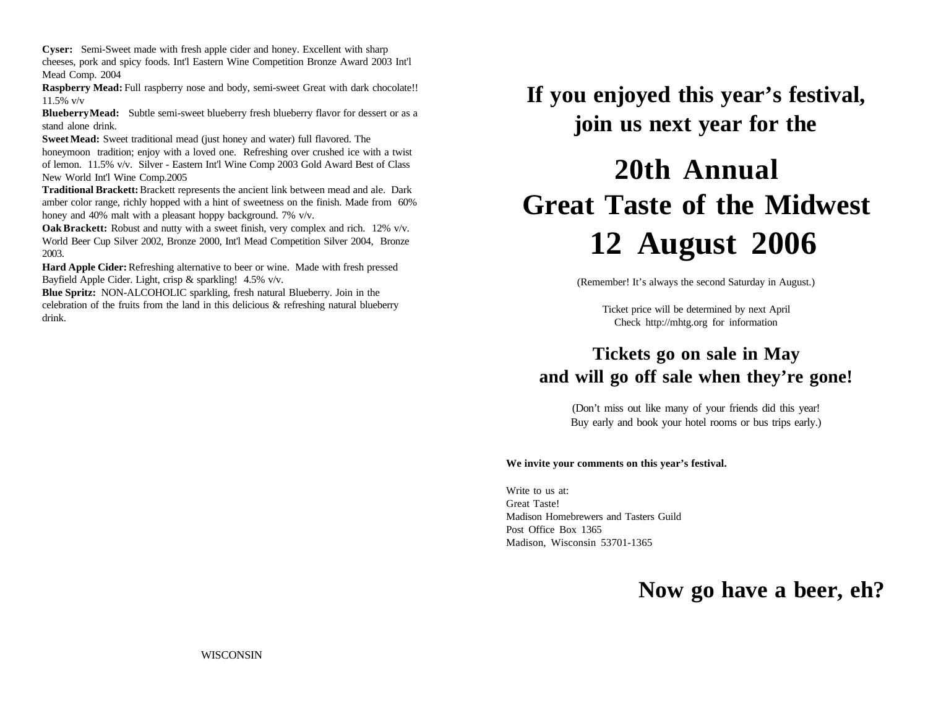**Cyser:** Semi-Sweet made with fresh apple cider and honey. Excellent with sharp cheeses, pork and spicy foods. Int'l Eastern Wine Competition Bronze Award 2003 Int'l Mead Comp. 2004

**Raspberry Mead:** Full raspberry nose and body, semi-sweet Great with dark chocolate!! 11.5% v/v

**Blueberry Mead:** Subtle semi-sweet blueberry fresh blueberry flavor for dessert or as a stand alone drink.

**Sweet Mead:** Sweet traditional mead (just honey and water) full flavored. The honeymoon tradition; enjoy with a loved one. Refreshing over crushed ice with a twist of lemon. 11.5% v/v. Silver - Eastern Int'l Wine Comp 2003 Gold Award Best of Class New World Int'l Wine Comp.2005

**Traditional Brackett:** Brackett represents the ancient link between mead and ale. Dark amber color range, richly hopped with a hint of sweetness on the finish. Made from 60% honey and 40% malt with a pleasant hoppy background. 7% v/v.

**Oak Brackett:** Robust and nutty with a sweet finish, very complex and rich. 12% v/v. World Beer Cup Silver 2002, Bronze 2000, Int'l Mead Competition Silver 2004, Bronze 2003.

**Hard Apple Cider:** Refreshing alternative to beer or wine. Made with fresh pressed Bayfield Apple Cider. Light, crisp & sparkling! 4.5% v/v.

**Blue Spritz:** NON-ALCOHOLIC sparkling, fresh natural Blueberry. Join in the celebration of the fruits from the land in this delicious  $\&$  refreshing natural blueberry drink.

**If you enjoyed this year's festival, join us next year for the**

# **20th Annual Great Taste of the Midwest 12 August 2006**

(Remember! It's always the second Saturday in August.)

Ticket price will be determined by next April Check http://mhtg.org for information

## **Tickets go on sale in May and will go off sale when they're gone!**

(Don't miss out like many of your friends did this year! Buy early and book your hotel rooms or bus trips early.)

## **We invite your comments on this year's festival.**

Write to us at: Great Taste! Madison Homebrewers and Tasters Guild Post Office Box 1365 Madison, Wisconsin 53701-1365

## **Now go have a beer, eh?**